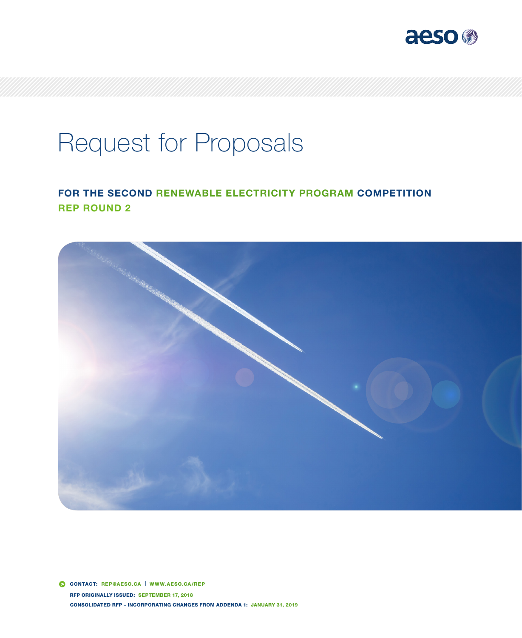

# Request for Proposals

# FOR THE SECOND RENEWABLE ELECTRICITY PROGRAM COMPETITION REP ROUND 2



 CONTACT: REP@AESO.CA | WWW.AESO.CA/REP RFP ORIGINALLY ISSUED: SEPTEMBER 17, 2018 CONSOLIDATED RFP – INCORPORATING CHANGES FROM ADDENDA 1: JANUARY 31, 2019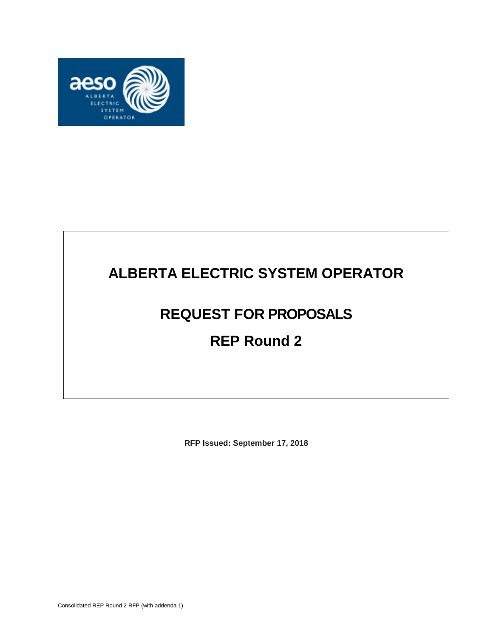

# **ALBERTA ELECTRIC SYSTEM OPERATOR**

# **REQUEST FOR PROPOSALS**

# **REP Round 2**

**RFP Issued: September 17, 2018**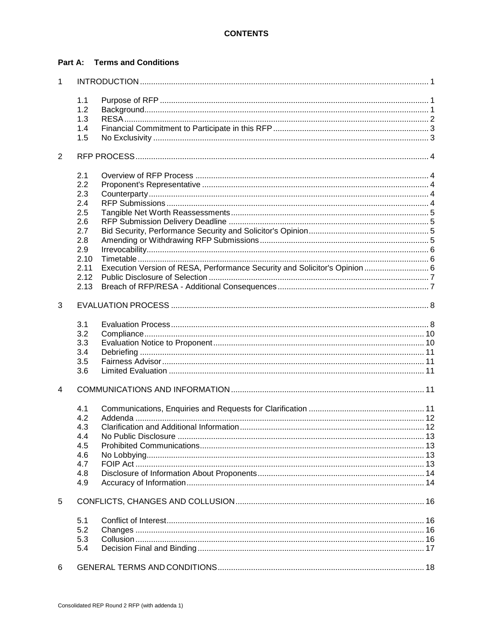#### **Part A: Terms and Conditions**

| $\mathbf{1}$ |      |                                                                            |  |
|--------------|------|----------------------------------------------------------------------------|--|
|              | 1.1  |                                                                            |  |
|              | 1.2  |                                                                            |  |
|              | 1.3  |                                                                            |  |
|              | 1.4  |                                                                            |  |
|              | 1.5  |                                                                            |  |
|              |      |                                                                            |  |
| 2            |      |                                                                            |  |
|              | 2.1  |                                                                            |  |
|              | 2.2  |                                                                            |  |
|              | 2.3  |                                                                            |  |
|              | 2.4  |                                                                            |  |
|              | 2.5  |                                                                            |  |
|              | 2.6  |                                                                            |  |
|              | 2.7  |                                                                            |  |
|              | 2.8  |                                                                            |  |
|              | 2.9  |                                                                            |  |
|              | 2.10 |                                                                            |  |
|              | 2.11 | Execution Version of RESA, Performance Security and Solicitor's Opinion  6 |  |
|              | 2.12 |                                                                            |  |
|              | 2.13 |                                                                            |  |
| 3            |      |                                                                            |  |
|              | 3.1  |                                                                            |  |
|              | 3.2  |                                                                            |  |
|              | 3.3  |                                                                            |  |
|              | 3.4  |                                                                            |  |
|              | 3.5  |                                                                            |  |
|              | 3.6  |                                                                            |  |
| 4            |      |                                                                            |  |
|              |      |                                                                            |  |
|              | 4.1  |                                                                            |  |
|              | 4.2  |                                                                            |  |
|              | 4.3  |                                                                            |  |
|              | 4.4  | No Public Disclosure                                                       |  |
|              | 4.5  |                                                                            |  |
|              | 4.6  |                                                                            |  |
|              | 4.7  |                                                                            |  |
|              | 4.8  |                                                                            |  |
|              | 4.9  |                                                                            |  |
| 5            |      |                                                                            |  |
|              | 5.1  |                                                                            |  |
|              | 5.2  |                                                                            |  |
|              | 5.3  |                                                                            |  |
|              | 5.4  |                                                                            |  |
|              |      |                                                                            |  |
| 6            |      |                                                                            |  |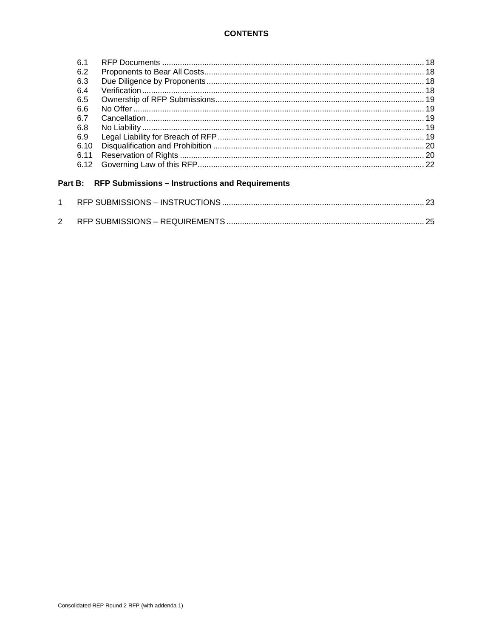#### **CONTENTS**

| 6.1  |  |
|------|--|
| 6.2  |  |
| 6.3  |  |
| 6.4  |  |
| 6.5  |  |
| 6.6  |  |
| 67   |  |
| 6.8  |  |
| 6.9  |  |
| 6.10 |  |
| 6.11 |  |
| 6.12 |  |
|      |  |

### Part B: RFP Submissions - Instructions and Requirements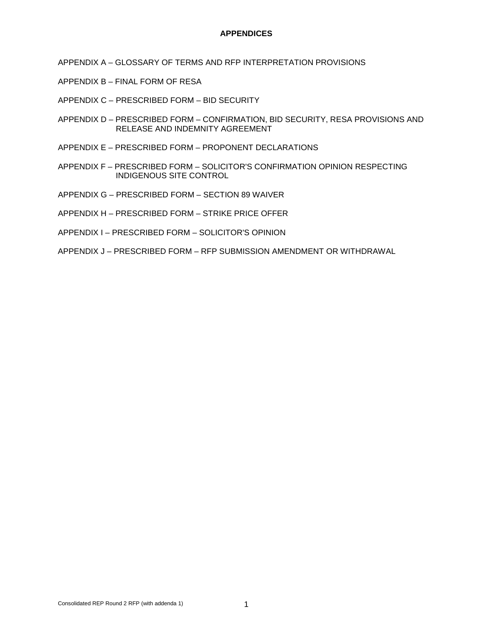#### **APPENDICES**

- APPENDIX A GLOSSARY OF TERMS AND RFP INTERPRETATION PROVISIONS
- APPENDIX B FINAL FORM OF RESA
- APPENDIX C PRESCRIBED FORM BID SECURITY
- APPENDIX D PRESCRIBED FORM CONFIRMATION, BID SECURITY, RESA PROVISIONS AND RELEASE AND INDEMNITY AGREEMENT
- APPENDIX E PRESCRIBED FORM PROPONENT DECLARATIONS
- APPENDIX F PRESCRIBED FORM SOLICITOR'S CONFIRMATION OPINION RESPECTING INDIGENOUS SITE CONTROL
- APPENDIX G PRESCRIBED FORM SECTION 89 WAIVER
- APPENDIX H PRESCRIBED FORM STRIKE PRICE OFFER
- APPENDIX I PRESCRIBED FORM SOLICITOR'S OPINION
- APPENDIX J PRESCRIBED FORM RFP SUBMISSION AMENDMENT OR WITHDRAWAL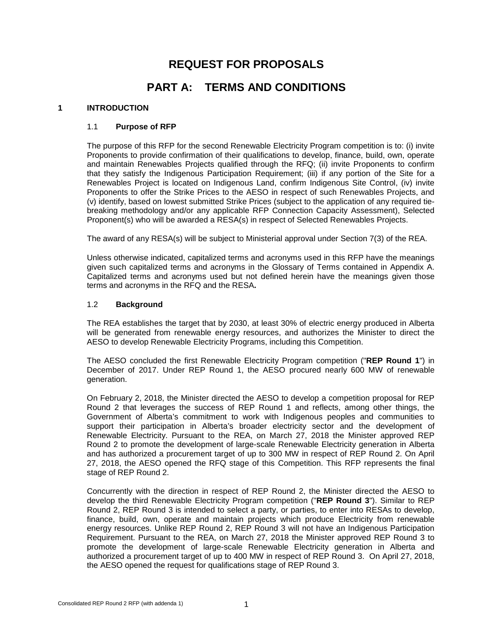# **REQUEST FOR PROPOSALS**

# **PART A: TERMS AND CONDITIONS**

#### <span id="page-5-1"></span><span id="page-5-0"></span>**1 INTRODUCTION**

#### 1.1 **Purpose of RFP**

The purpose of this RFP for the second Renewable Electricity Program competition is to: (i) invite Proponents to provide confirmation of their qualifications to develop, finance, build, own, operate and maintain Renewables Projects qualified through the RFQ; (ii) invite Proponents to confirm that they satisfy the Indigenous Participation Requirement; (iii) if any portion of the Site for a Renewables Project is located on Indigenous Land, confirm Indigenous Site Control, (iv) invite Proponents to offer the Strike Prices to the AESO in respect of such Renewables Projects, and (v) identify, based on lowest submitted Strike Prices (subject to the application of any required tiebreaking methodology and/or any applicable RFP Connection Capacity Assessment), Selected Proponent(s) who will be awarded a RESA(s) in respect of Selected Renewables Projects.

The award of any RESA(s) will be subject to Ministerial approval under Section 7(3) of the REA.

Unless otherwise indicated, capitalized terms and acronyms used in this RFP have the meanings given such capitalized terms and acronyms in the Glossary of Terms contained in Appendix A. Capitalized terms and acronyms used but not defined herein have the meanings given those terms and acronyms in the RFQ and the RESA**.**

#### <span id="page-5-2"></span>1.2 **Background**

The REA establishes the target that by 2030, at least 30% of electric energy produced in Alberta will be generated from renewable energy resources, and authorizes the Minister to direct the AESO to develop Renewable Electricity Programs, including this Competition.

The AESO concluded the first Renewable Electricity Program competition ("**REP Round 1**") in December of 2017. Under REP Round 1, the AESO procured nearly 600 MW of renewable generation.

On February 2, 2018, the Minister directed the AESO to develop a competition proposal for REP Round 2 that leverages the success of REP Round 1 and reflects, among other things, the Government of Alberta's commitment to work with Indigenous peoples and communities to support their participation in Alberta's broader electricity sector and the development of Renewable Electricity. Pursuant to the REA, on March 27, 2018 the Minister approved REP Round 2 to promote the development of large-scale Renewable Electricity generation in Alberta and has authorized a procurement target of up to 300 MW in respect of REP Round 2. On April 27, 2018, the AESO opened the RFQ stage of this Competition. This RFP represents the final stage of REP Round 2.

Concurrently with the direction in respect of REP Round 2, the Minister directed the AESO to develop the third Renewable Electricity Program competition ("**REP Round 3**"). Similar to REP Round 2, REP Round 3 is intended to select a party, or parties, to enter into RESAs to develop, finance, build, own, operate and maintain projects which produce Electricity from renewable energy resources. Unlike REP Round 2, REP Round 3 will not have an Indigenous Participation Requirement. Pursuant to the REA, on March 27, 2018 the Minister approved REP Round 3 to promote the development of large-scale Renewable Electricity generation in Alberta and authorized a procurement target of up to 400 MW in respect of REP Round 3. On April 27, 2018, the AESO opened the request for qualifications stage of REP Round 3.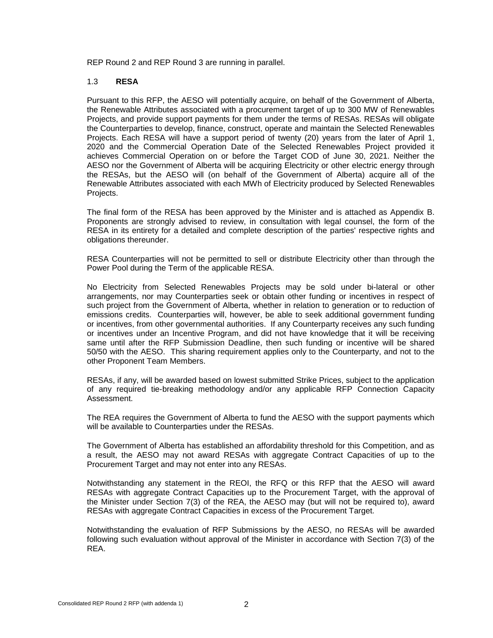REP Round 2 and REP Round 3 are running in parallel.

#### <span id="page-6-0"></span>1.3 **RESA**

Pursuant to this RFP, the AESO will potentially acquire, on behalf of the Government of Alberta, the Renewable Attributes associated with a procurement target of up to 300 MW of Renewables Projects, and provide support payments for them under the terms of RESAs. RESAs will obligate the Counterparties to develop, finance, construct, operate and maintain the Selected Renewables Projects. Each RESA will have a support period of twenty (20) years from the later of April 1, 2020 and the Commercial Operation Date of the Selected Renewables Project provided it achieves Commercial Operation on or before the Target COD of June 30, 2021. Neither the AESO nor the Government of Alberta will be acquiring Electricity or other electric energy through the RESAs, but the AESO will (on behalf of the Government of Alberta) acquire all of the Renewable Attributes associated with each MWh of Electricity produced by Selected Renewables Projects.

The final form of the RESA has been approved by the Minister and is attached as Appendix B. Proponents are strongly advised to review, in consultation with legal counsel, the form of the RESA in its entirety for a detailed and complete description of the parties' respective rights and obligations thereunder.

RESA Counterparties will not be permitted to sell or distribute Electricity other than through the Power Pool during the Term of the applicable RESA.

No Electricity from Selected Renewables Projects may be sold under bi-lateral or other arrangements, nor may Counterparties seek or obtain other funding or incentives in respect of such project from the Government of Alberta, whether in relation to generation or to reduction of emissions credits. Counterparties will, however, be able to seek additional government funding or incentives, from other governmental authorities. If any Counterparty receives any such funding or incentives under an Incentive Program, and did not have knowledge that it will be receiving same until after the RFP Submission Deadline, then such funding or incentive will be shared 50/50 with the AESO. This sharing requirement applies only to the Counterparty, and not to the other Proponent Team Members.

RESAs, if any, will be awarded based on lowest submitted Strike Prices, subject to the application of any required tie-breaking methodology and/or any applicable RFP Connection Capacity Assessment.

The REA requires the Government of Alberta to fund the AESO with the support payments which will be available to Counterparties under the RESAs.

The Government of Alberta has established an affordability threshold for this Competition, and as a result, the AESO may not award RESAs with aggregate Contract Capacities of up to the Procurement Target and may not enter into any RESAs.

Notwithstanding any statement in the REOI, the RFQ or this RFP that the AESO will award RESAs with aggregate Contract Capacities up to the Procurement Target, with the approval of the Minister under Section 7(3) of the REA, the AESO may (but will not be required to), award RESAs with aggregate Contract Capacities in excess of the Procurement Target.

Notwithstanding the evaluation of RFP Submissions by the AESO, no RESAs will be awarded following such evaluation without approval of the Minister in accordance with Section 7(3) of the REA.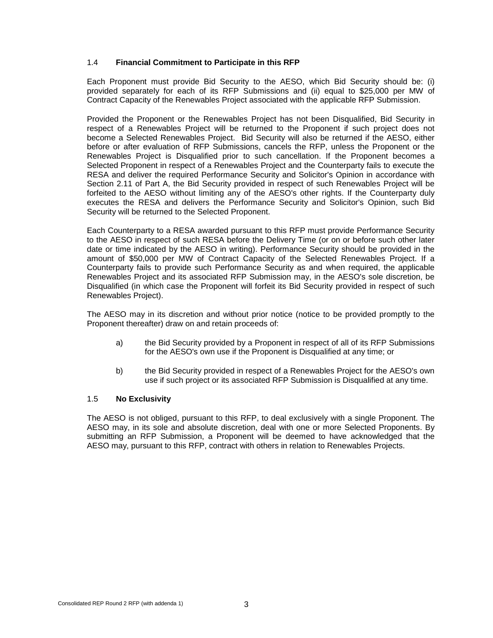#### <span id="page-7-0"></span>1.4 **Financial Commitment to Participate in this RFP**

Each Proponent must provide Bid Security to the AESO, which Bid Security should be: (i) provided separately for each of its RFP Submissions and (ii) equal to \$25,000 per MW of Contract Capacity of the Renewables Project associated with the applicable RFP Submission.

Provided the Proponent or the Renewables Project has not been Disqualified, Bid Security in respect of a Renewables Project will be returned to the Proponent if such project does not become a Selected Renewables Project. Bid Security will also be returned if the AESO, either before or after evaluation of RFP Submissions, cancels the RFP, unless the Proponent or the Renewables Project is Disqualified prior to such cancellation. If the Proponent becomes a Selected Proponent in respect of a Renewables Project and the Counterparty fails to execute the RESA and deliver the required Performance Security and Solicitor's Opinion in accordance with Section 2.11 of Part A, the Bid Security provided in respect of such Renewables Project will be forfeited to the AESO without limiting any of the AESO's other rights. If the Counterparty duly executes the RESA and delivers the Performance Security and Solicitor's Opinion, such Bid Security will be returned to the Selected Proponent.

Each Counterparty to a RESA awarded pursuant to this RFP must provide Performance Security to the AESO in respect of such RESA before the Delivery Time (or on or before such other later date or time indicated by the AESO in writing). Performance Security should be provided in the amount of \$50,000 per MW of Contract Capacity of the Selected Renewables Project. If a Counterparty fails to provide such Performance Security as and when required, the applicable Renewables Project and its associated RFP Submission may, in the AESO's sole discretion, be Disqualified (in which case the Proponent will forfeit its Bid Security provided in respect of such Renewables Project).

The AESO may in its discretion and without prior notice (notice to be provided promptly to the Proponent thereafter) draw on and retain proceeds of:

- a) the Bid Security provided by a Proponent in respect of all of its RFP Submissions for the AESO's own use if the Proponent is Disqualified at any time; or
- b) the Bid Security provided in respect of a Renewables Project for the AESO's own use if such project or its associated RFP Submission is Disqualified at any time.

#### <span id="page-7-1"></span>1.5 **No Exclusivity**

The AESO is not obliged, pursuant to this RFP, to deal exclusively with a single Proponent. The AESO may, in its sole and absolute discretion, deal with one or more Selected Proponents. By submitting an RFP Submission, a Proponent will be deemed to have acknowledged that the AESO may, pursuant to this RFP, contract with others in relation to Renewables Projects.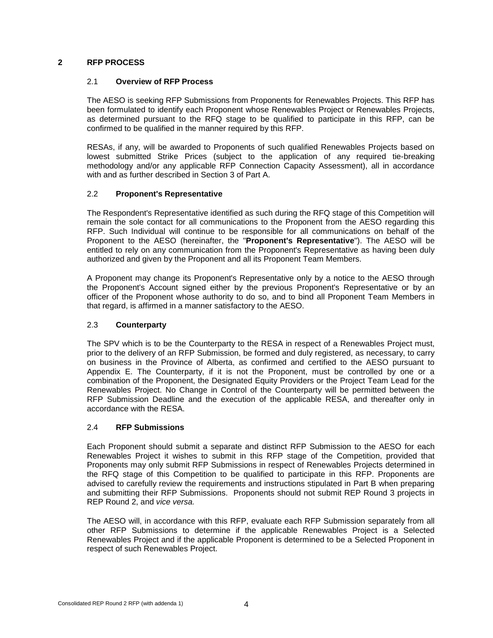#### <span id="page-8-1"></span><span id="page-8-0"></span>**2 RFP PROCESS**

#### 2.1 **Overview of RFP Process**

The AESO is seeking RFP Submissions from Proponents for Renewables Projects. This RFP has been formulated to identify each Proponent whose Renewables Project or Renewables Projects, as determined pursuant to the RFQ stage to be qualified to participate in this RFP, can be confirmed to be qualified in the manner required by this RFP.

RESAs, if any, will be awarded to Proponents of such qualified Renewables Projects based on lowest submitted Strike Prices (subject to the application of any required tie-breaking methodology and/or any applicable RFP Connection Capacity Assessment), all in accordance with and as further described in Section 3 of Part A.

#### <span id="page-8-2"></span>2.2 **Proponent's Representative**

The Respondent's Representative identified as such during the RFQ stage of this Competition will remain the sole contact for all communications to the Proponent from the AESO regarding this RFP. Such Individual will continue to be responsible for all communications on behalf of the Proponent to the AESO (hereinafter, the "**Proponent's Representative**"). The AESO will be entitled to rely on any communication from the Proponent's Representative as having been duly authorized and given by the Proponent and all its Proponent Team Members.

A Proponent may change its Proponent's Representative only by a notice to the AESO through the Proponent's Account signed either by the previous Proponent's Representative or by an officer of the Proponent whose authority to do so, and to bind all Proponent Team Members in that regard, is affirmed in a manner satisfactory to the AESO.

#### <span id="page-8-3"></span>2.3 **Counterparty**

The SPV which is to be the Counterparty to the RESA in respect of a Renewables Project must, prior to the delivery of an RFP Submission, be formed and duly registered, as necessary, to carry on business in the Province of Alberta, as confirmed and certified to the AESO pursuant to Appendix E. The Counterparty, if it is not the Proponent, must be controlled by one or a combination of the Proponent, the Designated Equity Providers or the Project Team Lead for the Renewables Project. No Change in Control of the Counterparty will be permitted between the RFP Submission Deadline and the execution of the applicable RESA, and thereafter only in accordance with the RESA.

#### <span id="page-8-4"></span>2.4 **RFP Submissions**

Each Proponent should submit a separate and distinct RFP Submission to the AESO for each Renewables Project it wishes to submit in this RFP stage of the Competition, provided that Proponents may only submit RFP Submissions in respect of Renewables Projects determined in the RFQ stage of this Competition to be qualified to participate in this RFP. Proponents are advised to carefully review the requirements and instructions stipulated in Part B when preparing and submitting their RFP Submissions. Proponents should not submit REP Round 3 projects in REP Round 2, and *vice versa.*

The AESO will, in accordance with this RFP, evaluate each RFP Submission separately from all other RFP Submissions to determine if the applicable Renewables Project is a Selected Renewables Project and if the applicable Proponent is determined to be a Selected Proponent in respect of such Renewables Project.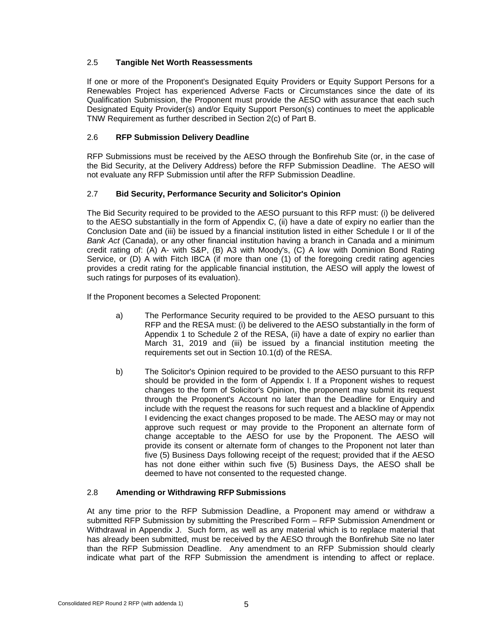#### <span id="page-9-0"></span>2.5 **Tangible Net Worth Reassessments**

If one or more of the Proponent's Designated Equity Providers or Equity Support Persons for a Renewables Project has experienced Adverse Facts or Circumstances since the date of its Qualification Submission, the Proponent must provide the AESO with assurance that each such Designated Equity Provider(s) and/or Equity Support Person(s) continues to meet the applicable TNW Requirement as further described in Section 2(c) of Part B.

#### <span id="page-9-1"></span>2.6 **RFP Submission Delivery Deadline**

RFP Submissions must be received by the AESO through the Bonfirehub Site (or, in the case of the Bid Security, at the Delivery Address) before the RFP Submission Deadline. The AESO will not evaluate any RFP Submission until after the RFP Submission Deadline.

#### <span id="page-9-2"></span>2.7 **Bid Security, Performance Security and Solicitor's Opinion**

The Bid Security required to be provided to the AESO pursuant to this RFP must: (i) be delivered to the AESO substantially in the form of Appendix C, (ii) have a date of expiry no earlier than the Conclusion Date and (iii) be issued by a financial institution listed in either Schedule I or II of the *Bank Act* (Canada), or any other financial institution having a branch in Canada and a minimum credit rating of: (A) A- with S&P, (B) A3 with Moody's, (C) A low with Dominion Bond Rating Service, or (D) A with Fitch IBCA (if more than one (1) of the foregoing credit rating agencies provides a credit rating for the applicable financial institution, the AESO will apply the lowest of such ratings for purposes of its evaluation).

If the Proponent becomes a Selected Proponent:

- a) The Performance Security required to be provided to the AESO pursuant to this RFP and the RESA must: (i) be delivered to the AESO substantially in the form of Appendix 1 to Schedule 2 of the RESA, (ii) have a date of expiry no earlier than March 31, 2019 and (iii) be issued by a financial institution meeting the requirements set out in Section 10.1(d) of the RESA.
- b) The Solicitor's Opinion required to be provided to the AESO pursuant to this RFP should be provided in the form of Appendix I. If a Proponent wishes to request changes to the form of Solicitor's Opinion, the proponent may submit its request through the Proponent's Account no later than the Deadline for Enquiry and include with the request the reasons for such request and a blackline of Appendix I evidencing the exact changes proposed to be made. The AESO may or may not approve such request or may provide to the Proponent an alternate form of change acceptable to the AESO for use by the Proponent. The AESO will provide its consent or alternate form of changes to the Proponent not later than five (5) Business Days following receipt of the request; provided that if the AESO has not done either within such five (5) Business Days, the AESO shall be deemed to have not consented to the requested change.

#### <span id="page-9-3"></span>2.8 **Amending or Withdrawing RFP Submissions**

At any time prior to the RFP Submission Deadline, a Proponent may amend or withdraw a submitted RFP Submission by submitting the Prescribed Form – RFP Submission Amendment or Withdrawal in Appendix J. Such form, as well as any material which is to replace material that has already been submitted, must be received by the AESO through the Bonfirehub Site no later than the RFP Submission Deadline. Any amendment to an RFP Submission should clearly indicate what part of the RFP Submission the amendment is intending to affect or replace.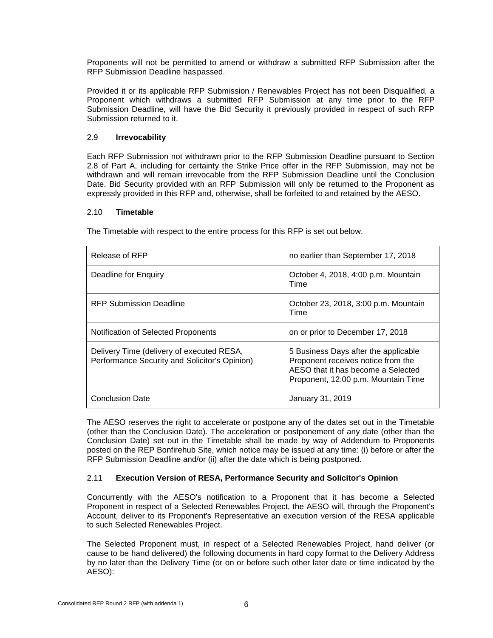Proponents will not be permitted to amend or withdraw a submitted RFP Submission after the RFP Submission Deadline haspassed.

Provided it or its applicable RFP Submission / Renewables Project has not been Disqualified, a Proponent which withdraws a submitted RFP Submission at any time prior to the RFP Submission Deadline, will have the Bid Security it previously provided in respect of such RFP Submission returned to it.

#### <span id="page-10-0"></span>2.9 **Irrevocability**

Each RFP Submission not withdrawn prior to the RFP Submission Deadline pursuant to Section 2.8 of Part A, including for certainty the Strike Price offer in the RFP Submission, may not be withdrawn and will remain irrevocable from the RFP Submission Deadline until the Conclusion Date. Bid Security provided with an RFP Submission will only be returned to the Proponent as expressly provided in this RFP and, otherwise, shall be forfeited to and retained by the AESO.

#### <span id="page-10-1"></span>2.10 **Timetable**

The Timetable with respect to the entire process for this RFP is set out below.

| Release of RFP                                                                             | no earlier than September 17, 2018                                                                                                                      |
|--------------------------------------------------------------------------------------------|---------------------------------------------------------------------------------------------------------------------------------------------------------|
| Deadline for Enquiry                                                                       | October 4, 2018, 4:00 p.m. Mountain<br>Time                                                                                                             |
| RFP Submission Deadline                                                                    | October 23, 2018, 3:00 p.m. Mountain<br>Time                                                                                                            |
| Notification of Selected Proponents                                                        | on or prior to December 17, 2018                                                                                                                        |
| Delivery Time (delivery of executed RESA,<br>Performance Security and Solicitor's Opinion) | 5 Business Days after the applicable<br>Proponent receives notice from the<br>AESO that it has become a Selected<br>Proponent, 12:00 p.m. Mountain Time |
| <b>Conclusion Date</b>                                                                     | January 31, 2019                                                                                                                                        |

The AESO reserves the right to accelerate or postpone any of the dates set out in the Timetable (other than the Conclusion Date). The acceleration or postponement of any date (other than the Conclusion Date) set out in the Timetable shall be made by way of Addendum to Proponents posted on the REP Bonfirehub Site, which notice may be issued at any time: (i) before or after the RFP Submission Deadline and/or (ii) after the date which is being postponed.

#### <span id="page-10-2"></span>2.11 **Execution Version of RESA, Performance Security and Solicitor's Opinion**

Concurrently with the AESO's notification to a Proponent that it has become a Selected Proponent in respect of a Selected Renewables Project, the AESO will, through the Proponent's Account, deliver to its Proponent's Representative an execution version of the RESA applicable to such Selected Renewables Project.

The Selected Proponent must, in respect of a Selected Renewables Project, hand deliver (or cause to be hand delivered) the following documents in hard copy format to the Delivery Address by no later than the Delivery Time (or on or before such other later date or time indicated by the AESO):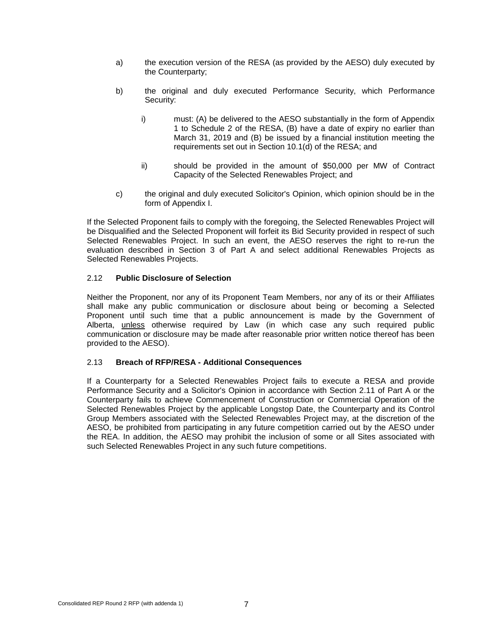- a) the execution version of the RESA (as provided by the AESO) duly executed by the Counterparty;
- b) the original and duly executed Performance Security, which Performance Security:
	- i) must: (A) be delivered to the AESO substantially in the form of Appendix 1 to Schedule 2 of the RESA, (B) have a date of expiry no earlier than March 31, 2019 and (B) be issued by a financial institution meeting the requirements set out in Section 10.1(d) of the RESA; and
	- ii) should be provided in the amount of \$50,000 per MW of Contract Capacity of the Selected Renewables Project; and
- c) the original and duly executed Solicitor's Opinion, which opinion should be in the form of Appendix I.

If the Selected Proponent fails to comply with the foregoing, the Selected Renewables Project will be Disqualified and the Selected Proponent will forfeit its Bid Security provided in respect of such Selected Renewables Project. In such an event, the AESO reserves the right to re-run the evaluation described in Section 3 of Part A and select additional Renewables Projects as Selected Renewables Projects.

#### <span id="page-11-0"></span>2.12 **Public Disclosure of Selection**

Neither the Proponent, nor any of its Proponent Team Members, nor any of its or their Affiliates shall make any public communication or disclosure about being or becoming a Selected Proponent until such time that a public announcement is made by the Government of Alberta, unless otherwise required by Law (in which case any such required public communication or disclosure may be made after reasonable prior written notice thereof has been provided to the AESO).

#### <span id="page-11-1"></span>2.13 **Breach of RFP/RESA - Additional Consequences**

If a Counterparty for a Selected Renewables Project fails to execute a RESA and provide Performance Security and a Solicitor's Opinion in accordance with Section 2.11 of Part A or the Counterparty fails to achieve Commencement of Construction or Commercial Operation of the Selected Renewables Project by the applicable Longstop Date, the Counterparty and its Control Group Members associated with the Selected Renewables Project may, at the discretion of the AESO, be prohibited from participating in any future competition carried out by the AESO under the REA. In addition, the AESO may prohibit the inclusion of some or all Sites associated with such Selected Renewables Project in any such future competitions.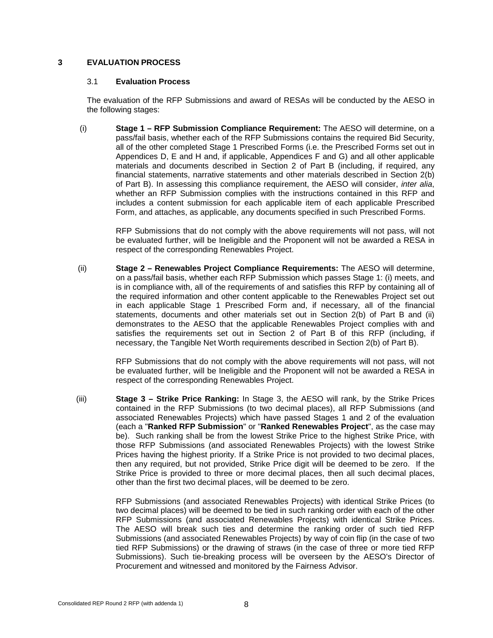#### <span id="page-12-1"></span><span id="page-12-0"></span>**3 EVALUATION PROCESS**

#### 3.1 **Evaluation Process**

The evaluation of the RFP Submissions and award of RESAs will be conducted by the AESO in the following stages:

(i) **Stage 1 – RFP Submission Compliance Requirement:** The AESO will determine, on a pass/fail basis, whether each of the RFP Submissions contains the required Bid Security, all of the other completed Stage 1 Prescribed Forms (i.e. the Prescribed Forms set out in Appendices D, E and H and, if applicable, Appendices F and G) and all other applicable materials and documents described in Section 2 of Part B (including, if required, any financial statements, narrative statements and other materials described in Section 2(b) of Part B). In assessing this compliance requirement, the AESO will consider, *inter alia*, whether an RFP Submission complies with the instructions contained in this RFP and includes a content submission for each applicable item of each applicable Prescribed Form, and attaches, as applicable, any documents specified in such Prescribed Forms.

RFP Submissions that do not comply with the above requirements will not pass, will not be evaluated further, will be Ineligible and the Proponent will not be awarded a RESA in respect of the corresponding Renewables Project.

(ii) **Stage 2 – Renewables Project Compliance Requirements:** The AESO will determine, on a pass/fail basis, whether each RFP Submission which passes Stage 1: (i) meets, and is in compliance with, all of the requirements of and satisfies this RFP by containing all of the required information and other content applicable to the Renewables Project set out in each applicable Stage 1 Prescribed Form and, if necessary, all of the financial statements, documents and other materials set out in Section 2(b) of Part B and (ii) demonstrates to the AESO that the applicable Renewables Project complies with and satisfies the requirements set out in Section 2 of Part B of this RFP (including, if necessary, the Tangible Net Worth requirements described in Section 2(b) of Part B).

> RFP Submissions that do not comply with the above requirements will not pass, will not be evaluated further, will be Ineligible and the Proponent will not be awarded a RESA in respect of the corresponding Renewables Project.

(iii) **Stage 3 – Strike Price Ranking:** In Stage 3, the AESO will rank, by the Strike Prices contained in the RFP Submissions (to two decimal places), all RFP Submissions (and associated Renewables Projects) which have passed Stages 1 and 2 of the evaluation (each a "**Ranked RFP Submission**" or "**Ranked Renewables Project**", as the case may be). Such ranking shall be from the lowest Strike Price to the highest Strike Price, with those RFP Submissions (and associated Renewables Projects) with the lowest Strike Prices having the highest priority. If a Strike Price is not provided to two decimal places, then any required, but not provided, Strike Price digit will be deemed to be zero. If the Strike Price is provided to three or more decimal places, then all such decimal places, other than the first two decimal places, will be deemed to be zero.

> RFP Submissions (and associated Renewables Projects) with identical Strike Prices (to two decimal places) will be deemed to be tied in such ranking order with each of the other RFP Submissions (and associated Renewables Projects) with identical Strike Prices. The AESO will break such ties and determine the ranking order of such tied RFP Submissions (and associated Renewables Projects) by way of coin flip (in the case of two tied RFP Submissions) or the drawing of straws (in the case of three or more tied RFP Submissions). Such tie-breaking process will be overseen by the AESO's Director of Procurement and witnessed and monitored by the Fairness Advisor.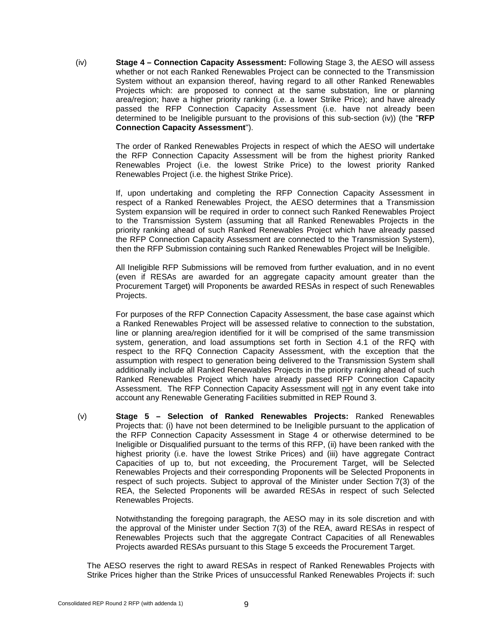(iv) **Stage 4 – Connection Capacity Assessment:** Following Stage 3, the AESO will assess whether or not each Ranked Renewables Project can be connected to the Transmission System without an expansion thereof, having regard to all other Ranked Renewables Projects which: are proposed to connect at the same substation, line or planning area/region; have a higher priority ranking (i.e. a lower Strike Price); and have already passed the RFP Connection Capacity Assessment (i.e. have not already been determined to be Ineligible pursuant to the provisions of this sub-section (iv)) (the "**RFP Connection Capacity Assessment**").

> The order of Ranked Renewables Projects in respect of which the AESO will undertake the RFP Connection Capacity Assessment will be from the highest priority Ranked Renewables Project (i.e. the lowest Strike Price) to the lowest priority Ranked Renewables Project (i.e. the highest Strike Price).

> If, upon undertaking and completing the RFP Connection Capacity Assessment in respect of a Ranked Renewables Project, the AESO determines that a Transmission System expansion will be required in order to connect such Ranked Renewables Project to the Transmission System (assuming that all Ranked Renewables Projects in the priority ranking ahead of such Ranked Renewables Project which have already passed the RFP Connection Capacity Assessment are connected to the Transmission System), then the RFP Submission containing such Ranked Renewables Project will be Ineligible.

> All Ineligible RFP Submissions will be removed from further evaluation, and in no event (even if RESAs are awarded for an aggregate capacity amount greater than the Procurement Target) will Proponents be awarded RESAs in respect of such Renewables Projects.

> For purposes of the RFP Connection Capacity Assessment, the base case against which a Ranked Renewables Project will be assessed relative to connection to the substation, line or planning area/region identified for it will be comprised of the same transmission system, generation, and load assumptions set forth in Section 4.1 of the RFQ with respect to the RFQ Connection Capacity Assessment, with the exception that the assumption with respect to generation being delivered to the Transmission System shall additionally include all Ranked Renewables Projects in the priority ranking ahead of such Ranked Renewables Project which have already passed RFP Connection Capacity Assessment. The RFP Connection Capacity Assessment will not in any event take into account any Renewable Generating Facilities submitted in REP Round 3.

(v) **Stage 5 – Selection of Ranked Renewables Projects:** Ranked Renewables Projects that: (i) have not been determined to be Ineligible pursuant to the application of the RFP Connection Capacity Assessment in Stage 4 or otherwise determined to be Ineligible or Disqualified pursuant to the terms of this RFP, (ii) have been ranked with the highest priority (i.e. have the lowest Strike Prices) and (iii) have aggregate Contract Capacities of up to, but not exceeding, the Procurement Target, will be Selected Renewables Projects and their corresponding Proponents will be Selected Proponents in respect of such projects. Subject to approval of the Minister under Section 7(3) of the REA, the Selected Proponents will be awarded RESAs in respect of such Selected Renewables Projects.

> Notwithstanding the foregoing paragraph, the AESO may in its sole discretion and with the approval of the Minister under Section 7(3) of the REA, award RESAs in respect of Renewables Projects such that the aggregate Contract Capacities of all Renewables Projects awarded RESAs pursuant to this Stage 5 exceeds the Procurement Target.

The AESO reserves the right to award RESAs in respect of Ranked Renewables Projects with Strike Prices higher than the Strike Prices of unsuccessful Ranked Renewables Projects if: such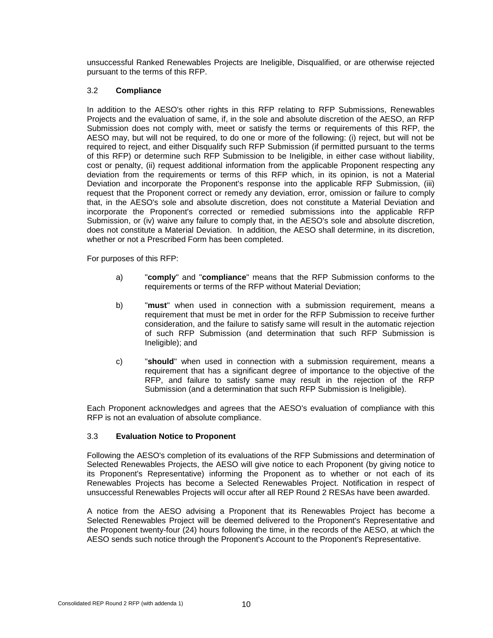unsuccessful Ranked Renewables Projects are Ineligible, Disqualified, or are otherwise rejected pursuant to the terms of this RFP.

#### <span id="page-14-0"></span>3.2 **Compliance**

In addition to the AESO's other rights in this RFP relating to RFP Submissions, Renewables Projects and the evaluation of same, if, in the sole and absolute discretion of the AESO, an RFP Submission does not comply with, meet or satisfy the terms or requirements of this RFP, the AESO may, but will not be required, to do one or more of the following: (i) reject, but will not be required to reject, and either Disqualify such RFP Submission (if permitted pursuant to the terms of this RFP) or determine such RFP Submission to be Ineligible, in either case without liability, cost or penalty, (ii) request additional information from the applicable Proponent respecting any deviation from the requirements or terms of this RFP which, in its opinion, is not a Material Deviation and incorporate the Proponent's response into the applicable RFP Submission, (iii) request that the Proponent correct or remedy any deviation, error, omission or failure to comply that, in the AESO's sole and absolute discretion, does not constitute a Material Deviation and incorporate the Proponent's corrected or remedied submissions into the applicable RFP Submission, or (iv) waive any failure to comply that, in the AESO's sole and absolute discretion, does not constitute a Material Deviation. In addition, the AESO shall determine, in its discretion, whether or not a Prescribed Form has been completed.

For purposes of this RFP:

- a) "**comply**" and "**compliance**" means that the RFP Submission conforms to the requirements or terms of the RFP without Material Deviation;
- b) "**must**" when used in connection with a submission requirement, means a requirement that must be met in order for the RFP Submission to receive further consideration, and the failure to satisfy same will result in the automatic rejection of such RFP Submission (and determination that such RFP Submission is Ineligible); and
- c) "**should**" when used in connection with a submission requirement, means a requirement that has a significant degree of importance to the objective of the RFP, and failure to satisfy same may result in the rejection of the RFP Submission (and a determination that such RFP Submission is Ineligible).

Each Proponent acknowledges and agrees that the AESO's evaluation of compliance with this RFP is not an evaluation of absolute compliance.

#### <span id="page-14-1"></span>3.3 **Evaluation Notice to Proponent**

Following the AESO's completion of its evaluations of the RFP Submissions and determination of Selected Renewables Projects, the AESO will give notice to each Proponent (by giving notice to its Proponent's Representative) informing the Proponent as to whether or not each of its Renewables Projects has become a Selected Renewables Project. Notification in respect of unsuccessful Renewables Projects will occur after all REP Round 2 RESAs have been awarded.

A notice from the AESO advising a Proponent that its Renewables Project has become a Selected Renewables Project will be deemed delivered to the Proponent's Representative and the Proponent twenty-four (24) hours following the time, in the records of the AESO, at which the AESO sends such notice through the Proponent's Account to the Proponent's Representative.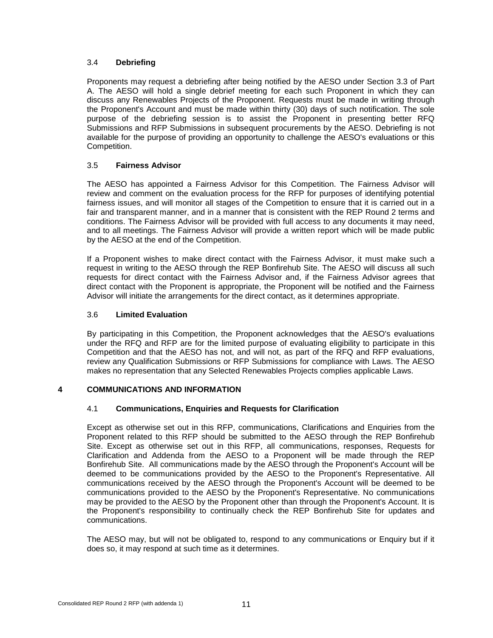#### <span id="page-15-0"></span>3.4 **Debriefing**

Proponents may request a debriefing after being notified by the AESO under Section 3.3 of Part A. The AESO will hold a single debrief meeting for each such Proponent in which they can discuss any Renewables Projects of the Proponent. Requests must be made in writing through the Proponent's Account and must be made within thirty (30) days of such notification. The sole purpose of the debriefing session is to assist the Proponent in presenting better RFQ Submissions and RFP Submissions in subsequent procurements by the AESO. Debriefing is not available for the purpose of providing an opportunity to challenge the AESO's evaluations or this Competition.

#### <span id="page-15-1"></span>3.5 **Fairness Advisor**

The AESO has appointed a Fairness Advisor for this Competition. The Fairness Advisor will review and comment on the evaluation process for the RFP for purposes of identifying potential fairness issues, and will monitor all stages of the Competition to ensure that it is carried out in a fair and transparent manner, and in a manner that is consistent with the REP Round 2 terms and conditions. The Fairness Advisor will be provided with full access to any documents it may need, and to all meetings. The Fairness Advisor will provide a written report which will be made public by the AESO at the end of the Competition.

If a Proponent wishes to make direct contact with the Fairness Advisor, it must make such a request in writing to the AESO through the REP Bonfirehub Site. The AESO will discuss all such requests for direct contact with the Fairness Advisor and, if the Fairness Advisor agrees that direct contact with the Proponent is appropriate, the Proponent will be notified and the Fairness Advisor will initiate the arrangements for the direct contact, as it determines appropriate.

#### <span id="page-15-2"></span>3.6 **Limited Evaluation**

By participating in this Competition, the Proponent acknowledges that the AESO's evaluations under the RFQ and RFP are for the limited purpose of evaluating eligibility to participate in this Competition and that the AESO has not, and will not, as part of the RFQ and RFP evaluations, review any Qualification Submissions or RFP Submissions for compliance with Laws. The AESO makes no representation that any Selected Renewables Projects complies applicable Laws.

#### <span id="page-15-4"></span><span id="page-15-3"></span>**4 COMMUNICATIONS AND INFORMATION**

#### 4.1 **Communications, Enquiries and Requests for Clarification**

Except as otherwise set out in this RFP, communications, Clarifications and Enquiries from the Proponent related to this RFP should be submitted to the AESO through the REP Bonfirehub Site. Except as otherwise set out in this RFP, all communications, responses, Requests for Clarification and Addenda from the AESO to a Proponent will be made through the REP Bonfirehub Site. All communications made by the AESO through the Proponent's Account will be deemed to be communications provided by the AESO to the Proponent's Representative. All communications received by the AESO through the Proponent's Account will be deemed to be communications provided to the AESO by the Proponent's Representative. No communications may be provided to the AESO by the Proponent other than through the Proponent's Account. It is the Proponent's responsibility to continually check the REP Bonfirehub Site for updates and communications.

The AESO may, but will not be obligated to, respond to any communications or Enquiry but if it does so, it may respond at such time as it determines.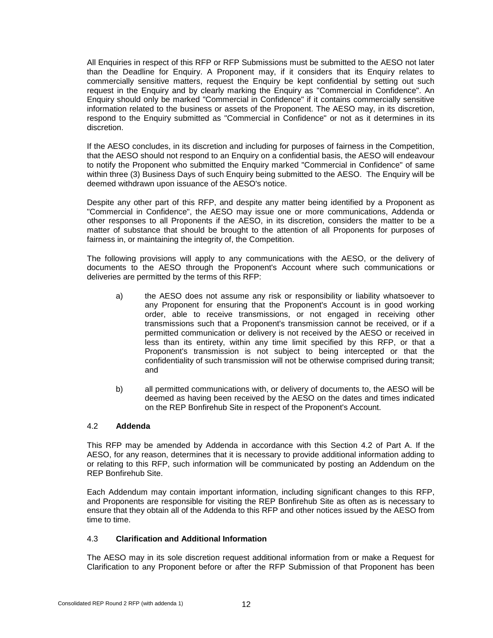All Enquiries in respect of this RFP or RFP Submissions must be submitted to the AESO not later than the Deadline for Enquiry. A Proponent may, if it considers that its Enquiry relates to commercially sensitive matters, request the Enquiry be kept confidential by setting out such request in the Enquiry and by clearly marking the Enquiry as "Commercial in Confidence". An Enquiry should only be marked "Commercial in Confidence" if it contains commercially sensitive information related to the business or assets of the Proponent. The AESO may, in its discretion, respond to the Enquiry submitted as "Commercial in Confidence" or not as it determines in its discretion.

If the AESO concludes, in its discretion and including for purposes of fairness in the Competition, that the AESO should not respond to an Enquiry on a confidential basis, the AESO will endeavour to notify the Proponent who submitted the Enquiry marked "Commercial in Confidence" of same within three (3) Business Days of such Enquiry being submitted to the AESO. The Enquiry will be deemed withdrawn upon issuance of the AESO's notice.

Despite any other part of this RFP, and despite any matter being identified by a Proponent as "Commercial in Confidence", the AESO may issue one or more communications, Addenda or other responses to all Proponents if the AESO, in its discretion, considers the matter to be a matter of substance that should be brought to the attention of all Proponents for purposes of fairness in, or maintaining the integrity of, the Competition.

The following provisions will apply to any communications with the AESO, or the delivery of documents to the AESO through the Proponent's Account where such communications or deliveries are permitted by the terms of this RFP:

- a) the AESO does not assume any risk or responsibility or liability whatsoever to any Proponent for ensuring that the Proponent's Account is in good working order, able to receive transmissions, or not engaged in receiving other transmissions such that a Proponent's transmission cannot be received, or if a permitted communication or delivery is not received by the AESO or received in less than its entirety, within any time limit specified by this RFP, or that a Proponent's transmission is not subject to being intercepted or that the confidentiality of such transmission will not be otherwise comprised during transit; and
- b) all permitted communications with, or delivery of documents to, the AESO will be deemed as having been received by the AESO on the dates and times indicated on the REP Bonfirehub Site in respect of the Proponent's Account.

#### <span id="page-16-0"></span>4.2 **Addenda**

This RFP may be amended by Addenda in accordance with this Section 4.2 of Part A. If the AESO, for any reason, determines that it is necessary to provide additional information adding to or relating to this RFP, such information will be communicated by posting an Addendum on the REP Bonfirehub Site.

Each Addendum may contain important information, including significant changes to this RFP, and Proponents are responsible for visiting the REP Bonfirehub Site as often as is necessary to ensure that they obtain all of the Addenda to this RFP and other notices issued by the AESO from time to time.

#### <span id="page-16-1"></span>4.3 **Clarification and Additional Information**

The AESO may in its sole discretion request additional information from or make a Request for Clarification to any Proponent before or after the RFP Submission of that Proponent has been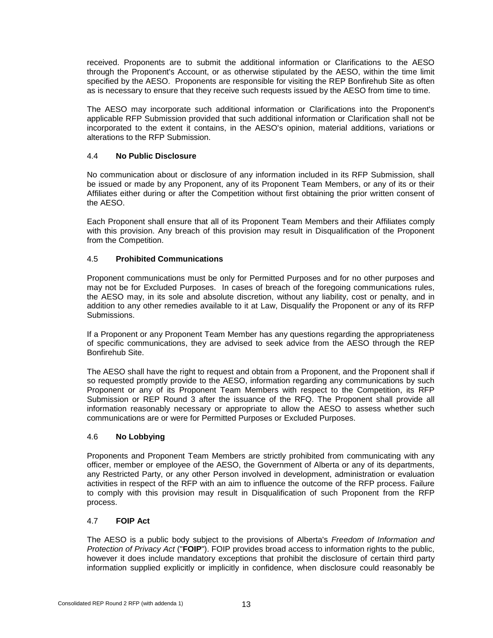received. Proponents are to submit the additional information or Clarifications to the AESO through the Proponent's Account, or as otherwise stipulated by the AESO, within the time limit specified by the AESO. Proponents are responsible for visiting the REP Bonfirehub Site as often as is necessary to ensure that they receive such requests issued by the AESO from time to time.

The AESO may incorporate such additional information or Clarifications into the Proponent's applicable RFP Submission provided that such additional information or Clarification shall not be incorporated to the extent it contains, in the AESO's opinion, material additions, variations or alterations to the RFP Submission.

#### <span id="page-17-0"></span>4.4 **No Public Disclosure**

No communication about or disclosure of any information included in its RFP Submission, shall be issued or made by any Proponent, any of its Proponent Team Members, or any of its or their Affiliates either during or after the Competition without first obtaining the prior written consent of the AESO.

Each Proponent shall ensure that all of its Proponent Team Members and their Affiliates comply with this provision. Any breach of this provision may result in Disqualification of the Proponent from the Competition.

#### <span id="page-17-1"></span>4.5 **Prohibited Communications**

Proponent communications must be only for Permitted Purposes and for no other purposes and may not be for Excluded Purposes. In cases of breach of the foregoing communications rules, the AESO may, in its sole and absolute discretion, without any liability, cost or penalty, and in addition to any other remedies available to it at Law, Disqualify the Proponent or any of its RFP Submissions.

If a Proponent or any Proponent Team Member has any questions regarding the appropriateness of specific communications, they are advised to seek advice from the AESO through the REP Bonfirehub Site.

The AESO shall have the right to request and obtain from a Proponent, and the Proponent shall if so requested promptly provide to the AESO, information regarding any communications by such Proponent or any of its Proponent Team Members with respect to the Competition, its RFP Submission or REP Round 3 after the issuance of the RFQ. The Proponent shall provide all information reasonably necessary or appropriate to allow the AESO to assess whether such communications are or were for Permitted Purposes or Excluded Purposes.

#### <span id="page-17-2"></span>4.6 **No Lobbying**

Proponents and Proponent Team Members are strictly prohibited from communicating with any officer, member or employee of the AESO, the Government of Alberta or any of its departments, any Restricted Party, or any other Person involved in development, administration or evaluation activities in respect of the RFP with an aim to influence the outcome of the RFP process. Failure to comply with this provision may result in Disqualification of such Proponent from the RFP process.

#### <span id="page-17-3"></span>4.7 **FOIP Act**

The AESO is a public body subject to the provisions of Alberta's *Freedom of Information and Protection of Privacy Act* ("**FOIP**"). FOIP provides broad access to information rights to the public, however it does include mandatory exceptions that prohibit the disclosure of certain third party information supplied explicitly or implicitly in confidence, when disclosure could reasonably be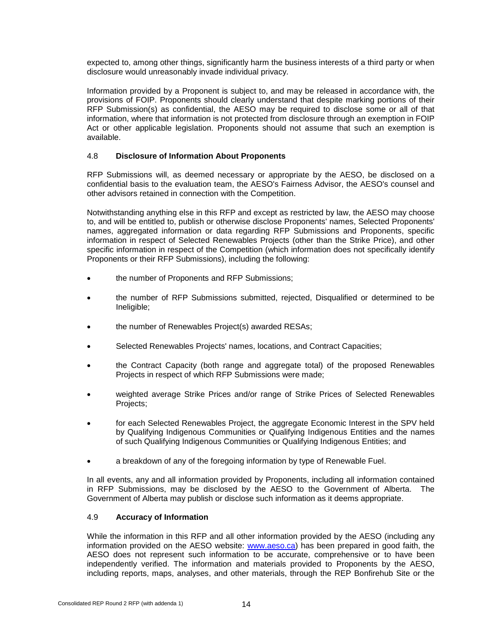expected to, among other things, significantly harm the business interests of a third party or when disclosure would unreasonably invade individual privacy.

Information provided by a Proponent is subject to, and may be released in accordance with, the provisions of FOIP. Proponents should clearly understand that despite marking portions of their RFP Submission(s) as confidential, the AESO may be required to disclose some or all of that information, where that information is not protected from disclosure through an exemption in FOIP Act or other applicable legislation. Proponents should not assume that such an exemption is available.

#### <span id="page-18-0"></span>4.8 **Disclosure of Information About Proponents**

RFP Submissions will, as deemed necessary or appropriate by the AESO, be disclosed on a confidential basis to the evaluation team, the AESO's Fairness Advisor, the AESO's counsel and other advisors retained in connection with the Competition.

Notwithstanding anything else in this RFP and except as restricted by law, the AESO may choose to, and will be entitled to, publish or otherwise disclose Proponents' names, Selected Proponents' names, aggregated information or data regarding RFP Submissions and Proponents, specific information in respect of Selected Renewables Projects (other than the Strike Price), and other specific information in respect of the Competition (which information does not specifically identify Proponents or their RFP Submissions), including the following:

- the number of Proponents and RFP Submissions;
- the number of RFP Submissions submitted, rejected, Disqualified or determined to be Ineligible;
- the number of Renewables Project(s) awarded RESAs;
- Selected Renewables Projects' names, locations, and Contract Capacities;
- the Contract Capacity (both range and aggregate total) of the proposed Renewables Projects in respect of which RFP Submissions were made;
- weighted average Strike Prices and/or range of Strike Prices of Selected Renewables Projects;
- for each Selected Renewables Project, the aggregate Economic Interest in the SPV held by Qualifying Indigenous Communities or Qualifying Indigenous Entities and the names of such Qualifying Indigenous Communities or Qualifying Indigenous Entities; and
- a breakdown of any of the foregoing information by type of Renewable Fuel.

In all events, any and all information provided by Proponents, including all information contained in RFP Submissions, may be disclosed by the AESO to the Government of Alberta. The Government of Alberta may publish or disclose such information as it deems appropriate.

#### <span id="page-18-1"></span>4.9 **Accuracy of Information**

While the information in this RFP and all other information provided by the AESO (including any information provided on the AESO website: [www.aeso.ca\)](http://www.aeso.ca/) has been prepared in good faith, the AESO does not represent such information to be accurate, comprehensive or to have been independently verified. The information and materials provided to Proponents by the AESO, including reports, maps, analyses, and other materials, through the REP Bonfirehub Site or the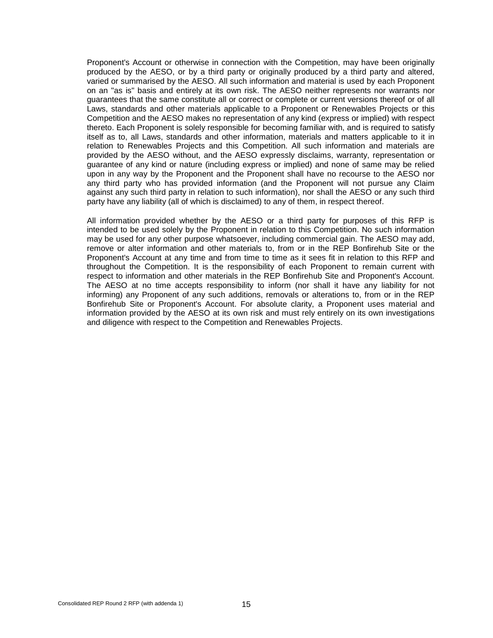Proponent's Account or otherwise in connection with the Competition, may have been originally produced by the AESO, or by a third party or originally produced by a third party and altered, varied or summarised by the AESO. All such information and material is used by each Proponent on an "as is" basis and entirely at its own risk. The AESO neither represents nor warrants nor guarantees that the same constitute all or correct or complete or current versions thereof or of all Laws, standards and other materials applicable to a Proponent or Renewables Projects or this Competition and the AESO makes no representation of any kind (express or implied) with respect thereto. Each Proponent is solely responsible for becoming familiar with, and is required to satisfy itself as to, all Laws, standards and other information, materials and matters applicable to it in relation to Renewables Projects and this Competition. All such information and materials are provided by the AESO without, and the AESO expressly disclaims, warranty, representation or guarantee of any kind or nature (including express or implied) and none of same may be relied upon in any way by the Proponent and the Proponent shall have no recourse to the AESO nor any third party who has provided information (and the Proponent will not pursue any Claim against any such third party in relation to such information), nor shall the AESO or any such third party have any liability (all of which is disclaimed) to any of them, in respect thereof.

All information provided whether by the AESO or a third party for purposes of this RFP is intended to be used solely by the Proponent in relation to this Competition. No such information may be used for any other purpose whatsoever, including commercial gain. The AESO may add, remove or alter information and other materials to, from or in the REP Bonfirehub Site or the Proponent's Account at any time and from time to time as it sees fit in relation to this RFP and throughout the Competition. It is the responsibility of each Proponent to remain current with respect to information and other materials in the REP Bonfirehub Site and Proponent's Account. The AESO at no time accepts responsibility to inform (nor shall it have any liability for not informing) any Proponent of any such additions, removals or alterations to, from or in the REP Bonfirehub Site or Proponent's Account. For absolute clarity, a Proponent uses material and information provided by the AESO at its own risk and must rely entirely on its own investigations and diligence with respect to the Competition and Renewables Projects.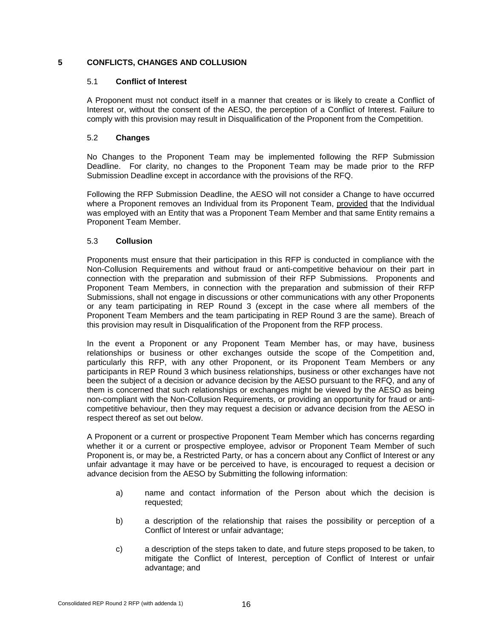#### <span id="page-20-1"></span><span id="page-20-0"></span>**5 CONFLICTS, CHANGES AND COLLUSION**

#### 5.1 **Conflict of Interest**

A Proponent must not conduct itself in a manner that creates or is likely to create a Conflict of Interest or, without the consent of the AESO, the perception of a Conflict of Interest. Failure to comply with this provision may result in Disqualification of the Proponent from the Competition.

#### <span id="page-20-2"></span>5.2 **Changes**

No Changes to the Proponent Team may be implemented following the RFP Submission Deadline. For clarity, no changes to the Proponent Team may be made prior to the RFP Submission Deadline except in accordance with the provisions of the RFQ.

Following the RFP Submission Deadline, the AESO will not consider a Change to have occurred where a Proponent removes an Individual from its Proponent Team, provided that the Individual was employed with an Entity that was a Proponent Team Member and that same Entity remains a Proponent Team Member.

#### <span id="page-20-3"></span>5.3 **Collusion**

Proponents must ensure that their participation in this RFP is conducted in compliance with the Non-Collusion Requirements and without fraud or anti-competitive behaviour on their part in connection with the preparation and submission of their RFP Submissions. Proponents and Proponent Team Members, in connection with the preparation and submission of their RFP Submissions, shall not engage in discussions or other communications with any other Proponents or any team participating in REP Round 3 (except in the case where all members of the Proponent Team Members and the team participating in REP Round 3 are the same). Breach of this provision may result in Disqualification of the Proponent from the RFP process.

In the event a Proponent or any Proponent Team Member has, or may have, business relationships or business or other exchanges outside the scope of the Competition and, particularly this RFP, with any other Proponent, or its Proponent Team Members or any participants in REP Round 3 which business relationships, business or other exchanges have not been the subject of a decision or advance decision by the AESO pursuant to the RFQ, and any of them is concerned that such relationships or exchanges might be viewed by the AESO as being non-compliant with the Non-Collusion Requirements, or providing an opportunity for fraud or anticompetitive behaviour, then they may request a decision or advance decision from the AESO in respect thereof as set out below.

A Proponent or a current or prospective Proponent Team Member which has concerns regarding whether it or a current or prospective employee, advisor or Proponent Team Member of such Proponent is, or may be, a Restricted Party, or has a concern about any Conflict of Interest or any unfair advantage it may have or be perceived to have, is encouraged to request a decision or advance decision from the AESO by Submitting the following information:

- a) name and contact information of the Person about which the decision is requested;
- b) a description of the relationship that raises the possibility or perception of a Conflict of Interest or unfair advantage;
- c) a description of the steps taken to date, and future steps proposed to be taken, to mitigate the Conflict of Interest, perception of Conflict of Interest or unfair advantage; and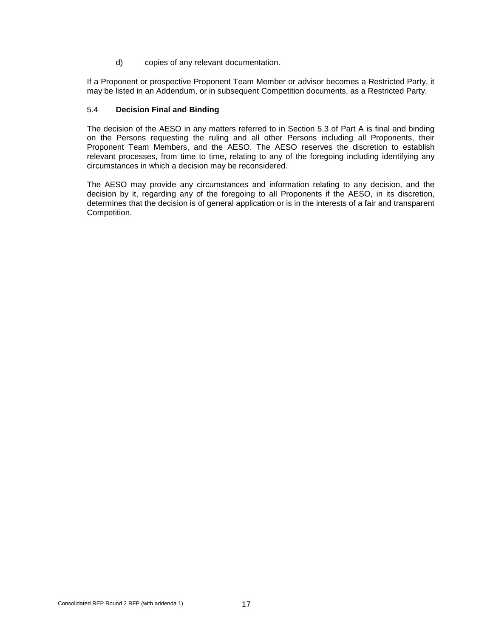d) copies of any relevant documentation.

If a Proponent or prospective Proponent Team Member or advisor becomes a Restricted Party, it may be listed in an Addendum, or in subsequent Competition documents, as a Restricted Party.

#### <span id="page-21-0"></span>5.4 **Decision Final and Binding**

The decision of the AESO in any matters referred to in Section 5.3 of Part A is final and binding on the Persons requesting the ruling and all other Persons including all Proponents, their Proponent Team Members, and the AESO. The AESO reserves the discretion to establish relevant processes, from time to time, relating to any of the foregoing including identifying any circumstances in which a decision may be reconsidered.

The AESO may provide any circumstances and information relating to any decision, and the decision by it, regarding any of the foregoing to all Proponents if the AESO, in its discretion, determines that the decision is of general application or is in the interests of a fair and transparent Competition.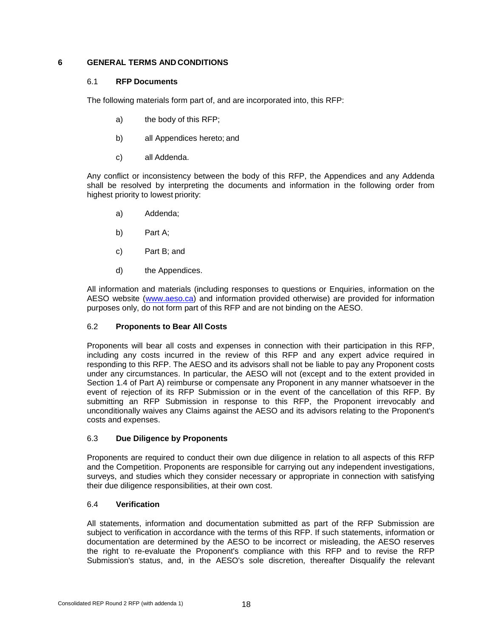#### <span id="page-22-1"></span><span id="page-22-0"></span>**6 GENERAL TERMS AND CONDITIONS**

#### 6.1 **RFP Documents**

The following materials form part of, and are incorporated into, this RFP:

- a) the body of this RFP;
- b) all Appendices hereto; and
- c) all Addenda.

Any conflict or inconsistency between the body of this RFP, the Appendices and any Addenda shall be resolved by interpreting the documents and information in the following order from highest priority to lowest priority:

- a) Addenda;
- b) Part A;
- c) Part B; and
- d) the Appendices.

All information and materials (including responses to questions or Enquiries, information on the AESO website [\(www.aeso.ca\)](http://www.aeso.ca/) and information provided otherwise) are provided for information purposes only, do not form part of this RFP and are not binding on the AESO.

#### <span id="page-22-2"></span>6.2 **Proponents to Bear All Costs**

Proponents will bear all costs and expenses in connection with their participation in this RFP, including any costs incurred in the review of this RFP and any expert advice required in responding to this RFP. The AESO and its advisors shall not be liable to pay any Proponent costs under any circumstances. In particular, the AESO will not (except and to the extent provided in Section 1.4 of Part A) reimburse or compensate any Proponent in any manner whatsoever in the event of rejection of its RFP Submission or in the event of the cancellation of this RFP. By submitting an RFP Submission in response to this RFP, the Proponent irrevocably and unconditionally waives any Claims against the AESO and its advisors relating to the Proponent's costs and expenses.

#### <span id="page-22-3"></span>6.3 **Due Diligence by Proponents**

Proponents are required to conduct their own due diligence in relation to all aspects of this RFP and the Competition. Proponents are responsible for carrying out any independent investigations, surveys, and studies which they consider necessary or appropriate in connection with satisfying their due diligence responsibilities, at their own cost.

#### <span id="page-22-4"></span>6.4 **Verification**

All statements, information and documentation submitted as part of the RFP Submission are subject to verification in accordance with the terms of this RFP. If such statements, information or documentation are determined by the AESO to be incorrect or misleading, the AESO reserves the right to re-evaluate the Proponent's compliance with this RFP and to revise the RFP Submission's status, and, in the AESO's sole discretion, thereafter Disqualify the relevant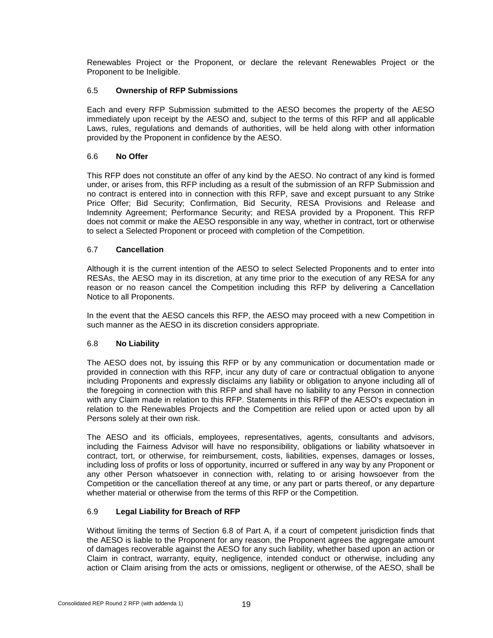Renewables Project or the Proponent, or declare the relevant Renewables Project or the Proponent to be Ineligible.

#### <span id="page-23-0"></span>6.5 **Ownership of RFP Submissions**

Each and every RFP Submission submitted to the AESO becomes the property of the AESO immediately upon receipt by the AESO and, subject to the terms of this RFP and all applicable Laws, rules, regulations and demands of authorities, will be held along with other information provided by the Proponent in confidence by the AESO.

#### <span id="page-23-1"></span>6.6 **No Offer**

This RFP does not constitute an offer of any kind by the AESO. No contract of any kind is formed under, or arises from, this RFP including as a result of the submission of an RFP Submission and no contract is entered into in connection with this RFP, save and except pursuant to any Strike Price Offer; Bid Security; Confirmation, Bid Security, RESA Provisions and Release and Indemnity Agreement; Performance Security; and RESA provided by a Proponent. This RFP does not commit or make the AESO responsible in any way, whether in contract, tort or otherwise to select a Selected Proponent or proceed with completion of the Competition.

#### <span id="page-23-2"></span>6.7 **Cancellation**

Although it is the current intention of the AESO to select Selected Proponents and to enter into RESAs, the AESO may in its discretion, at any time prior to the execution of any RESA for any reason or no reason cancel the Competition including this RFP by delivering a Cancellation Notice to all Proponents.

In the event that the AESO cancels this RFP, the AESO may proceed with a new Competition in such manner as the AESO in its discretion considers appropriate.

#### <span id="page-23-3"></span>6.8 **No Liability**

The AESO does not, by issuing this RFP or by any communication or documentation made or provided in connection with this RFP, incur any duty of care or contractual obligation to anyone including Proponents and expressly disclaims any liability or obligation to anyone including all of the foregoing in connection with this RFP and shall have no liability to any Person in connection with any Claim made in relation to this RFP. Statements in this RFP of the AESO's expectation in relation to the Renewables Projects and the Competition are relied upon or acted upon by all Persons solely at their own risk.

The AESO and its officials, employees, representatives, agents, consultants and advisors, including the Fairness Advisor will have no responsibility, obligations or liability whatsoever in contract, tort, or otherwise, for reimbursement, costs, liabilities, expenses, damages or losses, including loss of profits or loss of opportunity, incurred or suffered in any way by any Proponent or any other Person whatsoever in connection with, relating to or arising howsoever from the Competition or the cancellation thereof at any time, or any part or parts thereof, or any departure whether material or otherwise from the terms of this RFP or the Competition.

#### <span id="page-23-4"></span>6.9 **Legal Liability for Breach of RFP**

Without limiting the terms of Section 6.8 of Part A, if a court of competent jurisdiction finds that the AESO is liable to the Proponent for any reason, the Proponent agrees the aggregate amount of damages recoverable against the AESO for any such liability, whether based upon an action or Claim in contract, warranty, equity, negligence, intended conduct or otherwise, including any action or Claim arising from the acts or omissions, negligent or otherwise, of the AESO, shall be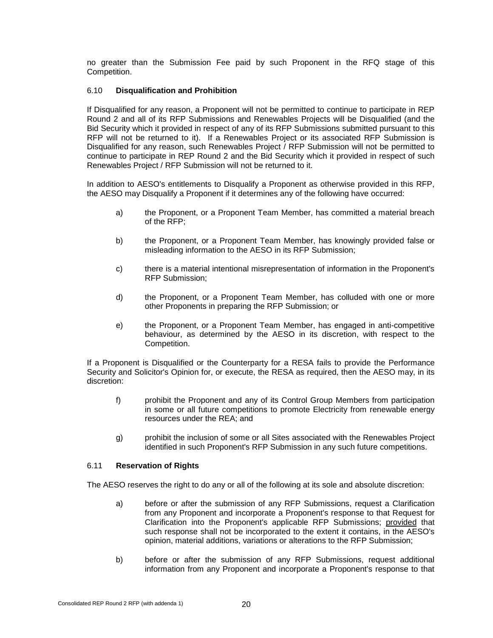no greater than the Submission Fee paid by such Proponent in the RFQ stage of this Competition.

#### <span id="page-24-0"></span>6.10 **Disqualification and Prohibition**

If Disqualified for any reason, a Proponent will not be permitted to continue to participate in REP Round 2 and all of its RFP Submissions and Renewables Projects will be Disqualified (and the Bid Security which it provided in respect of any of its RFP Submissions submitted pursuant to this RFP will not be returned to it). If a Renewables Project or its associated RFP Submission is Disqualified for any reason, such Renewables Project / RFP Submission will not be permitted to continue to participate in REP Round 2 and the Bid Security which it provided in respect of such Renewables Project / RFP Submission will not be returned to it.

In addition to AESO's entitlements to Disqualify a Proponent as otherwise provided in this RFP, the AESO may Disqualify a Proponent if it determines any of the following have occurred:

- a) the Proponent, or a Proponent Team Member, has committed a material breach of the RFP;
- b) the Proponent, or a Proponent Team Member, has knowingly provided false or misleading information to the AESO in its RFP Submission;
- c) there is a material intentional misrepresentation of information in the Proponent's RFP Submission;
- d) the Proponent, or a Proponent Team Member, has colluded with one or more other Proponents in preparing the RFP Submission; or
- e) the Proponent, or a Proponent Team Member, has engaged in anti-competitive behaviour, as determined by the AESO in its discretion, with respect to the Competition.

If a Proponent is Disqualified or the Counterparty for a RESA fails to provide the Performance Security and Solicitor's Opinion for, or execute, the RESA as required, then the AESO may, in its discretion:

- f) prohibit the Proponent and any of its Control Group Members from participation in some or all future competitions to promote Electricity from renewable energy resources under the REA; and
- g) prohibit the inclusion of some or all Sites associated with the Renewables Project identified in such Proponent's RFP Submission in any such future competitions.

#### <span id="page-24-1"></span>6.11 **Reservation of Rights**

The AESO reserves the right to do any or all of the following at its sole and absolute discretion:

- a) before or after the submission of any RFP Submissions, request a Clarification from any Proponent and incorporate a Proponent's response to that Request for Clarification into the Proponent's applicable RFP Submissions; provided that such response shall not be incorporated to the extent it contains, in the AESO's opinion, material additions, variations or alterations to the RFP Submission;
- b) before or after the submission of any RFP Submissions, request additional information from any Proponent and incorporate a Proponent's response to that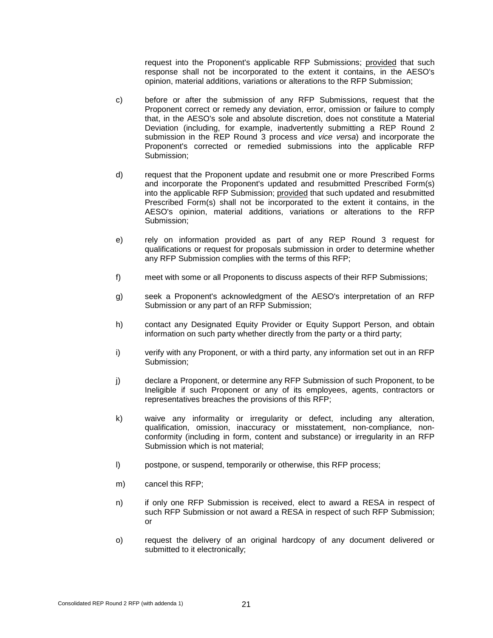request into the Proponent's applicable RFP Submissions; provided that such response shall not be incorporated to the extent it contains, in the AESO's opinion, material additions, variations or alterations to the RFP Submission;

- c) before or after the submission of any RFP Submissions, request that the Proponent correct or remedy any deviation, error, omission or failure to comply that, in the AESO's sole and absolute discretion, does not constitute a Material Deviation (including, for example, inadvertently submitting a REP Round 2 submission in the REP Round 3 process and *vice versa*) and incorporate the Proponent's corrected or remedied submissions into the applicable RFP Submission;
- d) request that the Proponent update and resubmit one or more Prescribed Forms and incorporate the Proponent's updated and resubmitted Prescribed Form(s) into the applicable RFP Submission; provided that such updated and resubmitted Prescribed Form(s) shall not be incorporated to the extent it contains, in the AESO's opinion, material additions, variations or alterations to the RFP Submission;
- e) rely on information provided as part of any REP Round 3 request for qualifications or request for proposals submission in order to determine whether any RFP Submission complies with the terms of this RFP;
- f) meet with some or all Proponents to discuss aspects of their RFP Submissions;
- g) seek a Proponent's acknowledgment of the AESO's interpretation of an RFP Submission or any part of an RFP Submission;
- h) contact any Designated Equity Provider or Equity Support Person, and obtain information on such party whether directly from the party or a third party;
- i) verify with any Proponent, or with a third party, any information set out in an RFP Submission;
- j) declare a Proponent, or determine any RFP Submission of such Proponent, to be Ineligible if such Proponent or any of its employees, agents, contractors or representatives breaches the provisions of this RFP;
- k) waive any informality or irregularity or defect, including any alteration, qualification, omission, inaccuracy or misstatement, non-compliance, nonconformity (including in form, content and substance) or irregularity in an RFP Submission which is not material;
- l) postpone, or suspend, temporarily or otherwise, this RFP process;
- m) cancel this RFP;
- n) if only one RFP Submission is received, elect to award a RESA in respect of such RFP Submission or not award a RESA in respect of such RFP Submission; or
- o) request the delivery of an original hardcopy of any document delivered or submitted to it electronically;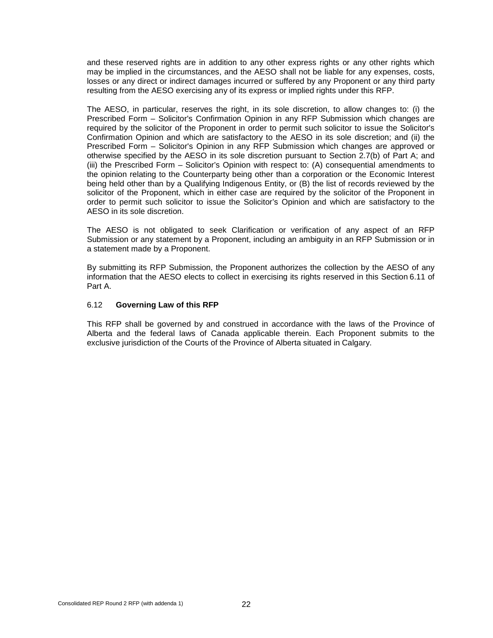and these reserved rights are in addition to any other express rights or any other rights which may be implied in the circumstances, and the AESO shall not be liable for any expenses, costs, losses or any direct or indirect damages incurred or suffered by any Proponent or any third party resulting from the AESO exercising any of its express or implied rights under this RFP.

The AESO, in particular, reserves the right, in its sole discretion, to allow changes to: (i) the Prescribed Form – Solicitor's Confirmation Opinion in any RFP Submission which changes are required by the solicitor of the Proponent in order to permit such solicitor to issue the Solicitor's Confirmation Opinion and which are satisfactory to the AESO in its sole discretion; and (ii) the Prescribed Form – Solicitor's Opinion in any RFP Submission which changes are approved or otherwise specified by the AESO in its sole discretion pursuant to Section 2.7(b) of Part A; and (iii) the Prescribed Form – Solicitor's Opinion with respect to: (A) consequential amendments to the opinion relating to the Counterparty being other than a corporation or the Economic Interest being held other than by a Qualifying Indigenous Entity, or (B) the list of records reviewed by the solicitor of the Proponent, which in either case are required by the solicitor of the Proponent in order to permit such solicitor to issue the Solicitor's Opinion and which are satisfactory to the AESO in its sole discretion.

The AESO is not obligated to seek Clarification or verification of any aspect of an RFP Submission or any statement by a Proponent, including an ambiguity in an RFP Submission or in a statement made by a Proponent.

By submitting its RFP Submission, the Proponent authorizes the collection by the AESO of any information that the AESO elects to collect in exercising its rights reserved in this Section 6.11 of Part A.

#### <span id="page-26-0"></span>6.12 **Governing Law of this RFP**

This RFP shall be governed by and construed in accordance with the laws of the Province of Alberta and the federal laws of Canada applicable therein. Each Proponent submits to the exclusive jurisdiction of the Courts of the Province of Alberta situated in Calgary.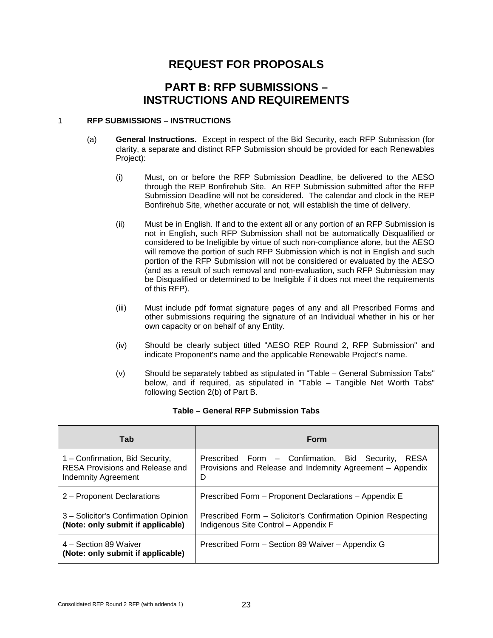# **REQUEST FOR PROPOSALS**

### **PART B: RFP SUBMISSIONS – INSTRUCTIONS AND REQUIREMENTS**

#### <span id="page-27-0"></span>1 **RFP SUBMISSIONS – INSTRUCTIONS**

- (a) **General Instructions.** Except in respect of the Bid Security, each RFP Submission (for clarity, a separate and distinct RFP Submission should be provided for each Renewables Project):
	- (i) Must, on or before the RFP Submission Deadline, be delivered to the AESO through the REP Bonfirehub Site. An RFP Submission submitted after the RFP Submission Deadline will not be considered. The calendar and clock in the REP Bonfirehub Site, whether accurate or not, will establish the time of delivery.
	- (ii) Must be in English. If and to the extent all or any portion of an RFP Submission is not in English, such RFP Submission shall not be automatically Disqualified or considered to be Ineligible by virtue of such non-compliance alone, but the AESO will remove the portion of such RFP Submission which is not in English and such portion of the RFP Submission will not be considered or evaluated by the AESO (and as a result of such removal and non-evaluation, such RFP Submission may be Disqualified or determined to be Ineligible if it does not meet the requirements of this RFP).
	- (iii) Must include pdf format signature pages of any and all Prescribed Forms and other submissions requiring the signature of an Individual whether in his or her own capacity or on behalf of any Entity.
	- (iv) Should be clearly subject titled "AESO REP Round 2, RFP Submission" and indicate Proponent's name and the applicable Renewable Project's name.
	- (v) Should be separately tabbed as stipulated in "Table General Submission Tabs" below, and if required, as stipulated in "Table – Tangible Net Worth Tabs" following Section 2(b) of Part B.

| Tab                                                                                              | Form                                                                                                                           |
|--------------------------------------------------------------------------------------------------|--------------------------------------------------------------------------------------------------------------------------------|
| 1 - Confirmation, Bid Security,<br>RESA Provisions and Release and<br><b>Indemnity Agreement</b> | Prescribed Form - Confirmation, Bid Security,<br><b>RESA</b><br>Provisions and Release and Indemnity Agreement - Appendix<br>D |
| 2 – Proponent Declarations                                                                       | Prescribed Form - Proponent Declarations - Appendix E                                                                          |
| 3 – Solicitor's Confirmation Opinion<br>(Note: only submit if applicable)                        | Prescribed Form – Solicitor's Confirmation Opinion Respecting<br>Indigenous Site Control - Appendix F                          |
| 4 – Section 89 Waiver<br>(Note: only submit if applicable)                                       | Prescribed Form – Section 89 Waiver – Appendix G                                                                               |

#### **Table – General RFP Submission Tabs**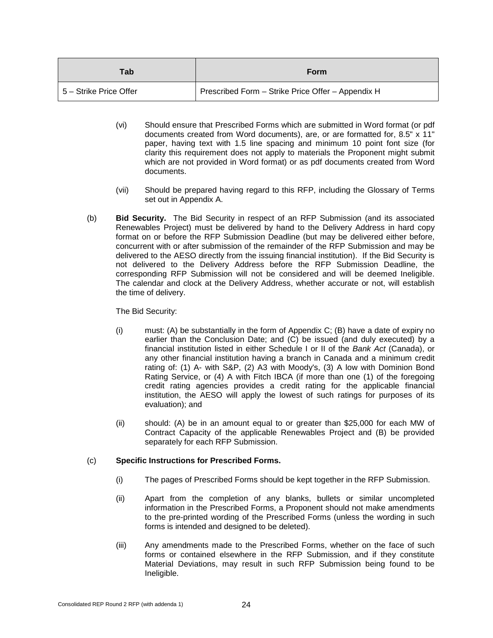| Tab                        | Form                                              |
|----------------------------|---------------------------------------------------|
| l 5 – Strike Price Offer I | Prescribed Form - Strike Price Offer - Appendix H |

- (vi) Should ensure that Prescribed Forms which are submitted in Word format (or pdf documents created from Word documents), are, or are formatted for, 8.5" x 11" paper, having text with 1.5 line spacing and minimum 10 point font size (for clarity this requirement does not apply to materials the Proponent might submit which are not provided in Word format) or as pdf documents created from Word documents.
- (vii) Should be prepared having regard to this RFP, including the Glossary of Terms set out in Appendix A.
- (b) **Bid Security.** The Bid Security in respect of an RFP Submission (and its associated Renewables Project) must be delivered by hand to the Delivery Address in hard copy format on or before the RFP Submission Deadline (but may be delivered either before, concurrent with or after submission of the remainder of the RFP Submission and may be delivered to the AESO directly from the issuing financial institution). If the Bid Security is not delivered to the Delivery Address before the RFP Submission Deadline, the corresponding RFP Submission will not be considered and will be deemed Ineligible. The calendar and clock at the Delivery Address, whether accurate or not, will establish the time of delivery.

#### The Bid Security:

- (i) must: (A) be substantially in the form of Appendix C; (B) have a date of expiry no earlier than the Conclusion Date; and (C) be issued (and duly executed) by a financial institution listed in either Schedule I or II of the *Bank Act* (Canada), or any other financial institution having a branch in Canada and a minimum credit rating of: (1) A- with S&P, (2) A3 with Moody's, (3) A low with Dominion Bond Rating Service, or (4) A with Fitch IBCA (if more than one (1) of the foregoing credit rating agencies provides a credit rating for the applicable financial institution, the AESO will apply the lowest of such ratings for purposes of its evaluation); and
- (ii) should: (A) be in an amount equal to or greater than \$25,000 for each MW of Contract Capacity of the applicable Renewables Project and (B) be provided separately for each RFP Submission.

#### (c) **Specific Instructions for Prescribed Forms.**

- (i) The pages of Prescribed Forms should be kept together in the RFP Submission.
- (ii) Apart from the completion of any blanks, bullets or similar uncompleted information in the Prescribed Forms, a Proponent should not make amendments to the pre-printed wording of the Prescribed Forms (unless the wording in such forms is intended and designed to be deleted).
- (iii) Any amendments made to the Prescribed Forms, whether on the face of such forms or contained elsewhere in the RFP Submission, and if they constitute Material Deviations, may result in such RFP Submission being found to be Ineligible.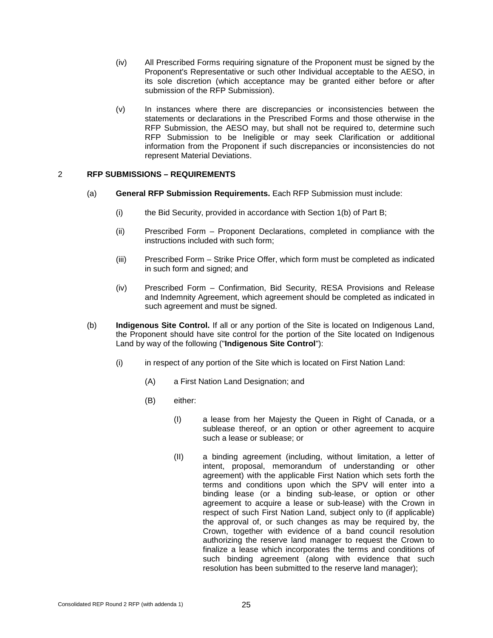- (iv) All Prescribed Forms requiring signature of the Proponent must be signed by the Proponent's Representative or such other Individual acceptable to the AESO, in its sole discretion (which acceptance may be granted either before or after submission of the RFP Submission).
- (v) In instances where there are discrepancies or inconsistencies between the statements or declarations in the Prescribed Forms and those otherwise in the RFP Submission, the AESO may, but shall not be required to, determine such RFP Submission to be Ineligible or may seek Clarification or additional information from the Proponent if such discrepancies or inconsistencies do not represent Material Deviations.

#### <span id="page-29-0"></span>2 **RFP SUBMISSIONS – REQUIREMENTS**

- (a) **General RFP Submission Requirements.** Each RFP Submission must include:
	- (i) the Bid Security, provided in accordance with Section 1(b) of Part B;
	- (ii) Prescribed Form Proponent Declarations, completed in compliance with the instructions included with such form;
	- (iii) Prescribed Form Strike Price Offer, which form must be completed as indicated in such form and signed; and
	- (iv) Prescribed Form Confirmation, Bid Security, RESA Provisions and Release and Indemnity Agreement, which agreement should be completed as indicated in such agreement and must be signed.
- (b) **Indigenous Site Control.** If all or any portion of the Site is located on Indigenous Land, the Proponent should have site control for the portion of the Site located on Indigenous Land by way of the following ("**Indigenous Site Control**"):
	- (i) in respect of any portion of the Site which is located on First Nation Land:
		- (A) a First Nation Land Designation; and
		- (B) either:
			- (I) a lease from her Majesty the Queen in Right of Canada, or a sublease thereof, or an option or other agreement to acquire such a lease or sublease; or
			- (II) a binding agreement (including, without limitation, a letter of intent, proposal, memorandum of understanding or other agreement) with the applicable First Nation which sets forth the terms and conditions upon which the SPV will enter into a binding lease (or a binding sub-lease, or option or other agreement to acquire a lease or sub-lease) with the Crown in respect of such First Nation Land, subject only to (if applicable) the approval of, or such changes as may be required by, the Crown, together with evidence of a band council resolution authorizing the reserve land manager to request the Crown to finalize a lease which incorporates the terms and conditions of such binding agreement (along with evidence that such resolution has been submitted to the reserve land manager);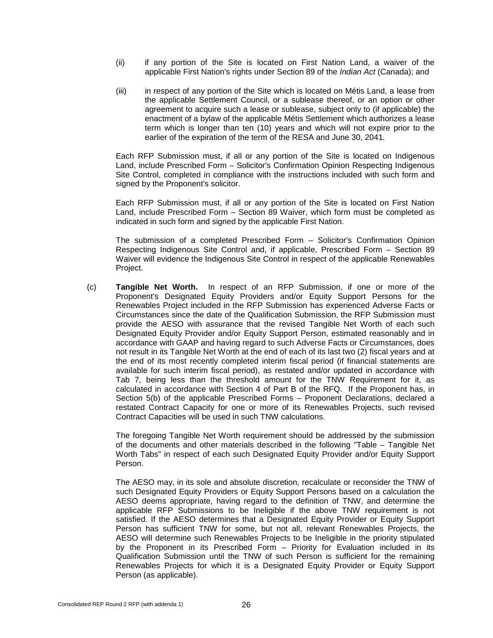- (ii) if any portion of the Site is located on First Nation Land, a waiver of the applicable First Nation's rights under Section 89 of the *Indian Act* (Canada); and
- (iii) in respect of any portion of the Site which is located on Métis Land, a lease from the applicable Settlement Council, or a sublease thereof, or an option or other agreement to acquire such a lease or sublease, subject only to (if applicable) the enactment of a bylaw of the applicable Métis Settlement which authorizes a lease term which is longer than ten (10) years and which will not expire prior to the earlier of the expiration of the term of the RESA and June 30, 2041.

Each RFP Submission must, if all or any portion of the Site is located on Indigenous Land, include Prescribed Form – Solicitor's Confirmation Opinion Respecting Indigenous Site Control, completed in compliance with the instructions included with such form and signed by the Proponent's solicitor.

Each RFP Submission must, if all or any portion of the Site is located on First Nation Land, include Prescribed Form – Section 89 Waiver, which form must be completed as indicated in such form and signed by the applicable First Nation.

The submission of a completed Prescribed Form – Solicitor's Confirmation Opinion Respecting Indigenous Site Control and, if applicable, Prescribed Form – Section 89 Waiver will evidence the Indigenous Site Control in respect of the applicable Renewables Project.

(c) **Tangible Net Worth.** In respect of an RFP Submission, if one or more of the Proponent's Designated Equity Providers and/or Equity Support Persons for the Renewables Project included in the RFP Submission has experienced Adverse Facts or Circumstances since the date of the Qualification Submission, the RFP Submission must provide the AESO with assurance that the revised Tangible Net Worth of each such Designated Equity Provider and/or Equity Support Person, estimated reasonably and in accordance with GAAP and having regard to such Adverse Facts or Circumstances, does not result in its Tangible Net Worth at the end of each of its last two (2) fiscal years and at the end of its most recently completed interim fiscal period (if financial statements are available for such interim fiscal period), as restated and/or updated in accordance with Tab 7, being less than the threshold amount for the TNW Requirement for it, as calculated in accordance with Section 4 of Part B of the RFQ. If the Proponent has, in Section 5(b) of the applicable Prescribed Forms – Proponent Declarations, declared a restated Contract Capacity for one or more of its Renewables Projects, such revised Contract Capacities will be used in such TNW calculations.

The foregoing Tangible Net Worth requirement should be addressed by the submission of the documents and other materials described in the following "Table – Tangible Net Worth Tabs" in respect of each such Designated Equity Provider and/or Equity Support Person.

The AESO may, in its sole and absolute discretion, recalculate or reconsider the TNW of such Designated Equity Providers or Equity Support Persons based on a calculation the AESO deems appropriate, having regard to the definition of TNW, and determine the applicable RFP Submissions to be Ineligible if the above TNW requirement is not satisfied. If the AESO determines that a Designated Equity Provider or Equity Support Person has sufficient TNW for some, but not all, relevant Renewables Projects, the AESO will determine such Renewables Projects to be Ineligible in the priority stipulated by the Proponent in its Prescribed Form – Priority for Evaluation included in its Qualification Submission until the TNW of such Person is sufficient for the remaining Renewables Projects for which it is a Designated Equity Provider or Equity Support Person (as applicable).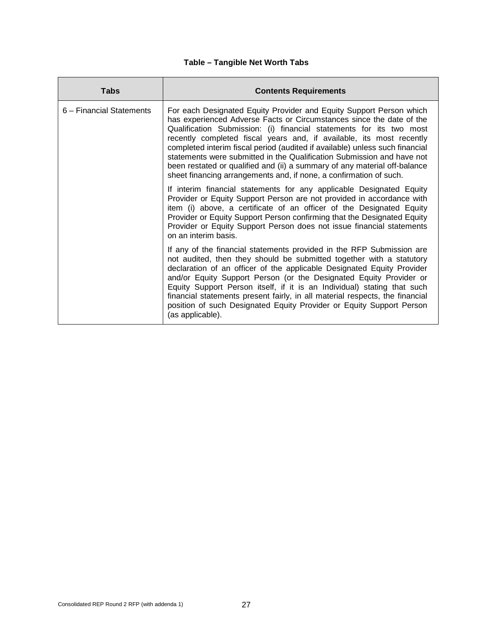#### **Table – Tangible Net Worth Tabs**

| <b>Tabs</b>              | <b>Contents Requirements</b>                                                                                                                                                                                                                                                                                                                                                                                                                                                                                                                                                                            |
|--------------------------|---------------------------------------------------------------------------------------------------------------------------------------------------------------------------------------------------------------------------------------------------------------------------------------------------------------------------------------------------------------------------------------------------------------------------------------------------------------------------------------------------------------------------------------------------------------------------------------------------------|
| 6 – Financial Statements | For each Designated Equity Provider and Equity Support Person which<br>has experienced Adverse Facts or Circumstances since the date of the<br>Qualification Submission: (i) financial statements for its two most<br>recently completed fiscal years and, if available, its most recently<br>completed interim fiscal period (audited if available) unless such financial<br>statements were submitted in the Qualification Submission and have not<br>been restated or qualified and (ii) a summary of any material off-balance<br>sheet financing arrangements and, if none, a confirmation of such. |
|                          | If interim financial statements for any applicable Designated Equity<br>Provider or Equity Support Person are not provided in accordance with<br>item (i) above, a certificate of an officer of the Designated Equity<br>Provider or Equity Support Person confirming that the Designated Equity<br>Provider or Equity Support Person does not issue financial statements<br>on an interim basis.                                                                                                                                                                                                       |
|                          | If any of the financial statements provided in the RFP Submission are<br>not audited, then they should be submitted together with a statutory<br>declaration of an officer of the applicable Designated Equity Provider<br>and/or Equity Support Person (or the Designated Equity Provider or<br>Equity Support Person itself, if it is an Individual) stating that such<br>financial statements present fairly, in all material respects, the financial<br>position of such Designated Equity Provider or Equity Support Person<br>(as applicable).                                                    |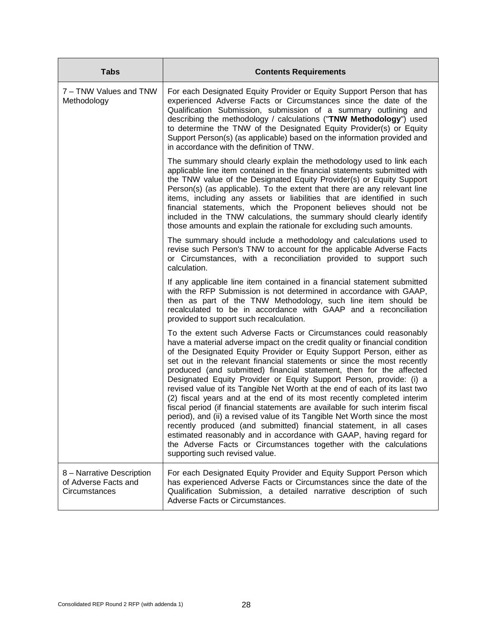| <b>Tabs</b>                                                        | <b>Contents Requirements</b>                                                                                                                                                                                                                                                                                                                                                                                                                                                                                                                                                                                                                                                                                                                                                                                                                                                                                                                                                                                                   |
|--------------------------------------------------------------------|--------------------------------------------------------------------------------------------------------------------------------------------------------------------------------------------------------------------------------------------------------------------------------------------------------------------------------------------------------------------------------------------------------------------------------------------------------------------------------------------------------------------------------------------------------------------------------------------------------------------------------------------------------------------------------------------------------------------------------------------------------------------------------------------------------------------------------------------------------------------------------------------------------------------------------------------------------------------------------------------------------------------------------|
| 7 - TNW Values and TNW<br>Methodology                              | For each Designated Equity Provider or Equity Support Person that has<br>experienced Adverse Facts or Circumstances since the date of the<br>Qualification Submission, submission of a summary outlining and<br>describing the methodology / calculations ("TNW Methodology") used<br>to determine the TNW of the Designated Equity Provider(s) or Equity<br>Support Person(s) (as applicable) based on the information provided and<br>in accordance with the definition of TNW.                                                                                                                                                                                                                                                                                                                                                                                                                                                                                                                                              |
|                                                                    | The summary should clearly explain the methodology used to link each<br>applicable line item contained in the financial statements submitted with<br>the TNW value of the Designated Equity Provider(s) or Equity Support<br>Person(s) (as applicable). To the extent that there are any relevant line<br>items, including any assets or liabilities that are identified in such<br>financial statements, which the Proponent believes should not be<br>included in the TNW calculations, the summary should clearly identify<br>those amounts and explain the rationale for excluding such amounts.                                                                                                                                                                                                                                                                                                                                                                                                                           |
|                                                                    | The summary should include a methodology and calculations used to<br>revise such Person's TNW to account for the applicable Adverse Facts<br>or Circumstances, with a reconciliation provided to support such<br>calculation.                                                                                                                                                                                                                                                                                                                                                                                                                                                                                                                                                                                                                                                                                                                                                                                                  |
|                                                                    | If any applicable line item contained in a financial statement submitted<br>with the RFP Submission is not determined in accordance with GAAP,<br>then as part of the TNW Methodology, such line item should be<br>recalculated to be in accordance with GAAP and a reconciliation<br>provided to support such recalculation.                                                                                                                                                                                                                                                                                                                                                                                                                                                                                                                                                                                                                                                                                                  |
|                                                                    | To the extent such Adverse Facts or Circumstances could reasonably<br>have a material adverse impact on the credit quality or financial condition<br>of the Designated Equity Provider or Equity Support Person, either as<br>set out in the relevant financial statements or since the most recently<br>produced (and submitted) financial statement, then for the affected<br>Designated Equity Provider or Equity Support Person, provide: (i) a<br>revised value of its Tangible Net Worth at the end of each of its last two<br>(2) fiscal years and at the end of its most recently completed interim<br>fiscal period (if financial statements are available for such interim fiscal<br>period), and (ii) a revised value of its Tangible Net Worth since the most<br>recently produced (and submitted) financial statement, in all cases<br>estimated reasonably and in accordance with GAAP, having regard for<br>the Adverse Facts or Circumstances together with the calculations<br>supporting such revised value. |
| 8 - Narrative Description<br>of Adverse Facts and<br>Circumstances | For each Designated Equity Provider and Equity Support Person which<br>has experienced Adverse Facts or Circumstances since the date of the<br>Qualification Submission, a detailed narrative description of such<br>Adverse Facts or Circumstances.                                                                                                                                                                                                                                                                                                                                                                                                                                                                                                                                                                                                                                                                                                                                                                           |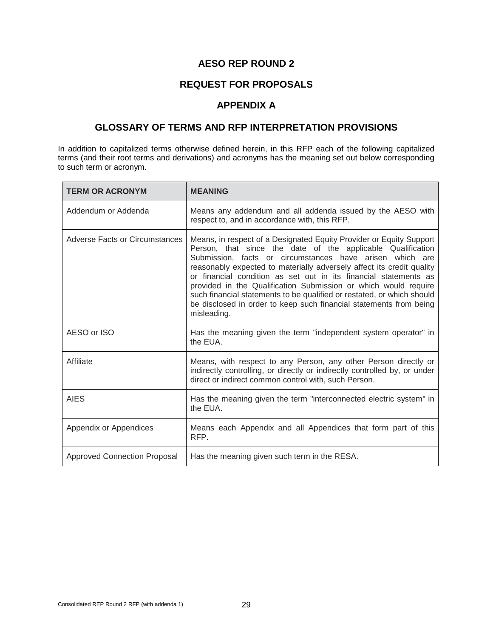### **AESO REP ROUND 2**

#### **REQUEST FOR PROPOSALS**

#### **APPENDIX A**

#### **GLOSSARY OF TERMS AND RFP INTERPRETATION PROVISIONS**

In addition to capitalized terms otherwise defined herein, in this RFP each of the following capitalized terms (and their root terms and derivations) and acronyms has the meaning set out below corresponding to such term or acronym.

| <b>TERM OR ACRONYM</b>                | <b>MEANING</b>                                                                                                                                                                                                                                                                                                                                                                                                                                                                                                                                                                |
|---------------------------------------|-------------------------------------------------------------------------------------------------------------------------------------------------------------------------------------------------------------------------------------------------------------------------------------------------------------------------------------------------------------------------------------------------------------------------------------------------------------------------------------------------------------------------------------------------------------------------------|
| Addendum or Addenda                   | Means any addendum and all addenda issued by the AESO with<br>respect to, and in accordance with, this RFP.                                                                                                                                                                                                                                                                                                                                                                                                                                                                   |
| <b>Adverse Facts or Circumstances</b> | Means, in respect of a Designated Equity Provider or Equity Support<br>Person, that since the date of the applicable Qualification<br>Submission, facts or circumstances have arisen which are<br>reasonably expected to materially adversely affect its credit quality<br>or financial condition as set out in its financial statements as<br>provided in the Qualification Submission or which would require<br>such financial statements to be qualified or restated, or which should<br>be disclosed in order to keep such financial statements from being<br>misleading. |
| AESO or ISO                           | Has the meaning given the term "independent system operator" in<br>the EUA.                                                                                                                                                                                                                                                                                                                                                                                                                                                                                                   |
| Affiliate                             | Means, with respect to any Person, any other Person directly or<br>indirectly controlling, or directly or indirectly controlled by, or under<br>direct or indirect common control with, such Person.                                                                                                                                                                                                                                                                                                                                                                          |
| <b>AIES</b>                           | Has the meaning given the term "interconnected electric system" in<br>the EUA.                                                                                                                                                                                                                                                                                                                                                                                                                                                                                                |
| Appendix or Appendices                | Means each Appendix and all Appendices that form part of this<br>RFP.                                                                                                                                                                                                                                                                                                                                                                                                                                                                                                         |
| <b>Approved Connection Proposal</b>   | Has the meaning given such term in the RESA.                                                                                                                                                                                                                                                                                                                                                                                                                                                                                                                                  |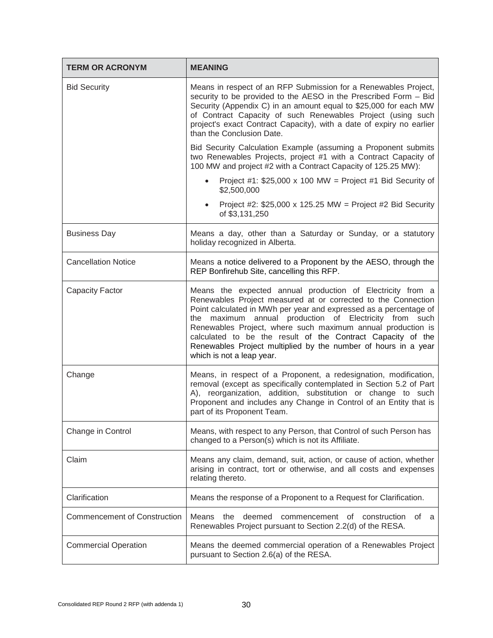| <b>TERM OR ACRONYM</b>              | <b>MEANING</b>                                                                                                                                                                                                                                                                                                                                                                                                                                                                          |
|-------------------------------------|-----------------------------------------------------------------------------------------------------------------------------------------------------------------------------------------------------------------------------------------------------------------------------------------------------------------------------------------------------------------------------------------------------------------------------------------------------------------------------------------|
| <b>Bid Security</b>                 | Means in respect of an RFP Submission for a Renewables Project,<br>security to be provided to the AESO in the Prescribed Form - Bid<br>Security (Appendix C) in an amount equal to \$25,000 for each MW<br>of Contract Capacity of such Renewables Project (using such<br>project's exact Contract Capacity), with a date of expiry no earlier<br>than the Conclusion Date.                                                                                                             |
|                                     | Bid Security Calculation Example (assuming a Proponent submits<br>two Renewables Projects, project #1 with a Contract Capacity of<br>100 MW and project #2 with a Contract Capacity of 125.25 MW):                                                                                                                                                                                                                                                                                      |
|                                     | Project #1: $$25,000 \times 100$ MW = Project #1 Bid Security of<br>\$2,500,000                                                                                                                                                                                                                                                                                                                                                                                                         |
|                                     | Project #2: $$25,000 \times 125.25$ MW = Project #2 Bid Security<br>of \$3,131,250                                                                                                                                                                                                                                                                                                                                                                                                      |
| <b>Business Day</b>                 | Means a day, other than a Saturday or Sunday, or a statutory<br>holiday recognized in Alberta.                                                                                                                                                                                                                                                                                                                                                                                          |
| <b>Cancellation Notice</b>          | Means a notice delivered to a Proponent by the AESO, through the<br>REP Bonfirehub Site, cancelling this RFP.                                                                                                                                                                                                                                                                                                                                                                           |
| <b>Capacity Factor</b>              | Means the expected annual production of Electricity from a<br>Renewables Project measured at or corrected to the Connection<br>Point calculated in MWh per year and expressed as a percentage of<br>the maximum annual production of Electricity from such<br>Renewables Project, where such maximum annual production is<br>calculated to be the result of the Contract Capacity of the<br>Renewables Project multiplied by the number of hours in a year<br>which is not a leap year. |
| Change                              | Means, in respect of a Proponent, a redesignation, modification,<br>removal (except as specifically contemplated in Section 5.2 of Part<br>A), reorganization, addition, substitution or change to such<br>Proponent and includes any Change in Control of an Entity that is<br>part of its Proponent Team.                                                                                                                                                                             |
| Change in Control                   | Means, with respect to any Person, that Control of such Person has<br>changed to a Person(s) which is not its Affiliate.                                                                                                                                                                                                                                                                                                                                                                |
| Claim                               | Means any claim, demand, suit, action, or cause of action, whether<br>arising in contract, tort or otherwise, and all costs and expenses<br>relating thereto.                                                                                                                                                                                                                                                                                                                           |
| Clarification                       | Means the response of a Proponent to a Request for Clarification.                                                                                                                                                                                                                                                                                                                                                                                                                       |
| <b>Commencement of Construction</b> | Means the<br>deemed<br>commencement of<br>construction<br>of a<br>Renewables Project pursuant to Section 2.2(d) of the RESA.                                                                                                                                                                                                                                                                                                                                                            |
| <b>Commercial Operation</b>         | Means the deemed commercial operation of a Renewables Project<br>pursuant to Section 2.6(a) of the RESA.                                                                                                                                                                                                                                                                                                                                                                                |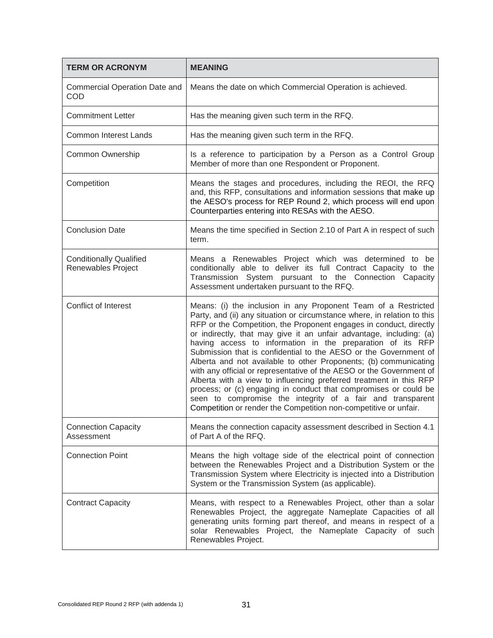| <b>TERM OR ACRONYM</b>                                      | <b>MEANING</b>                                                                                                                                                                                                                                                                                                                                                                                                                                                                                                                                                                                                                                                                                                                                                                                                                                    |
|-------------------------------------------------------------|---------------------------------------------------------------------------------------------------------------------------------------------------------------------------------------------------------------------------------------------------------------------------------------------------------------------------------------------------------------------------------------------------------------------------------------------------------------------------------------------------------------------------------------------------------------------------------------------------------------------------------------------------------------------------------------------------------------------------------------------------------------------------------------------------------------------------------------------------|
| <b>Commercial Operation Date and</b><br>COD                 | Means the date on which Commercial Operation is achieved.                                                                                                                                                                                                                                                                                                                                                                                                                                                                                                                                                                                                                                                                                                                                                                                         |
| <b>Commitment Letter</b>                                    | Has the meaning given such term in the RFQ.                                                                                                                                                                                                                                                                                                                                                                                                                                                                                                                                                                                                                                                                                                                                                                                                       |
| <b>Common Interest Lands</b>                                | Has the meaning given such term in the RFQ.                                                                                                                                                                                                                                                                                                                                                                                                                                                                                                                                                                                                                                                                                                                                                                                                       |
| Common Ownership                                            | Is a reference to participation by a Person as a Control Group<br>Member of more than one Respondent or Proponent.                                                                                                                                                                                                                                                                                                                                                                                                                                                                                                                                                                                                                                                                                                                                |
| Competition                                                 | Means the stages and procedures, including the REOI, the RFQ<br>and, this RFP, consultations and information sessions that make up<br>the AESO's process for REP Round 2, which process will end upon<br>Counterparties entering into RESAs with the AESO.                                                                                                                                                                                                                                                                                                                                                                                                                                                                                                                                                                                        |
| <b>Conclusion Date</b>                                      | Means the time specified in Section 2.10 of Part A in respect of such<br>term.                                                                                                                                                                                                                                                                                                                                                                                                                                                                                                                                                                                                                                                                                                                                                                    |
| <b>Conditionally Qualified</b><br><b>Renewables Project</b> | Means a Renewables Project which was determined to be<br>conditionally able to deliver its full Contract Capacity to the<br>Transmission System pursuant to the Connection Capacity<br>Assessment undertaken pursuant to the RFQ.                                                                                                                                                                                                                                                                                                                                                                                                                                                                                                                                                                                                                 |
| <b>Conflict of Interest</b>                                 | Means: (i) the inclusion in any Proponent Team of a Restricted<br>Party, and (ii) any situation or circumstance where, in relation to this<br>RFP or the Competition, the Proponent engages in conduct, directly<br>or indirectly, that may give it an unfair advantage, including: (a)<br>having access to information in the preparation of its RFP<br>Submission that is confidential to the AESO or the Government of<br>Alberta and not available to other Proponents; (b) communicating<br>with any official or representative of the AESO or the Government of<br>Alberta with a view to influencing preferred treatment in this RFP<br>process; or (c) engaging in conduct that compromises or could be<br>seen to compromise the integrity of a fair and transparent<br>Competition or render the Competition non-competitive or unfair. |
| <b>Connection Capacity</b><br>Assessment                    | Means the connection capacity assessment described in Section 4.1<br>of Part A of the RFQ.                                                                                                                                                                                                                                                                                                                                                                                                                                                                                                                                                                                                                                                                                                                                                        |
| <b>Connection Point</b>                                     | Means the high voltage side of the electrical point of connection<br>between the Renewables Project and a Distribution System or the<br>Transmission System where Electricity is injected into a Distribution<br>System or the Transmission System (as applicable).                                                                                                                                                                                                                                                                                                                                                                                                                                                                                                                                                                               |
| <b>Contract Capacity</b>                                    | Means, with respect to a Renewables Project, other than a solar<br>Renewables Project, the aggregate Nameplate Capacities of all<br>generating units forming part thereof, and means in respect of a<br>solar Renewables Project, the Nameplate Capacity of such<br>Renewables Project.                                                                                                                                                                                                                                                                                                                                                                                                                                                                                                                                                           |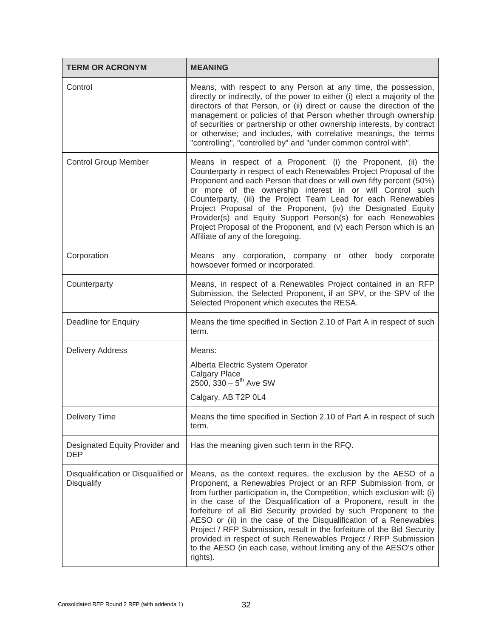| <b>TERM OR ACRONYM</b>                            | <b>MEANING</b>                                                                                                                                                                                                                                                                                                                                                                                                                                                                                                                                                                                                                                            |  |  |
|---------------------------------------------------|-----------------------------------------------------------------------------------------------------------------------------------------------------------------------------------------------------------------------------------------------------------------------------------------------------------------------------------------------------------------------------------------------------------------------------------------------------------------------------------------------------------------------------------------------------------------------------------------------------------------------------------------------------------|--|--|
| Control                                           | Means, with respect to any Person at any time, the possession,<br>directly or indirectly, of the power to either (i) elect a majority of the<br>directors of that Person, or (ii) direct or cause the direction of the<br>management or policies of that Person whether through ownership<br>of securities or partnership or other ownership interests, by contract<br>or otherwise; and includes, with correlative meanings, the terms<br>"controlling", "controlled by" and "under common control with".                                                                                                                                                |  |  |
| <b>Control Group Member</b>                       | Means in respect of a Proponent: (i) the Proponent, (ii) the<br>Counterparty in respect of each Renewables Project Proposal of the<br>Proponent and each Person that does or will own fifty percent (50%)<br>or more of the ownership interest in or will Control such<br>Counterparty, (iii) the Project Team Lead for each Renewables<br>Project Proposal of the Proponent, (iv) the Designated Equity<br>Provider(s) and Equity Support Person(s) for each Renewables<br>Project Proposal of the Proponent, and (v) each Person which is an<br>Affiliate of any of the foregoing.                                                                      |  |  |
| Corporation                                       | Means any corporation, company or other body corporate<br>howsoever formed or incorporated.                                                                                                                                                                                                                                                                                                                                                                                                                                                                                                                                                               |  |  |
| Counterparty                                      | Means, in respect of a Renewables Project contained in an RFP<br>Submission, the Selected Proponent, if an SPV, or the SPV of the<br>Selected Proponent which executes the RESA.                                                                                                                                                                                                                                                                                                                                                                                                                                                                          |  |  |
| Deadline for Enquiry                              | Means the time specified in Section 2.10 of Part A in respect of such<br>term.                                                                                                                                                                                                                                                                                                                                                                                                                                                                                                                                                                            |  |  |
| <b>Delivery Address</b>                           | Means:                                                                                                                                                                                                                                                                                                                                                                                                                                                                                                                                                                                                                                                    |  |  |
|                                                   | Alberta Electric System Operator<br>Calgary Place<br>2500, $330 - 5$ <sup>th</sup> Ave SW                                                                                                                                                                                                                                                                                                                                                                                                                                                                                                                                                                 |  |  |
|                                                   | Calgary, AB T2P 0L4                                                                                                                                                                                                                                                                                                                                                                                                                                                                                                                                                                                                                                       |  |  |
| <b>Delivery Time</b>                              | Means the time specified in Section 2.10 of Part A in respect of such<br>term.                                                                                                                                                                                                                                                                                                                                                                                                                                                                                                                                                                            |  |  |
| Designated Equity Provider and<br><b>DEP</b>      | Has the meaning given such term in the RFQ.                                                                                                                                                                                                                                                                                                                                                                                                                                                                                                                                                                                                               |  |  |
| Disqualification or Disqualified or<br>Disqualify | Means, as the context requires, the exclusion by the AESO of a<br>Proponent, a Renewables Project or an RFP Submission from, or<br>from further participation in, the Competition, which exclusion will: (i)<br>in the case of the Disqualification of a Proponent, result in the<br>forfeiture of all Bid Security provided by such Proponent to the<br>AESO or (ii) in the case of the Disqualification of a Renewables<br>Project / RFP Submission, result in the forfeiture of the Bid Security<br>provided in respect of such Renewables Project / RFP Submission<br>to the AESO (in each case, without limiting any of the AESO's other<br>rights). |  |  |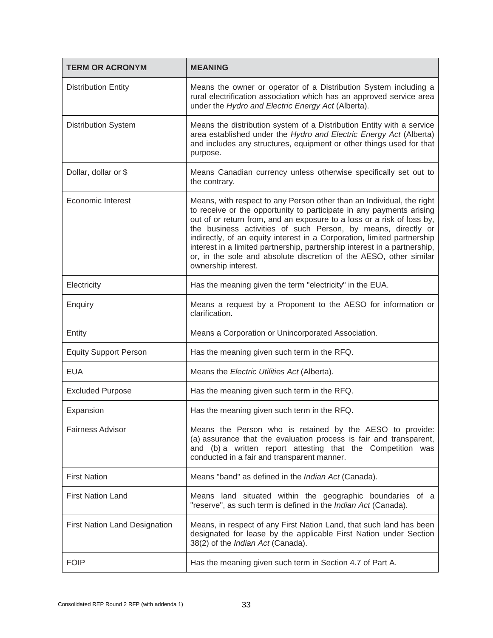| <b>TERM OR ACRONYM</b>               | <b>MEANING</b>                                                                                                                                                                                                                                                                                                                                                                                                                                                                                                                                |  |  |
|--------------------------------------|-----------------------------------------------------------------------------------------------------------------------------------------------------------------------------------------------------------------------------------------------------------------------------------------------------------------------------------------------------------------------------------------------------------------------------------------------------------------------------------------------------------------------------------------------|--|--|
| <b>Distribution Entity</b>           | Means the owner or operator of a Distribution System including a<br>rural electrification association which has an approved service area<br>under the Hydro and Electric Energy Act (Alberta).                                                                                                                                                                                                                                                                                                                                                |  |  |
| <b>Distribution System</b>           | Means the distribution system of a Distribution Entity with a service<br>area established under the Hydro and Electric Energy Act (Alberta)<br>and includes any structures, equipment or other things used for that<br>purpose.                                                                                                                                                                                                                                                                                                               |  |  |
| Dollar, dollar or \$                 | Means Canadian currency unless otherwise specifically set out to<br>the contrary.                                                                                                                                                                                                                                                                                                                                                                                                                                                             |  |  |
| Economic Interest                    | Means, with respect to any Person other than an Individual, the right<br>to receive or the opportunity to participate in any payments arising<br>out of or return from, and an exposure to a loss or a risk of loss by,<br>the business activities of such Person, by means, directly or<br>indirectly, of an equity interest in a Corporation, limited partnership<br>interest in a limited partnership, partnership interest in a partnership,<br>or, in the sole and absolute discretion of the AESO, other similar<br>ownership interest. |  |  |
| Electricity                          | Has the meaning given the term "electricity" in the EUA.                                                                                                                                                                                                                                                                                                                                                                                                                                                                                      |  |  |
| Enquiry                              | Means a request by a Proponent to the AESO for information or<br>clarification.                                                                                                                                                                                                                                                                                                                                                                                                                                                               |  |  |
| Entity                               | Means a Corporation or Unincorporated Association.                                                                                                                                                                                                                                                                                                                                                                                                                                                                                            |  |  |
| <b>Equity Support Person</b>         | Has the meaning given such term in the RFQ.                                                                                                                                                                                                                                                                                                                                                                                                                                                                                                   |  |  |
| <b>EUA</b>                           | Means the Electric Utilities Act (Alberta).                                                                                                                                                                                                                                                                                                                                                                                                                                                                                                   |  |  |
| <b>Excluded Purpose</b>              | Has the meaning given such term in the RFQ.                                                                                                                                                                                                                                                                                                                                                                                                                                                                                                   |  |  |
| Expansion                            | Has the meaning given such term in the RFQ.                                                                                                                                                                                                                                                                                                                                                                                                                                                                                                   |  |  |
| <b>Fairness Advisor</b>              | Means the Person who is retained by the AESO to provide:<br>(a) assurance that the evaluation process is fair and transparent,<br>and (b) a written report attesting that the Competition was<br>conducted in a fair and transparent manner.                                                                                                                                                                                                                                                                                                  |  |  |
| <b>First Nation</b>                  | Means "band" as defined in the Indian Act (Canada).                                                                                                                                                                                                                                                                                                                                                                                                                                                                                           |  |  |
| <b>First Nation Land</b>             | Means land situated within the geographic boundaries of a<br>"reserve", as such term is defined in the Indian Act (Canada).                                                                                                                                                                                                                                                                                                                                                                                                                   |  |  |
| <b>First Nation Land Designation</b> | Means, in respect of any First Nation Land, that such land has been<br>designated for lease by the applicable First Nation under Section<br>38(2) of the Indian Act (Canada).                                                                                                                                                                                                                                                                                                                                                                 |  |  |
| <b>FOIP</b>                          | Has the meaning given such term in Section 4.7 of Part A.                                                                                                                                                                                                                                                                                                                                                                                                                                                                                     |  |  |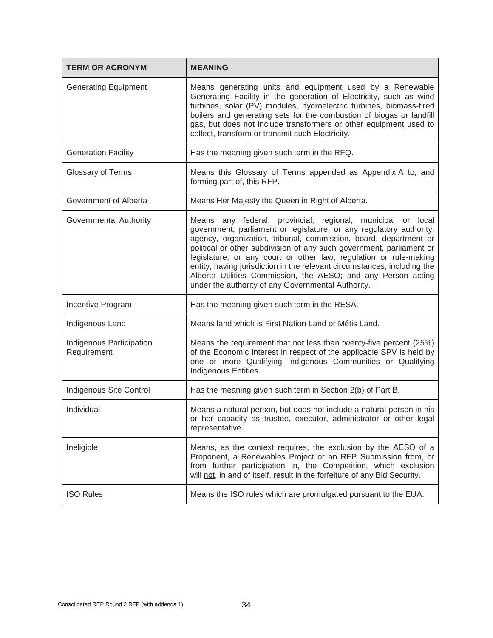| <b>TERM OR ACRONYM</b>                  | <b>MEANING</b>                                                                                                                                                                                                                                                                                                                                                                                                                                                                                                                                         |  |  |
|-----------------------------------------|--------------------------------------------------------------------------------------------------------------------------------------------------------------------------------------------------------------------------------------------------------------------------------------------------------------------------------------------------------------------------------------------------------------------------------------------------------------------------------------------------------------------------------------------------------|--|--|
| <b>Generating Equipment</b>             | Means generating units and equipment used by a Renewable<br>Generating Facility in the generation of Electricity, such as wind<br>turbines, solar (PV) modules, hydroelectric turbines, biomass-fired<br>boilers and generating sets for the combustion of biogas or landfill<br>gas, but does not include transformers or other equipment used to<br>collect, transform or transmit such Electricity.                                                                                                                                                 |  |  |
| <b>Generation Facility</b>              | Has the meaning given such term in the RFQ.                                                                                                                                                                                                                                                                                                                                                                                                                                                                                                            |  |  |
| Glossary of Terms                       | Means this Glossary of Terms appended as Appendix A to, and<br>forming part of, this RFP.                                                                                                                                                                                                                                                                                                                                                                                                                                                              |  |  |
| Government of Alberta                   | Means Her Majesty the Queen in Right of Alberta.                                                                                                                                                                                                                                                                                                                                                                                                                                                                                                       |  |  |
| Governmental Authority                  | Means any federal, provincial, regional, municipal or local<br>government, parliament or legislature, or any regulatory authority,<br>agency, organization, tribunal, commission, board, department or<br>political or other subdivision of any such government, parliament or<br>legislature, or any court or other law, regulation or rule-making<br>entity, having jurisdiction in the relevant circumstances, including the<br>Alberta Utilities Commission, the AESO; and any Person acting<br>under the authority of any Governmental Authority. |  |  |
| Incentive Program                       | Has the meaning given such term in the RESA.                                                                                                                                                                                                                                                                                                                                                                                                                                                                                                           |  |  |
| Indigenous Land                         | Means land which is First Nation Land or Métis Land.                                                                                                                                                                                                                                                                                                                                                                                                                                                                                                   |  |  |
| Indigenous Participation<br>Requirement | Means the requirement that not less than twenty-five percent (25%)<br>of the Economic Interest in respect of the applicable SPV is held by<br>one or more Qualifying Indigenous Communities or Qualifying<br>Indigenous Entities.                                                                                                                                                                                                                                                                                                                      |  |  |
| Indigenous Site Control                 | Has the meaning given such term in Section 2(b) of Part B.                                                                                                                                                                                                                                                                                                                                                                                                                                                                                             |  |  |
| Individual                              | Means a natural person, but does not include a natural person in his<br>or her capacity as trustee, executor, administrator or other legal<br>representative.                                                                                                                                                                                                                                                                                                                                                                                          |  |  |
| Ineligible                              | Means, as the context requires, the exclusion by the AESO of a<br>Proponent, a Renewables Project or an RFP Submission from, or<br>from further participation in, the Competition, which exclusion<br>will not, in and of itself, result in the forfeiture of any Bid Security.                                                                                                                                                                                                                                                                        |  |  |
| <b>ISO Rules</b>                        | Means the ISO rules which are promulgated pursuant to the EUA.                                                                                                                                                                                                                                                                                                                                                                                                                                                                                         |  |  |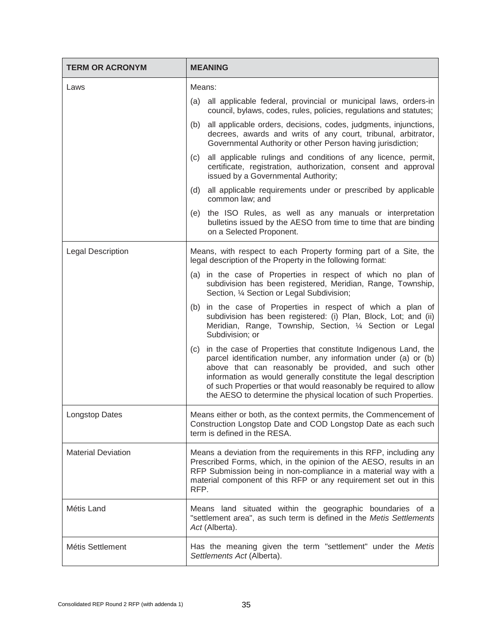| <b>TERM OR ACRONYM</b>    | <b>MEANING</b>                                                                                                                                                                                                                                                                                                                                                                                             |  |  |  |
|---------------------------|------------------------------------------------------------------------------------------------------------------------------------------------------------------------------------------------------------------------------------------------------------------------------------------------------------------------------------------------------------------------------------------------------------|--|--|--|
| Laws                      | Means:                                                                                                                                                                                                                                                                                                                                                                                                     |  |  |  |
|                           | all applicable federal, provincial or municipal laws, orders-in<br>(a)<br>council, bylaws, codes, rules, policies, regulations and statutes;                                                                                                                                                                                                                                                               |  |  |  |
|                           | all applicable orders, decisions, codes, judgments, injunctions,<br>(b)<br>decrees, awards and writs of any court, tribunal, arbitrator,<br>Governmental Authority or other Person having jurisdiction;                                                                                                                                                                                                    |  |  |  |
|                           | all applicable rulings and conditions of any licence, permit,<br>(c)<br>certificate, registration, authorization, consent and approval<br>issued by a Governmental Authority;                                                                                                                                                                                                                              |  |  |  |
|                           | all applicable requirements under or prescribed by applicable<br>(d)<br>common law; and                                                                                                                                                                                                                                                                                                                    |  |  |  |
|                           | the ISO Rules, as well as any manuals or interpretation<br>(e)<br>bulletins issued by the AESO from time to time that are binding<br>on a Selected Proponent.                                                                                                                                                                                                                                              |  |  |  |
| <b>Legal Description</b>  | Means, with respect to each Property forming part of a Site, the<br>legal description of the Property in the following format:                                                                                                                                                                                                                                                                             |  |  |  |
|                           | (a) in the case of Properties in respect of which no plan of<br>subdivision has been registered, Meridian, Range, Township,<br>Section, 1/4 Section or Legal Subdivision;                                                                                                                                                                                                                                  |  |  |  |
|                           | in the case of Properties in respect of which a plan of<br>(b)<br>subdivision has been registered: (i) Plan, Block, Lot; and (ii)<br>Meridian, Range, Township, Section, 1/4 Section or Legal<br>Subdivision; or                                                                                                                                                                                           |  |  |  |
|                           | in the case of Properties that constitute Indigenous Land, the<br>(C)<br>parcel identification number, any information under (a) or (b)<br>above that can reasonably be provided, and such other<br>information as would generally constitute the legal description<br>of such Properties or that would reasonably be required to allow<br>the AESO to determine the physical location of such Properties. |  |  |  |
| <b>Longstop Dates</b>     | Means either or both, as the context permits, the Commencement of<br>Construction Longstop Date and COD Longstop Date as each such<br>term is defined in the RESA.                                                                                                                                                                                                                                         |  |  |  |
| <b>Material Deviation</b> | Means a deviation from the requirements in this RFP, including any<br>Prescribed Forms, which, in the opinion of the AESO, results in an<br>RFP Submission being in non-compliance in a material way with a<br>material component of this RFP or any requirement set out in this<br>RFP.                                                                                                                   |  |  |  |
| Métis Land                | Means land situated within the geographic boundaries of a<br>"settlement area", as such term is defined in the Metis Settlements<br>Act (Alberta).                                                                                                                                                                                                                                                         |  |  |  |
| Métis Settlement          | Has the meaning given the term "settlement" under the Metis<br>Settlements Act (Alberta).                                                                                                                                                                                                                                                                                                                  |  |  |  |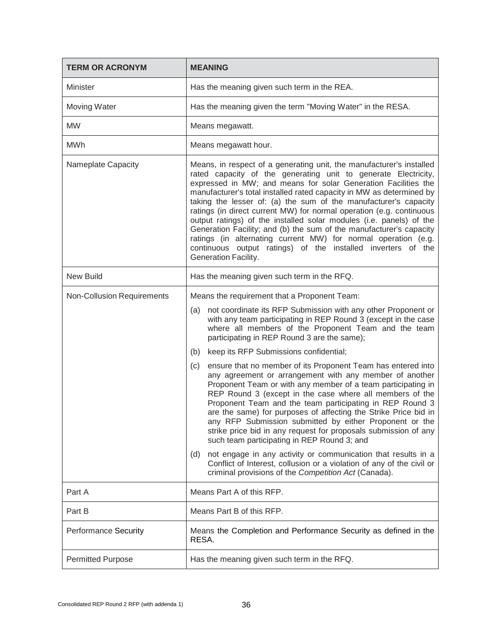| <b>TERM OR ACRONYM</b>            | <b>MEANING</b>                                                                                                                                                                                                                                                                                                                                                                                                                                                                                                                                                                                                                                                                                                                                                                                                                                                                                                                                                                                                                                                                                                                    |  |  |
|-----------------------------------|-----------------------------------------------------------------------------------------------------------------------------------------------------------------------------------------------------------------------------------------------------------------------------------------------------------------------------------------------------------------------------------------------------------------------------------------------------------------------------------------------------------------------------------------------------------------------------------------------------------------------------------------------------------------------------------------------------------------------------------------------------------------------------------------------------------------------------------------------------------------------------------------------------------------------------------------------------------------------------------------------------------------------------------------------------------------------------------------------------------------------------------|--|--|
| <b>Minister</b>                   | Has the meaning given such term in the REA.                                                                                                                                                                                                                                                                                                                                                                                                                                                                                                                                                                                                                                                                                                                                                                                                                                                                                                                                                                                                                                                                                       |  |  |
| Moving Water                      | Has the meaning given the term "Moving Water" in the RESA.                                                                                                                                                                                                                                                                                                                                                                                                                                                                                                                                                                                                                                                                                                                                                                                                                                                                                                                                                                                                                                                                        |  |  |
| <b>MW</b>                         | Means megawatt.                                                                                                                                                                                                                                                                                                                                                                                                                                                                                                                                                                                                                                                                                                                                                                                                                                                                                                                                                                                                                                                                                                                   |  |  |
| <b>MWh</b>                        | Means megawatt hour.                                                                                                                                                                                                                                                                                                                                                                                                                                                                                                                                                                                                                                                                                                                                                                                                                                                                                                                                                                                                                                                                                                              |  |  |
| Nameplate Capacity                | Means, in respect of a generating unit, the manufacturer's installed<br>rated capacity of the generating unit to generate Electricity,<br>expressed in MW; and means for solar Generation Facilities the<br>manufacturer's total installed rated capacity in MW as determined by<br>taking the lesser of: (a) the sum of the manufacturer's capacity<br>ratings (in direct current MW) for normal operation (e.g. continuous<br>output ratings) of the installed solar modules (i.e. panels) of the<br>Generation Facility; and (b) the sum of the manufacturer's capacity<br>ratings (in alternating current MW) for normal operation (e.g.<br>continuous output ratings) of the installed inverters of the<br>Generation Facility.                                                                                                                                                                                                                                                                                                                                                                                              |  |  |
| <b>New Build</b>                  | Has the meaning given such term in the RFQ.                                                                                                                                                                                                                                                                                                                                                                                                                                                                                                                                                                                                                                                                                                                                                                                                                                                                                                                                                                                                                                                                                       |  |  |
| <b>Non-Collusion Requirements</b> | Means the requirement that a Proponent Team:<br>not coordinate its RFP Submission with any other Proponent or<br>(a)<br>with any team participating in REP Round 3 (except in the case<br>where all members of the Proponent Team and the team<br>participating in REP Round 3 are the same);<br>keep its RFP Submissions confidential;<br>(b)<br>ensure that no member of its Proponent Team has entered into<br>(c)<br>any agreement or arrangement with any member of another<br>Proponent Team or with any member of a team participating in<br>REP Round 3 (except in the case where all members of the<br>Proponent Team and the team participating in REP Round 3<br>are the same) for purposes of affecting the Strike Price bid in<br>any RFP Submission submitted by either Proponent or the<br>strike price bid in any request for proposals submission of any<br>such team participating in REP Round 3; and<br>not engage in any activity or communication that results in a<br>(d)<br>Conflict of Interest, collusion or a violation of any of the civil or<br>criminal provisions of the Competition Act (Canada). |  |  |
| Part A                            | Means Part A of this RFP.                                                                                                                                                                                                                                                                                                                                                                                                                                                                                                                                                                                                                                                                                                                                                                                                                                                                                                                                                                                                                                                                                                         |  |  |
| Part B                            | Means Part B of this RFP.                                                                                                                                                                                                                                                                                                                                                                                                                                                                                                                                                                                                                                                                                                                                                                                                                                                                                                                                                                                                                                                                                                         |  |  |
| <b>Performance Security</b>       | Means the Completion and Performance Security as defined in the<br>RESA.                                                                                                                                                                                                                                                                                                                                                                                                                                                                                                                                                                                                                                                                                                                                                                                                                                                                                                                                                                                                                                                          |  |  |
| <b>Permitted Purpose</b>          | Has the meaning given such term in the RFQ.                                                                                                                                                                                                                                                                                                                                                                                                                                                                                                                                                                                                                                                                                                                                                                                                                                                                                                                                                                                                                                                                                       |  |  |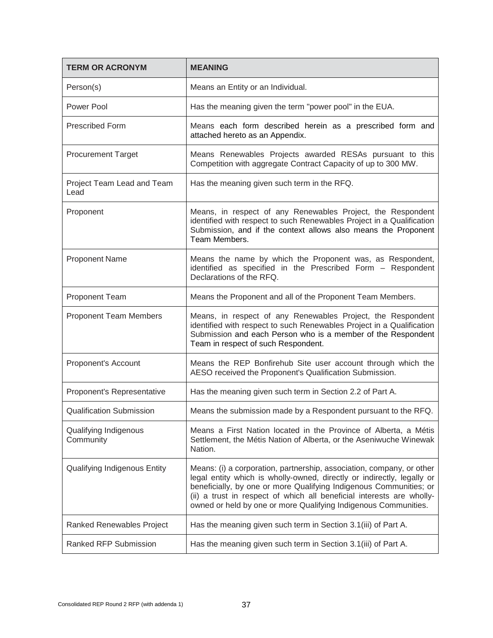| <b>TERM OR ACRONYM</b>             | <b>MEANING</b>                                                                                                                                                                                                                                                                                                                                                    |  |  |  |
|------------------------------------|-------------------------------------------------------------------------------------------------------------------------------------------------------------------------------------------------------------------------------------------------------------------------------------------------------------------------------------------------------------------|--|--|--|
| Person(s)                          | Means an Entity or an Individual.                                                                                                                                                                                                                                                                                                                                 |  |  |  |
| Power Pool                         | Has the meaning given the term "power pool" in the EUA.                                                                                                                                                                                                                                                                                                           |  |  |  |
| <b>Prescribed Form</b>             | Means each form described herein as a prescribed form and<br>attached hereto as an Appendix.                                                                                                                                                                                                                                                                      |  |  |  |
| <b>Procurement Target</b>          | Means Renewables Projects awarded RESAs pursuant to this<br>Competition with aggregate Contract Capacity of up to 300 MW.                                                                                                                                                                                                                                         |  |  |  |
| Project Team Lead and Team<br>Lead | Has the meaning given such term in the RFQ.                                                                                                                                                                                                                                                                                                                       |  |  |  |
| Proponent                          | Means, in respect of any Renewables Project, the Respondent<br>identified with respect to such Renewables Project in a Qualification<br>Submission, and if the context allows also means the Proponent<br>Team Members.                                                                                                                                           |  |  |  |
| <b>Proponent Name</b>              | Means the name by which the Proponent was, as Respondent,<br>identified as specified in the Prescribed Form - Respondent<br>Declarations of the RFQ.                                                                                                                                                                                                              |  |  |  |
| <b>Proponent Team</b>              | Means the Proponent and all of the Proponent Team Members.                                                                                                                                                                                                                                                                                                        |  |  |  |
| <b>Proponent Team Members</b>      | Means, in respect of any Renewables Project, the Respondent<br>identified with respect to such Renewables Project in a Qualification<br>Submission and each Person who is a member of the Respondent<br>Team in respect of such Respondent.                                                                                                                       |  |  |  |
| Proponent's Account                | Means the REP Bonfirehub Site user account through which the<br>AESO received the Proponent's Qualification Submission.                                                                                                                                                                                                                                           |  |  |  |
| Proponent's Representative         | Has the meaning given such term in Section 2.2 of Part A.                                                                                                                                                                                                                                                                                                         |  |  |  |
| <b>Qualification Submission</b>    | Means the submission made by a Respondent pursuant to the RFQ.                                                                                                                                                                                                                                                                                                    |  |  |  |
| Qualifying Indigenous<br>Community | Means a First Nation located in the Province of Alberta, a Métis<br>Settlement, the Métis Nation of Alberta, or the Aseniwuche Winewak<br>Nation.                                                                                                                                                                                                                 |  |  |  |
| Qualifying Indigenous Entity       | Means: (i) a corporation, partnership, association, company, or other<br>legal entity which is wholly-owned, directly or indirectly, legally or<br>beneficially, by one or more Qualifying Indigenous Communities; or<br>(ii) a trust in respect of which all beneficial interests are wholly-<br>owned or held by one or more Qualifying Indigenous Communities. |  |  |  |
| Ranked Renewables Project          | Has the meaning given such term in Section 3.1(iii) of Part A.                                                                                                                                                                                                                                                                                                    |  |  |  |
| Ranked RFP Submission              | Has the meaning given such term in Section 3.1(iii) of Part A.                                                                                                                                                                                                                                                                                                    |  |  |  |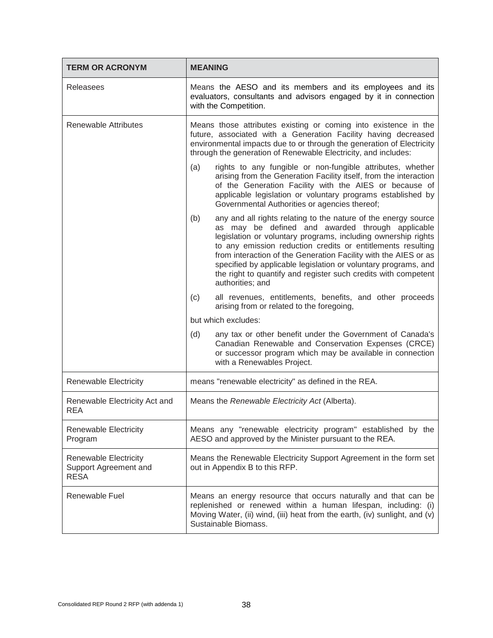| <b>TERM OR ACRONYM</b>                                               | <b>MEANING</b>                                                                                                                                                                                                                                                                                                                                                                                                                                                                       |  |  |
|----------------------------------------------------------------------|--------------------------------------------------------------------------------------------------------------------------------------------------------------------------------------------------------------------------------------------------------------------------------------------------------------------------------------------------------------------------------------------------------------------------------------------------------------------------------------|--|--|
| Releasees                                                            | Means the AESO and its members and its employees and its<br>evaluators, consultants and advisors engaged by it in connection<br>with the Competition.                                                                                                                                                                                                                                                                                                                                |  |  |
| <b>Renewable Attributes</b>                                          | Means those attributes existing or coming into existence in the<br>future, associated with a Generation Facility having decreased<br>environmental impacts due to or through the generation of Electricity<br>through the generation of Renewable Electricity, and includes:                                                                                                                                                                                                         |  |  |
|                                                                      | rights to any fungible or non-fungible attributes, whether<br>(a)<br>arising from the Generation Facility itself, from the interaction<br>of the Generation Facility with the AIES or because of<br>applicable legislation or voluntary programs established by<br>Governmental Authorities or agencies thereof;                                                                                                                                                                     |  |  |
|                                                                      | (b)<br>any and all rights relating to the nature of the energy source<br>as may be defined and awarded through applicable<br>legislation or voluntary programs, including ownership rights<br>to any emission reduction credits or entitlements resulting<br>from interaction of the Generation Facility with the AIES or as<br>specified by applicable legislation or voluntary programs, and<br>the right to quantify and register such credits with competent<br>authorities; and |  |  |
|                                                                      | all revenues, entitlements, benefits, and other proceeds<br>(c)<br>arising from or related to the foregoing,                                                                                                                                                                                                                                                                                                                                                                         |  |  |
|                                                                      | but which excludes:                                                                                                                                                                                                                                                                                                                                                                                                                                                                  |  |  |
|                                                                      | (d)<br>any tax or other benefit under the Government of Canada's<br>Canadian Renewable and Conservation Expenses (CRCE)<br>or successor program which may be available in connection<br>with a Renewables Project.                                                                                                                                                                                                                                                                   |  |  |
| <b>Renewable Electricity</b>                                         | means "renewable electricity" as defined in the REA.                                                                                                                                                                                                                                                                                                                                                                                                                                 |  |  |
| Renewable Electricity Act and<br><b>REA</b>                          | Means the Renewable Electricity Act (Alberta).                                                                                                                                                                                                                                                                                                                                                                                                                                       |  |  |
| <b>Renewable Electricity</b><br>Program                              | Means any "renewable electricity program" established by the<br>AESO and approved by the Minister pursuant to the REA.                                                                                                                                                                                                                                                                                                                                                               |  |  |
| <b>Renewable Electricity</b><br>Support Agreement and<br><b>RESA</b> | Means the Renewable Electricity Support Agreement in the form set<br>out in Appendix B to this RFP.                                                                                                                                                                                                                                                                                                                                                                                  |  |  |
| Renewable Fuel                                                       | Means an energy resource that occurs naturally and that can be<br>replenished or renewed within a human lifespan, including: (i)<br>Moving Water, (ii) wind, (iii) heat from the earth, (iv) sunlight, and (v)<br>Sustainable Biomass.                                                                                                                                                                                                                                               |  |  |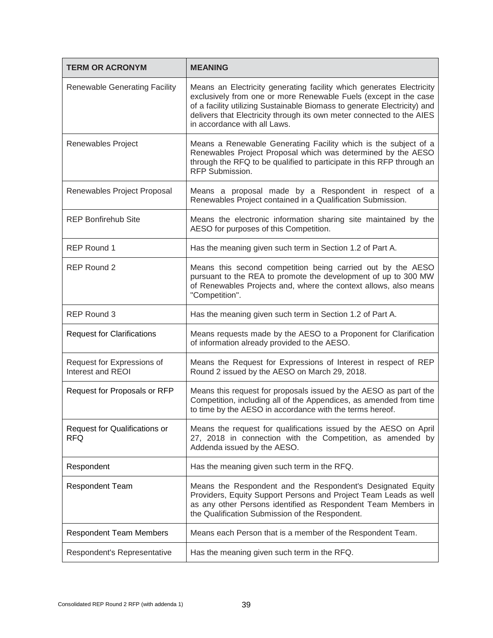| <b>TERM OR ACRONYM</b>                          | <b>MEANING</b>                                                                                                                                                                                                                                                                                                                |  |  |
|-------------------------------------------------|-------------------------------------------------------------------------------------------------------------------------------------------------------------------------------------------------------------------------------------------------------------------------------------------------------------------------------|--|--|
| <b>Renewable Generating Facility</b>            | Means an Electricity generating facility which generates Electricity<br>exclusively from one or more Renewable Fuels (except in the case<br>of a facility utilizing Sustainable Biomass to generate Electricity) and<br>delivers that Electricity through its own meter connected to the AIES<br>in accordance with all Laws. |  |  |
| Renewables Project                              | Means a Renewable Generating Facility which is the subject of a<br>Renewables Project Proposal which was determined by the AESO<br>through the RFQ to be qualified to participate in this RFP through an<br>RFP Submission.                                                                                                   |  |  |
| Renewables Project Proposal                     | Means a proposal made by a Respondent in respect of a<br>Renewables Project contained in a Qualification Submission.                                                                                                                                                                                                          |  |  |
| <b>REP Bonfirehub Site</b>                      | Means the electronic information sharing site maintained by the<br>AESO for purposes of this Competition.                                                                                                                                                                                                                     |  |  |
| <b>REP Round 1</b>                              | Has the meaning given such term in Section 1.2 of Part A.                                                                                                                                                                                                                                                                     |  |  |
| <b>REP Round 2</b>                              | Means this second competition being carried out by the AESO<br>pursuant to the REA to promote the development of up to 300 MW<br>of Renewables Projects and, where the context allows, also means<br>"Competition".                                                                                                           |  |  |
| <b>REP Round 3</b>                              | Has the meaning given such term in Section 1.2 of Part A.                                                                                                                                                                                                                                                                     |  |  |
| <b>Request for Clarifications</b>               | Means requests made by the AESO to a Proponent for Clarification<br>of information already provided to the AESO.                                                                                                                                                                                                              |  |  |
| Request for Expressions of<br>Interest and REOI | Means the Request for Expressions of Interest in respect of REP<br>Round 2 issued by the AESO on March 29, 2018.                                                                                                                                                                                                              |  |  |
| Request for Proposals or RFP                    | Means this request for proposals issued by the AESO as part of the<br>Competition, including all of the Appendices, as amended from time<br>to time by the AESO in accordance with the terms hereof.                                                                                                                          |  |  |
| Request for Qualifications or<br><b>RFQ</b>     | Means the request for qualifications issued by the AESO on April<br>27, 2018 in connection with the Competition, as amended by<br>Addenda issued by the AESO.                                                                                                                                                                 |  |  |
| Respondent                                      | Has the meaning given such term in the RFQ.                                                                                                                                                                                                                                                                                   |  |  |
| <b>Respondent Team</b>                          | Means the Respondent and the Respondent's Designated Equity<br>Providers, Equity Support Persons and Project Team Leads as well<br>as any other Persons identified as Respondent Team Members in<br>the Qualification Submission of the Respondent.                                                                           |  |  |
| <b>Respondent Team Members</b>                  | Means each Person that is a member of the Respondent Team.                                                                                                                                                                                                                                                                    |  |  |
| Respondent's Representative                     | Has the meaning given such term in the RFQ.                                                                                                                                                                                                                                                                                   |  |  |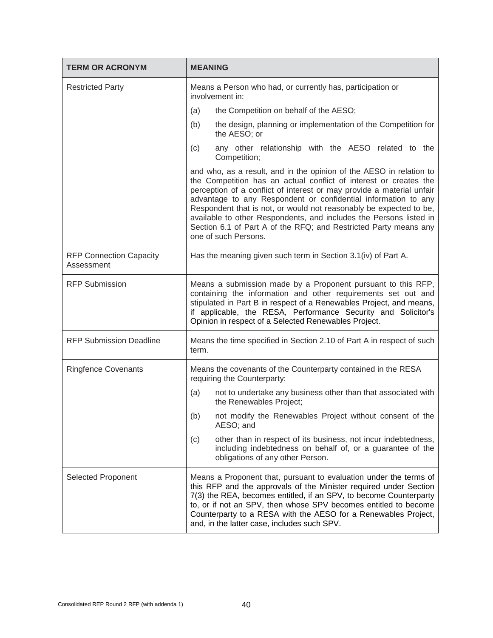| <b>TERM OR ACRONYM</b>                       | <b>MEANING</b>                                                                                                                                                                                                                                                                                                                                                                                                                                                                                                              |  |  |
|----------------------------------------------|-----------------------------------------------------------------------------------------------------------------------------------------------------------------------------------------------------------------------------------------------------------------------------------------------------------------------------------------------------------------------------------------------------------------------------------------------------------------------------------------------------------------------------|--|--|
| <b>Restricted Party</b>                      | Means a Person who had, or currently has, participation or<br>involvement in:                                                                                                                                                                                                                                                                                                                                                                                                                                               |  |  |
|                                              | the Competition on behalf of the AESO;<br>(a)                                                                                                                                                                                                                                                                                                                                                                                                                                                                               |  |  |
|                                              | the design, planning or implementation of the Competition for<br>(b)<br>the AESO; or                                                                                                                                                                                                                                                                                                                                                                                                                                        |  |  |
|                                              | any other relationship with the AESO related to the<br>(c)<br>Competition;                                                                                                                                                                                                                                                                                                                                                                                                                                                  |  |  |
|                                              | and who, as a result, and in the opinion of the AESO in relation to<br>the Competition has an actual conflict of interest or creates the<br>perception of a conflict of interest or may provide a material unfair<br>advantage to any Respondent or confidential information to any<br>Respondent that is not, or would not reasonably be expected to be,<br>available to other Respondents, and includes the Persons listed in<br>Section 6.1 of Part A of the RFQ; and Restricted Party means any<br>one of such Persons. |  |  |
| <b>RFP Connection Capacity</b><br>Assessment | Has the meaning given such term in Section 3.1(iv) of Part A.                                                                                                                                                                                                                                                                                                                                                                                                                                                               |  |  |
| <b>RFP Submission</b>                        | Means a submission made by a Proponent pursuant to this RFP,<br>containing the information and other requirements set out and<br>stipulated in Part B in respect of a Renewables Project, and means,<br>if applicable, the RESA, Performance Security and Solicitor's<br>Opinion in respect of a Selected Renewables Project.                                                                                                                                                                                               |  |  |
| <b>RFP Submission Deadline</b>               | Means the time specified in Section 2.10 of Part A in respect of such<br>term.                                                                                                                                                                                                                                                                                                                                                                                                                                              |  |  |
| <b>Ringfence Covenants</b>                   | Means the covenants of the Counterparty contained in the RESA<br>requiring the Counterparty:                                                                                                                                                                                                                                                                                                                                                                                                                                |  |  |
|                                              | not to undertake any business other than that associated with<br>(a)<br>the Renewables Project;                                                                                                                                                                                                                                                                                                                                                                                                                             |  |  |
|                                              | (b)<br>not modify the Renewables Project without consent of the<br>AESO; and                                                                                                                                                                                                                                                                                                                                                                                                                                                |  |  |
|                                              | other than in respect of its business, not incur indebtedness,<br>(c)<br>including indebtedness on behalf of, or a guarantee of the<br>obligations of any other Person.                                                                                                                                                                                                                                                                                                                                                     |  |  |
| Selected Proponent                           | Means a Proponent that, pursuant to evaluation under the terms of<br>this RFP and the approvals of the Minister required under Section<br>7(3) the REA, becomes entitled, if an SPV, to become Counterparty<br>to, or if not an SPV, then whose SPV becomes entitled to become<br>Counterparty to a RESA with the AESO for a Renewables Project,<br>and, in the latter case, includes such SPV.                                                                                                                             |  |  |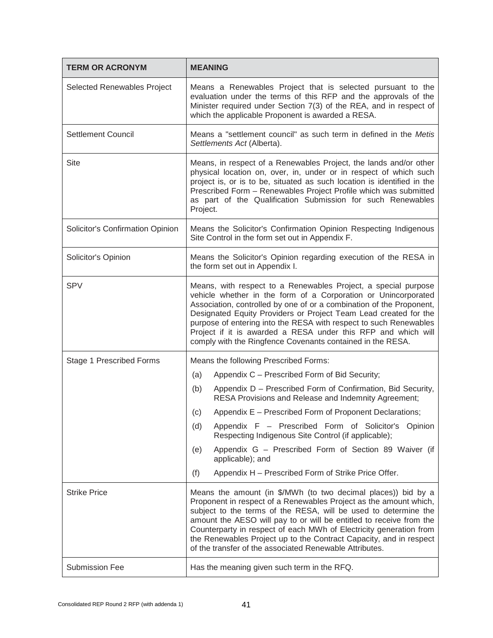| <b>TERM OR ACRONYM</b>           | <b>MEANING</b>                                                                                                                                                                                                                                                                                                                                                                                                                                                                      |  |  |  |
|----------------------------------|-------------------------------------------------------------------------------------------------------------------------------------------------------------------------------------------------------------------------------------------------------------------------------------------------------------------------------------------------------------------------------------------------------------------------------------------------------------------------------------|--|--|--|
| Selected Renewables Project      | Means a Renewables Project that is selected pursuant to the<br>evaluation under the terms of this RFP and the approvals of the<br>Minister required under Section 7(3) of the REA, and in respect of<br>which the applicable Proponent is awarded a RESA.                                                                                                                                                                                                                           |  |  |  |
| <b>Settlement Council</b>        | Means a "settlement council" as such term in defined in the Metis<br>Settlements Act (Alberta).                                                                                                                                                                                                                                                                                                                                                                                     |  |  |  |
| <b>Site</b>                      | Means, in respect of a Renewables Project, the lands and/or other<br>physical location on, over, in, under or in respect of which such<br>project is, or is to be, situated as such location is identified in the<br>Prescribed Form - Renewables Project Profile which was submitted<br>as part of the Qualification Submission for such Renewables<br>Project.                                                                                                                    |  |  |  |
| Solicitor's Confirmation Opinion | Means the Solicitor's Confirmation Opinion Respecting Indigenous<br>Site Control in the form set out in Appendix F.                                                                                                                                                                                                                                                                                                                                                                 |  |  |  |
| Solicitor's Opinion              | Means the Solicitor's Opinion regarding execution of the RESA in<br>the form set out in Appendix I.                                                                                                                                                                                                                                                                                                                                                                                 |  |  |  |
| <b>SPV</b>                       | Means, with respect to a Renewables Project, a special purpose<br>vehicle whether in the form of a Corporation or Unincorporated<br>Association, controlled by one of or a combination of the Proponent,<br>Designated Equity Providers or Project Team Lead created for the<br>purpose of entering into the RESA with respect to such Renewables<br>Project if it is awarded a RESA under this RFP and which will<br>comply with the Ringfence Covenants contained in the RESA.    |  |  |  |
| Stage 1 Prescribed Forms         | Means the following Prescribed Forms:                                                                                                                                                                                                                                                                                                                                                                                                                                               |  |  |  |
|                                  | Appendix C - Prescribed Form of Bid Security;<br>(a)                                                                                                                                                                                                                                                                                                                                                                                                                                |  |  |  |
|                                  | Appendix D - Prescribed Form of Confirmation, Bid Security,<br>(b)<br>RESA Provisions and Release and Indemnity Agreement;                                                                                                                                                                                                                                                                                                                                                          |  |  |  |
|                                  | Appendix E - Prescribed Form of Proponent Declarations;<br>(c)                                                                                                                                                                                                                                                                                                                                                                                                                      |  |  |  |
|                                  | Appendix F - Prescribed Form of Solicitor's Opinion<br>(d)<br>Respecting Indigenous Site Control (if applicable);                                                                                                                                                                                                                                                                                                                                                                   |  |  |  |
|                                  | Appendix G - Prescribed Form of Section 89 Waiver (if<br>(e)<br>applicable); and                                                                                                                                                                                                                                                                                                                                                                                                    |  |  |  |
|                                  | Appendix H - Prescribed Form of Strike Price Offer.<br>(f)                                                                                                                                                                                                                                                                                                                                                                                                                          |  |  |  |
| <b>Strike Price</b>              | Means the amount (in \$/MWh (to two decimal places)) bid by a<br>Proponent in respect of a Renewables Project as the amount which,<br>subject to the terms of the RESA, will be used to determine the<br>amount the AESO will pay to or will be entitled to receive from the<br>Counterparty in respect of each MWh of Electricity generation from<br>the Renewables Project up to the Contract Capacity, and in respect<br>of the transfer of the associated Renewable Attributes. |  |  |  |
| <b>Submission Fee</b>            | Has the meaning given such term in the RFQ.                                                                                                                                                                                                                                                                                                                                                                                                                                         |  |  |  |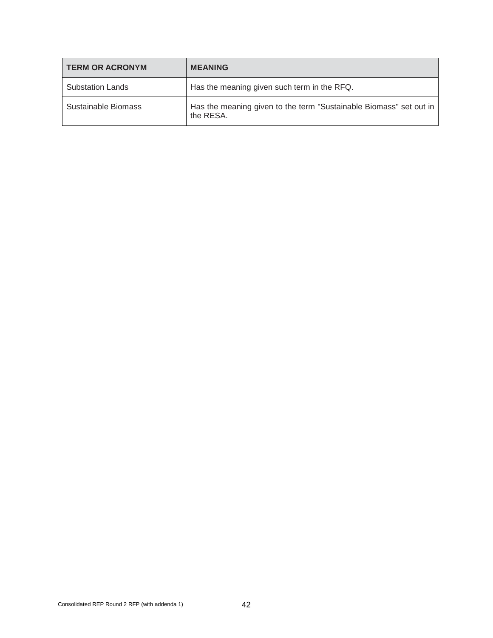| <b>TERM OR ACRONYM</b>  | <b>MEANING</b>                                                                  |  |
|-------------------------|---------------------------------------------------------------------------------|--|
| <b>Substation Lands</b> | Has the meaning given such term in the RFQ.                                     |  |
| Sustainable Biomass     | Has the meaning given to the term "Sustainable Biomass" set out in<br>the RESA. |  |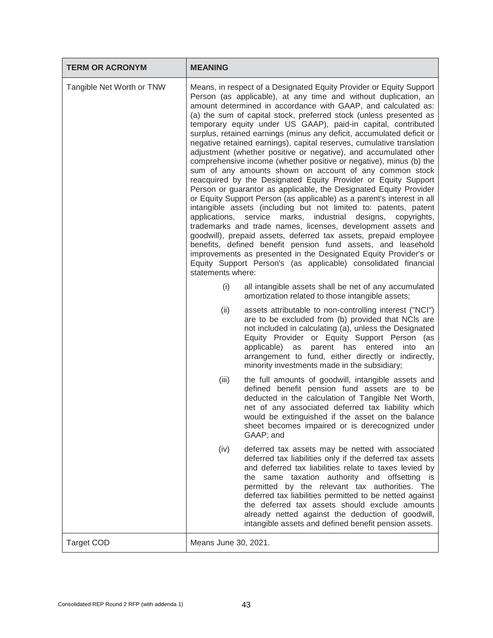| <b>TERM OR ACRONYM</b>    | <b>MEANING</b>                                                                                                                                                                                                                                                                                                                                                                                                                                                                                                                                                                                                                                                                                                                                                                                                                                                                                                                                                                                                                                                                                                                                                                                                                                                                                                                                                                                                                  |                                                                                                                                                                                                                                                                                                                                                                                                                                                                                                       |
|---------------------------|---------------------------------------------------------------------------------------------------------------------------------------------------------------------------------------------------------------------------------------------------------------------------------------------------------------------------------------------------------------------------------------------------------------------------------------------------------------------------------------------------------------------------------------------------------------------------------------------------------------------------------------------------------------------------------------------------------------------------------------------------------------------------------------------------------------------------------------------------------------------------------------------------------------------------------------------------------------------------------------------------------------------------------------------------------------------------------------------------------------------------------------------------------------------------------------------------------------------------------------------------------------------------------------------------------------------------------------------------------------------------------------------------------------------------------|-------------------------------------------------------------------------------------------------------------------------------------------------------------------------------------------------------------------------------------------------------------------------------------------------------------------------------------------------------------------------------------------------------------------------------------------------------------------------------------------------------|
| Tangible Net Worth or TNW | Means, in respect of a Designated Equity Provider or Equity Support<br>Person (as applicable), at any time and without duplication, an<br>amount determined in accordance with GAAP, and calculated as:<br>(a) the sum of capital stock, preferred stock (unless presented as<br>temporary equity under US GAAP), paid-in capital, contributed<br>surplus, retained earnings (minus any deficit, accumulated deficit or<br>negative retained earnings), capital reserves, cumulative translation<br>adjustment (whether positive or negative), and accumulated other<br>comprehensive income (whether positive or negative), minus (b) the<br>sum of any amounts shown on account of any common stock<br>reacquired by the Designated Equity Provider or Equity Support<br>Person or guarantor as applicable, the Designated Equity Provider<br>or Equity Support Person (as applicable) as a parent's interest in all<br>intangible assets (including but not limited to: patents, patent<br>applications,<br>service marks, industrial designs,<br>copyrights,<br>trademarks and trade names, licenses, development assets and<br>goodwill), prepaid assets, deferred tax assets, prepaid employee<br>benefits, defined benefit pension fund assets, and leasehold<br>improvements as presented in the Designated Equity Provider's or<br>Equity Support Person's (as applicable) consolidated financial<br>statements where: |                                                                                                                                                                                                                                                                                                                                                                                                                                                                                                       |
|                           | (i)                                                                                                                                                                                                                                                                                                                                                                                                                                                                                                                                                                                                                                                                                                                                                                                                                                                                                                                                                                                                                                                                                                                                                                                                                                                                                                                                                                                                                             | all intangible assets shall be net of any accumulated<br>amortization related to those intangible assets;                                                                                                                                                                                                                                                                                                                                                                                             |
|                           | (ii)                                                                                                                                                                                                                                                                                                                                                                                                                                                                                                                                                                                                                                                                                                                                                                                                                                                                                                                                                                                                                                                                                                                                                                                                                                                                                                                                                                                                                            | assets attributable to non-controlling interest ("NCI")<br>are to be excluded from (b) provided that NCIs are<br>not included in calculating (a), unless the Designated<br>Equity Provider or Equity Support Person (as<br>applicable)<br>as<br>parent has<br>entered<br>into<br>an<br>arrangement to fund, either directly or indirectly,<br>minority investments made in the subsidiary;                                                                                                            |
|                           | (iii)                                                                                                                                                                                                                                                                                                                                                                                                                                                                                                                                                                                                                                                                                                                                                                                                                                                                                                                                                                                                                                                                                                                                                                                                                                                                                                                                                                                                                           | the full amounts of goodwill, intangible assets and<br>defined benefit pension fund assets are to be<br>deducted in the calculation of Tangible Net Worth,<br>net of any associated deferred tax liability which<br>would be extinguished if the asset on the balance<br>sheet becomes impaired or is derecognized under<br>GAAP; and                                                                                                                                                                 |
|                           | (iv)                                                                                                                                                                                                                                                                                                                                                                                                                                                                                                                                                                                                                                                                                                                                                                                                                                                                                                                                                                                                                                                                                                                                                                                                                                                                                                                                                                                                                            | deferred tax assets may be netted with associated<br>deferred tax liabilities only if the deferred tax assets<br>and deferred tax liabilities relate to taxes levied by<br>the same taxation authority and offsetting is<br>permitted by the relevant tax authorities. The<br>deferred tax liabilities permitted to be netted against<br>the deferred tax assets should exclude amounts<br>already netted against the deduction of goodwill,<br>intangible assets and defined benefit pension assets. |
| <b>Target COD</b>         | Means June 30, 2021.                                                                                                                                                                                                                                                                                                                                                                                                                                                                                                                                                                                                                                                                                                                                                                                                                                                                                                                                                                                                                                                                                                                                                                                                                                                                                                                                                                                                            |                                                                                                                                                                                                                                                                                                                                                                                                                                                                                                       |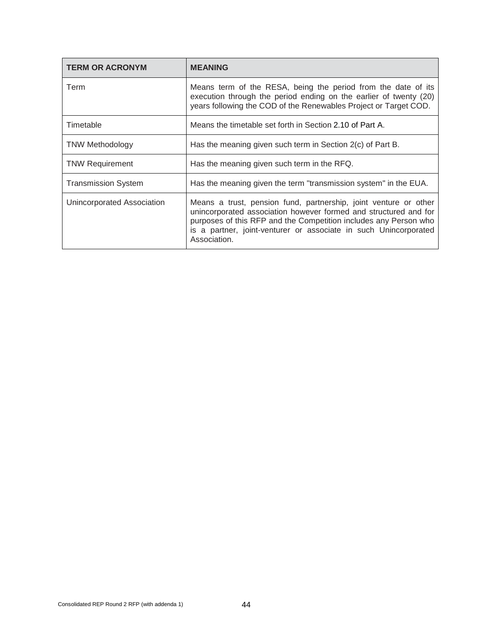| <b>TERM OR ACRONYM</b>     | <b>MEANING</b>                                                                                                                                                                                                                                                                               |
|----------------------------|----------------------------------------------------------------------------------------------------------------------------------------------------------------------------------------------------------------------------------------------------------------------------------------------|
| Term                       | Means term of the RESA, being the period from the date of its<br>execution through the period ending on the earlier of twenty (20)<br>years following the COD of the Renewables Project or Target COD.                                                                                       |
| Timetable                  | Means the timetable set forth in Section 2.10 of Part A.                                                                                                                                                                                                                                     |
| <b>TNW Methodology</b>     | Has the meaning given such term in Section 2(c) of Part B.                                                                                                                                                                                                                                   |
| <b>TNW Requirement</b>     | Has the meaning given such term in the RFQ.                                                                                                                                                                                                                                                  |
| <b>Transmission System</b> | Has the meaning given the term "transmission system" in the EUA.                                                                                                                                                                                                                             |
| Unincorporated Association | Means a trust, pension fund, partnership, joint venture or other<br>unincorporated association however formed and structured and for<br>purposes of this RFP and the Competition includes any Person who<br>is a partner, joint-venturer or associate in such Unincorporated<br>Association. |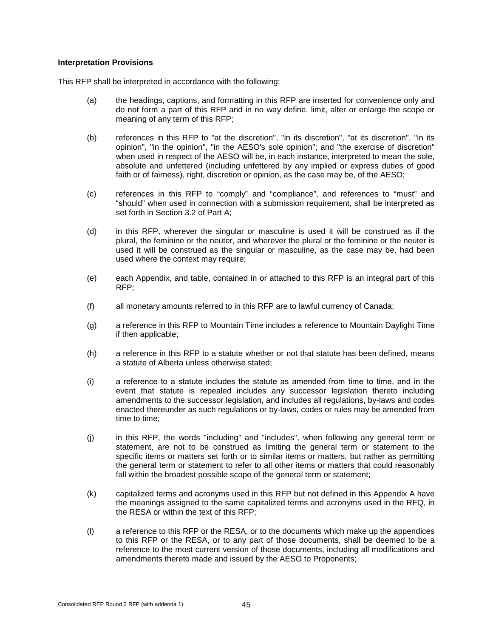#### **Interpretation Provisions**

This RFP shall be interpreted in accordance with the following:

- (a) the headings, captions, and formatting in this RFP are inserted for convenience only and do not form a part of this RFP and in no way define, limit, alter or enlarge the scope or meaning of any term of this RFP;
- (b) references in this RFP to "at the discretion", "in its discretion", "at its discretion", "in its opinion", "in the opinion", "in the AESO's sole opinion"; and "the exercise of discretion" when used in respect of the AESO will be, in each instance, interpreted to mean the sole, absolute and unfettered (including unfettered by any implied or express duties of good faith or of fairness), right, discretion or opinion, as the case may be, of the AESO;
- (c) references in this RFP to "comply" and "compliance", and references to "must" and "should" when used in connection with a submission requirement, shall be interpreted as set forth in Section 3.2 of Part A;
- (d) in this RFP, wherever the singular or masculine is used it will be construed as if the plural, the feminine or the neuter, and wherever the plural or the feminine or the neuter is used it will be construed as the singular or masculine, as the case may be, had been used where the context may require;
- (e) each Appendix, and table, contained in or attached to this RFP is an integral part of this RFP;
- (f) all monetary amounts referred to in this RFP are to lawful currency of Canada;
- (g) a reference in this RFP to Mountain Time includes a reference to Mountain Daylight Time if then applicable;
- (h) a reference in this RFP to a statute whether or not that statute has been defined, means a statute of Alberta unless otherwise stated;
- (i) a reference to а statute includes the statute as amended from time to time, and in the event that statute is repealed includes any successor legislation thereto including amendments to the successor legislation, and includes all regulations, by-laws and codes enacted thereunder as such regulations or by-laws, codes or rules may be amended from time to time;
- (j) in this RFP, the words "including" and "includes", when following any general term or statement, are not to be construed as limiting the general term or statement to the specific items or matters set forth or to similar items or matters, but rather as permitting the general term or statement to refer to all other items or matters that could reasonably fall within the broadest possible scope of the general term or statement;
- (k) capitalized terms and acronyms used in this RFP but not defined in this Appendix A have the meanings assigned to the same capitalized terms and acronyms used in the RFQ, in the RESA or within the text of this RFP;
- (l) a reference to this RFP or the RESA, or to the documents which make up the appendices to this RFP or the RESA, or to any part of those documents, shall be deemed to be a reference to the most current version of those documents, including all modifications and amendments thereto made and issued by the AESO to Proponents;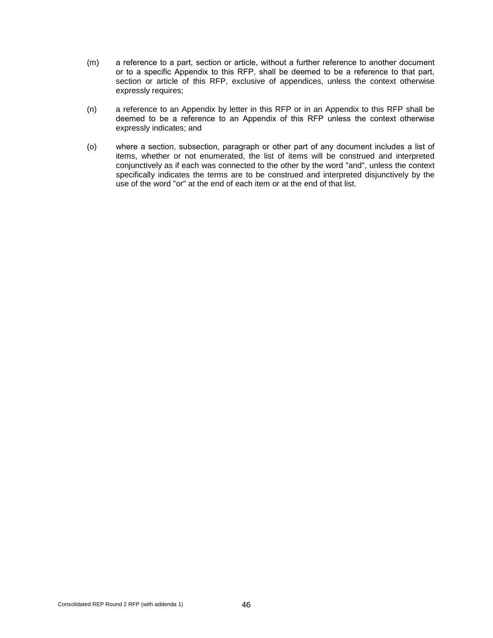- (m) a reference to а part, section or article, without а further reference to another document or to а specific Appendix to this RFP, shall be deemed to be a reference to that part, section or article of this RFP, exclusive of appendices, unless the context otherwise expressly requires;
- (n) a reference to an Appendix by letter in this RFP or in an Appendix to this RFP shall be deemed to be а reference to an Appendix of this RFP unless the context otherwise expressly indicates; and
- (o) where а section, subsection, paragraph or other part of any document includes а list of items, whether or not enumerated, the list of items will be construed and interpreted conjunctively as if each was connected to the other by the word "and", unless the context specifically indicates the terms are to be construed and interpreted disjunctively by the use of the word "or" at the end of each item or at the end of that list.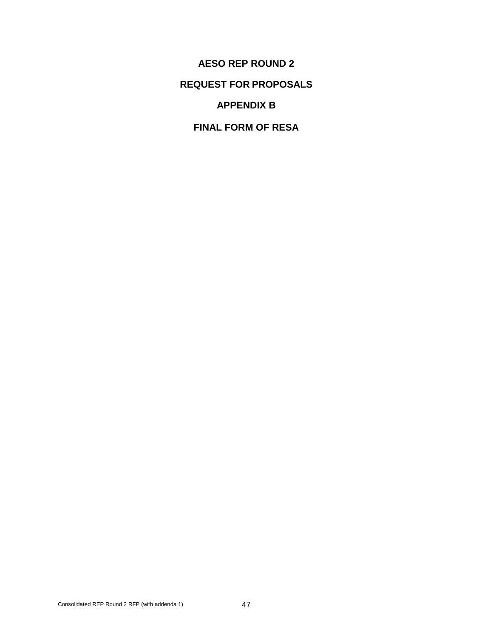**AESO REP ROUND 2 REQUEST FOR PROPOSALS APPENDIX B**

**FINAL FORM OF RESA**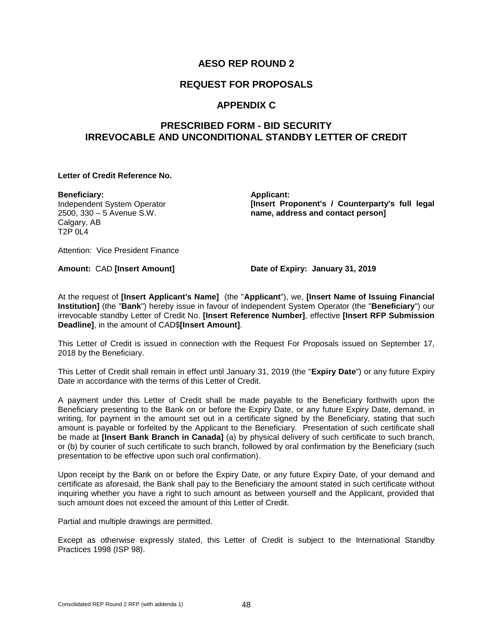# **REQUEST FOR PROPOSALS**

# **APPENDIX C**

# **PRESCRIBED FORM - BID SECURITY IRREVOCABLE AND UNCONDITIONAL STANDBY LETTER OF CREDIT**

#### **Letter of Credit Reference No.**

**Beneficiary:** Independent System Operator 2500, 330 – 5 Avenue S.W. Calgary, AB  $T2P 0L4$ 

**Applicant: [Insert Proponent's / Counterparty's full legal name, address and contact person]**

Attention: Vice President Finance

**Amount:** CAD **[Insert Amount] Date of Expiry: January 31, 2019**

At the request of **[Insert Applicant's Name]** (the "**Applicant**"), we, **[Insert Name of Issuing Financial Institution]** (the "**Bank**") hereby issue in favour of Independent System Operator (the "**Beneficiary**") our irrevocable standby Letter of Credit No. **[Insert Reference Number]**, effective **[Insert RFP Submission Deadline]**, in the amount of CAD\$**[Insert Amount]**.

This Letter of Credit is issued in connection with the Request For Proposals issued on September 17, 2018 by the Beneficiary.

This Letter of Credit shall remain in effect until January 31, 2019 (the "**Expiry Date**") or any future Expiry Date in accordance with the terms of this Letter of Credit.

A payment under this Letter of Credit shall be made payable to the Beneficiary forthwith upon the Beneficiary presenting to the Bank on or before the Expiry Date, or any future Expiry Date, demand, in writing, for payment in the amount set out in a certificate signed by the Beneficiary, stating that such amount is payable or forfeited by the Applicant to the Beneficiary. Presentation of such certificate shall be made at **[Insert Bank Branch in Canada]** (a) by physical delivery of such certificate to such branch, or (b) by courier of such certificate to such branch, followed by oral confirmation by the Beneficiary (such presentation to be effective upon such oral confirmation).

Upon receipt by the Bank on or before the Expiry Date, or any future Expiry Date, of your demand and certificate as aforesaid, the Bank shall pay to the Beneficiary the amount stated in such certificate without inquiring whether you have a right to such amount as between yourself and the Applicant, provided that such amount does not exceed the amount of this Letter of Credit.

Partial and multiple drawings are permitted.

Except as otherwise expressly stated, this Letter of Credit is subject to the International Standby Practices 1998 (ISP 98).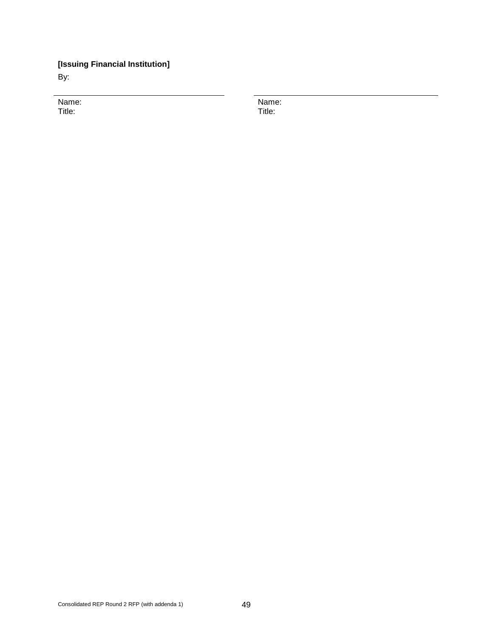# **[Issuing Financial Institution]**

By:

Name: Title:

Name: Title: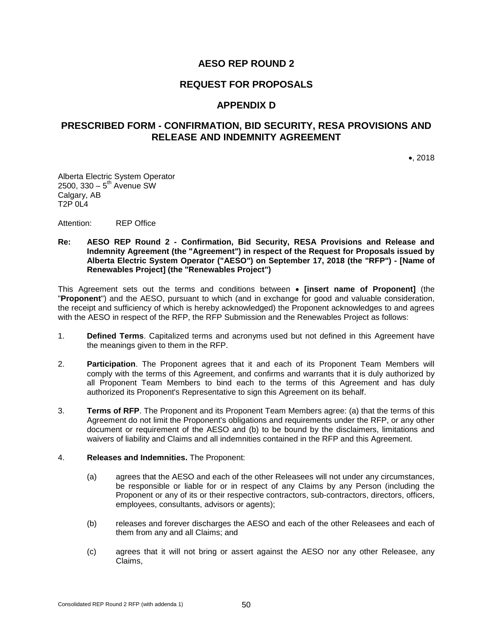### **REQUEST FOR PROPOSALS**

### **APPENDIX D**

# **PRESCRIBED FORM - CONFIRMATION, BID SECURITY, RESA PROVISIONS AND RELEASE AND INDEMNITY AGREEMENT**

•, 2018

Alberta Electric System Operator 2500,  $330 - 5^{th}$  Avenue SW Calgary, AB T2P 0L4

Attention: REP Office

#### **Re: AESO REP Round 2 - Confirmation, Bid Security, RESA Provisions and Release and Indemnity Agreement (the "Agreement") in respect of the Request for Proposals issued by Alberta Electric System Operator ("AESO") on September 17, 2018 (the "RFP") - [Name of Renewables Project] (the "Renewables Project")**

This Agreement sets out the terms and conditions between • **[insert name of Proponent]** (the "**Proponent**") and the AESO, pursuant to which (and in exchange for good and valuable consideration, the receipt and sufficiency of which is hereby acknowledged) the Proponent acknowledges to and agrees with the AESO in respect of the RFP, the RFP Submission and the Renewables Project as follows:

- 1. **Defined Terms**. Capitalized terms and acronyms used but not defined in this Agreement have the meanings given to them in the RFP.
- 2. **Participation**. The Proponent agrees that it and each of its Proponent Team Members will comply with the terms of this Agreement, and confirms and warrants that it is duly authorized by all Proponent Team Members to bind each to the terms of this Agreement and has duly authorized its Proponent's Representative to sign this Agreement on its behalf.
- 3. **Terms of RFP**. The Proponent and its Proponent Team Members agree: (a) that the terms of this Agreement do not limit the Proponent's obligations and requirements under the RFP, or any other document or requirement of the AESO and (b) to be bound by the disclaimers, limitations and waivers of liability and Claims and all indemnities contained in the RFP and this Agreement.

#### 4. **Releases and Indemnities.** The Proponent:

- (a) agrees that the AESO and each of the other Releasees will not under any circumstances, be responsible or liable for or in respect of any Claims by any Person (including the Proponent or any of its or their respective contractors, sub-contractors, directors, officers, employees, consultants, advisors or agents);
- (b) releases and forever discharges the AESO and each of the other Releasees and each of them from any and all Claims; and
- (c) agrees that it will not bring or assert against the AESO nor any other Releasee, any Claims,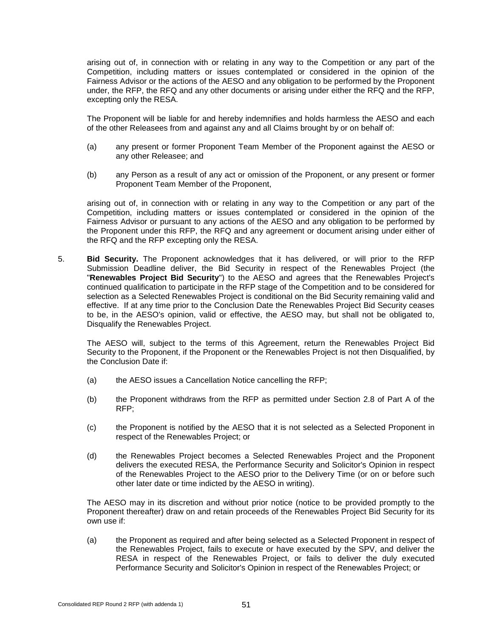arising out of, in connection with or relating in any way to the Competition or any part of the Competition, including matters or issues contemplated or considered in the opinion of the Fairness Advisor or the actions of the AESO and any obligation to be performed by the Proponent under, the RFP, the RFQ and any other documents or arising under either the RFQ and the RFP, excepting only the RESA.

The Proponent will be liable for and hereby indemnifies and holds harmless the AESO and each of the other Releasees from and against any and all Claims brought by or on behalf of:

- (a) any present or former Proponent Team Member of the Proponent against the AESO or any other Releasee; and
- (b) any Person as a result of any act or omission of the Proponent, or any present or former Proponent Team Member of the Proponent,

arising out of, in connection with or relating in any way to the Competition or any part of the Competition, including matters or issues contemplated or considered in the opinion of the Fairness Advisor or pursuant to any actions of the AESO and any obligation to be performed by the Proponent under this RFP, the RFQ and any agreement or document arising under either of the RFQ and the RFP excepting only the RESA.

5. **Bid Security.** The Proponent acknowledges that it has delivered, or will prior to the RFP Submission Deadline deliver, the Bid Security in respect of the Renewables Project (the "**Renewables Project Bid Security**") to the AESO and agrees that the Renewables Project's continued qualification to participate in the RFP stage of the Competition and to be considered for selection as a Selected Renewables Project is conditional on the Bid Security remaining valid and effective. If at any time prior to the Conclusion Date the Renewables Project Bid Security ceases to be, in the AESO's opinion, valid or effective, the AESO may, but shall not be obligated to, Disqualify the Renewables Project.

The AESO will, subject to the terms of this Agreement, return the Renewables Project Bid Security to the Proponent, if the Proponent or the Renewables Project is not then Disqualified, by the Conclusion Date if:

- (a) the AESO issues a Cancellation Notice cancelling the RFP;
- (b) the Proponent withdraws from the RFP as permitted under Section 2.8 of Part A of the RFP;
- (c) the Proponent is notified by the AESO that it is not selected as a Selected Proponent in respect of the Renewables Project; or
- (d) the Renewables Project becomes a Selected Renewables Project and the Proponent delivers the executed RESA, the Performance Security and Solicitor's Opinion in respect of the Renewables Project to the AESO prior to the Delivery Time (or on or before such other later date or time indicted by the AESO in writing).

The AESO may in its discretion and without prior notice (notice to be provided promptly to the Proponent thereafter) draw on and retain proceeds of the Renewables Project Bid Security for its own use if:

(a) the Proponent as required and after being selected as a Selected Proponent in respect of the Renewables Project, fails to execute or have executed by the SPV, and deliver the RESA in respect of the Renewables Project, or fails to deliver the duly executed Performance Security and Solicitor's Opinion in respect of the Renewables Project; or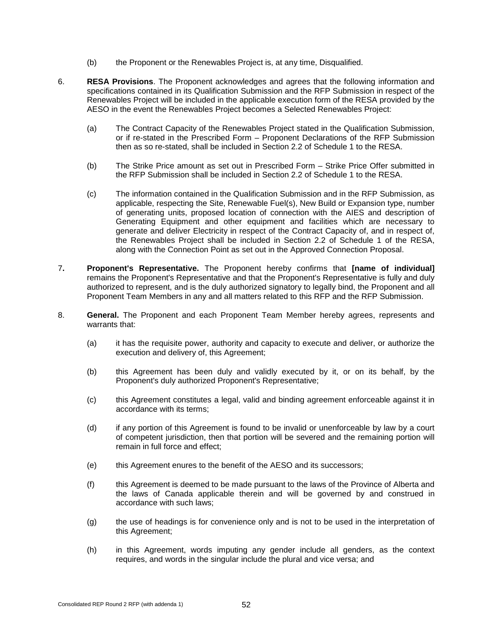- (b) the Proponent or the Renewables Project is, at any time, Disqualified.
- 6. **RESA Provisions**. The Proponent acknowledges and agrees that the following information and specifications contained in its Qualification Submission and the RFP Submission in respect of the Renewables Project will be included in the applicable execution form of the RESA provided by the AESO in the event the Renewables Project becomes a Selected Renewables Project:
	- (a) The Contract Capacity of the Renewables Project stated in the Qualification Submission, or if re-stated in the Prescribed Form – Proponent Declarations of the RFP Submission then as so re-stated, shall be included in Section 2.2 of Schedule 1 to the RESA.
	- (b) The Strike Price amount as set out in Prescribed Form Strike Price Offer submitted in the RFP Submission shall be included in Section 2.2 of Schedule 1 to the RFSA.
	- (c) The information contained in the Qualification Submission and in the RFP Submission, as applicable, respecting the Site, Renewable Fuel(s), New Build or Expansion type, number of generating units, proposed location of connection with the AIES and description of Generating Equipment and other equipment and facilities which are necessary to generate and deliver Electricity in respect of the Contract Capacity of, and in respect of, the Renewables Project shall be included in Section 2.2 of Schedule 1 of the RESA, along with the Connection Point as set out in the Approved Connection Proposal.
- 7**. Proponent's Representative.** The Proponent hereby confirms that **[name of individual]** remains the Proponent's Representative and that the Proponent's Representative is fully and duly authorized to represent, and is the duly authorized signatory to legally bind, the Proponent and all Proponent Team Members in any and all matters related to this RFP and the RFP Submission.
- 8. **General.** The Proponent and each Proponent Team Member hereby agrees, represents and warrants that:
	- (a) it has the requisite power, authority and capacity to execute and deliver, or authorize the execution and delivery of, this Agreement;
	- (b) this Agreement has been duly and validly executed by it, or on its behalf, by the Proponent's duly authorized Proponent's Representative;
	- (c) this Agreement constitutes a legal, valid and binding agreement enforceable against it in accordance with its terms;
	- (d) if any portion of this Agreement is found to be invalid or unenforceable by law by a court of competent jurisdiction, then that portion will be severed and the remaining portion will remain in full force and effect;
	- (e) this Agreement enures to the benefit of the AESO and its successors;
	- (f) this Agreement is deemed to be made pursuant to the laws of the Province of Alberta and the laws of Canada applicable therein and will be governed by and construed in accordance with such laws;
	- (g) the use of headings is for convenience only and is not to be used in the interpretation of this Agreement;
	- (h) in this Agreement, words imputing any gender include all genders, as the context requires, and words in the singular include the plural and vice versa; and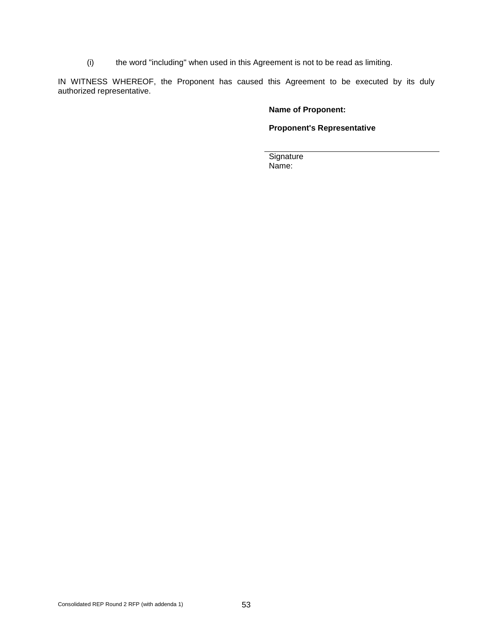(i) the word "including" when used in this Agreement is not to be read as limiting.

IN WITNESS WHEREOF, the Proponent has caused this Agreement to be executed by its duly authorized representative.

### **Name of Proponent:**

### **Proponent's Representative**

**Signature** Name: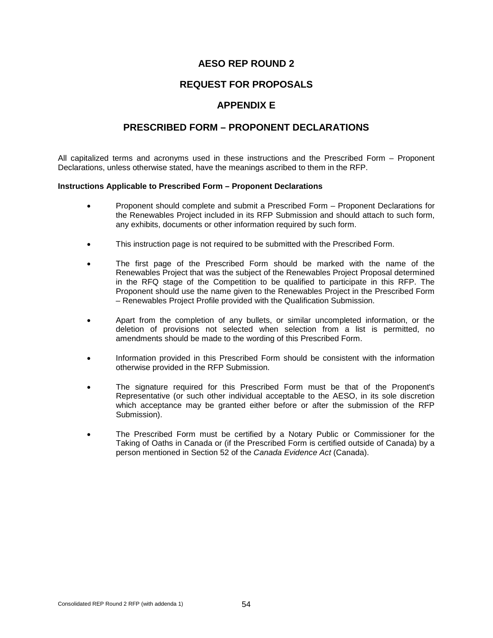### **REQUEST FOR PROPOSALS**

# **APPENDIX E**

### **PRESCRIBED FORM – PROPONENT DECLARATIONS**

All capitalized terms and acronyms used in these instructions and the Prescribed Form – Proponent Declarations, unless otherwise stated, have the meanings ascribed to them in the RFP.

#### **Instructions Applicable to Prescribed Form – Proponent Declarations**

- Proponent should complete and submit a Prescribed Form Proponent Declarations for the Renewables Project included in its RFP Submission and should attach to such form, any exhibits, documents or other information required by such form.
- This instruction page is not required to be submitted with the Prescribed Form.
- The first page of the Prescribed Form should be marked with the name of the Renewables Project that was the subject of the Renewables Project Proposal determined in the RFQ stage of the Competition to be qualified to participate in this RFP. The Proponent should use the name given to the Renewables Project in the Prescribed Form – Renewables Project Profile provided with the Qualification Submission.
- Apart from the completion of any bullets, or similar uncompleted information, or the deletion of provisions not selected when selection from a list is permitted, no amendments should be made to the wording of this Prescribed Form.
- Information provided in this Prescribed Form should be consistent with the information otherwise provided in the RFP Submission.
- The signature required for this Prescribed Form must be that of the Proponent's Representative (or such other individual acceptable to the AESO, in its sole discretion which acceptance may be granted either before or after the submission of the RFP Submission).
- The Prescribed Form must be certified by a Notary Public or Commissioner for the Taking of Oaths in Canada or (if the Prescribed Form is certified outside of Canada) by a person mentioned in Section 52 of the *Canada Evidence Act* (Canada).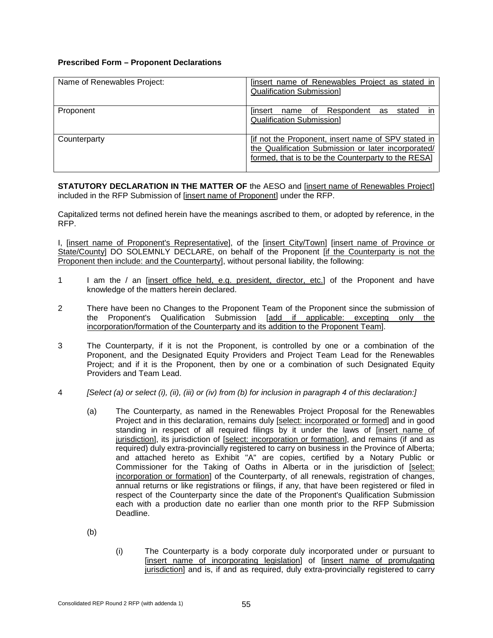### **Prescribed Form – Proponent Declarations**

| Name of Renewables Project: | <u>Sinsert name of Renewables Project as stated in</u><br><b>Qualification Submission]</b>                                                                        |  |
|-----------------------------|-------------------------------------------------------------------------------------------------------------------------------------------------------------------|--|
| Proponent                   | name of Respondent<br>stated<br>linsert<br>as<br><b>Qualification Submission]</b>                                                                                 |  |
| Counterparty                | Tif not the Proponent, insert name of SPV stated in<br>the Qualification Submission or later incorporated/<br>formed, that is to be the Counterparty to the RESA] |  |

**STATUTORY DECLARATION IN THE MATTER OF** the AESO and [insert name of Renewables Project] included in the RFP Submission of [insert name of Proponent] under the RFP.

Capitalized terms not defined herein have the meanings ascribed to them, or adopted by reference, in the RFP.

I, [insert name of Proponent's Representative], of the [insert City/Town] [insert name of Province or State/County] DO SOLEMNLY DECLARE, on behalf of the Proponent [if the Counterparty is not the Proponent then include: and the Counterparty], without personal liability, the following:

- 1 I am the / an [insert office held, e.g. president, director, etc.] of the Proponent and have knowledge of the matters herein declared.
- 2 There have been no Changes to the Proponent Team of the Proponent since the submission of the Proponent's Qualification Submission [add if applicable: excepting only the incorporation/formation of the Counterparty and its addition to the Proponent Team].
- 3 The Counterparty, if it is not the Proponent, is controlled by one or a combination of the Proponent, and the Designated Equity Providers and Project Team Lead for the Renewables Project; and if it is the Proponent, then by one or a combination of such Designated Equity Providers and Team Lead.
- 4 *[Select (a) or select (i), (ii), (iii) or (iv) from (b) for inclusion in paragraph 4 of this declaration:]*
	- (a) The Counterparty, as named in the Renewables Project Proposal for the Renewables Project and in this declaration, remains duly [select: incorporated or formed] and in good standing in respect of all required filings by it under the laws of [insert name of jurisdiction], its jurisdiction of [select: incorporation or formation], and remains (if and as required) duly extra-provincially registered to carry on business in the Province of Alberta; and attached hereto as Exhibit "A" are copies, certified by a Notary Public or Commissioner for the Taking of Oaths in Alberta or in the jurisdiction of [select: incorporation or formation] of the Counterparty, of all renewals, registration of changes, annual returns or like registrations or filings, if any, that have been registered or filed in respect of the Counterparty since the date of the Proponent's Qualification Submission each with a production date no earlier than one month prior to the RFP Submission Deadline.
	- (b)
- (i) The Counterparty is a body corporate duly incorporated under or pursuant to [insert name of incorporating legislation] of [insert name of promulgating jurisdiction] and is, if and as required, duly extra-provincially registered to carry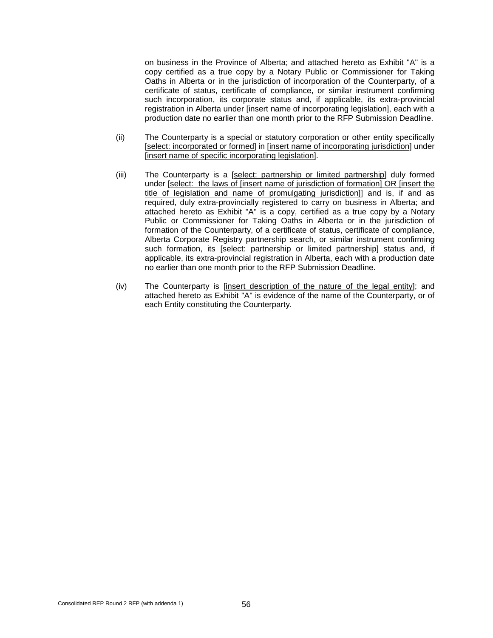on business in the Province of Alberta; and attached hereto as Exhibit "A" is a copy certified as a true copy by a Notary Public or Commissioner for Taking Oaths in Alberta or in the jurisdiction of incorporation of the Counterparty, of a certificate of status, certificate of compliance, or similar instrument confirming such incorporation, its corporate status and, if applicable, its extra-provincial registration in Alberta under [insert name of incorporating legislation], each with a production date no earlier than one month prior to the RFP Submission Deadline.

- (ii) The Counterparty is a special or statutory corporation or other entity specifically [select: incorporated or formed] in [insert name of incorporating jurisdiction] under [insert name of specific incorporating legislation].
- (iii) The Counterparty is a [select: partnership or limited partnership] duly formed under [select: the laws of [insert name of jurisdiction of formation] OR [insert the title of legislation and name of promulgating jurisdiction]] and is, if and as required, duly extra-provincially registered to carry on business in Alberta; and attached hereto as Exhibit "A" is a copy, certified as a true copy by a Notary Public or Commissioner for Taking Oaths in Alberta or in the jurisdiction of formation of the Counterparty, of a certificate of status, certificate of compliance, Alberta Corporate Registry partnership search, or similar instrument confirming such formation, its [select: partnership or limited partnership] status and, if applicable, its extra-provincial registration in Alberta, each with a production date no earlier than one month prior to the RFP Submission Deadline.
- (iv) The Counterparty is [insert description of the nature of the legal entity]; and attached hereto as Exhibit "A" is evidence of the name of the Counterparty, or of each Entity constituting the Counterparty.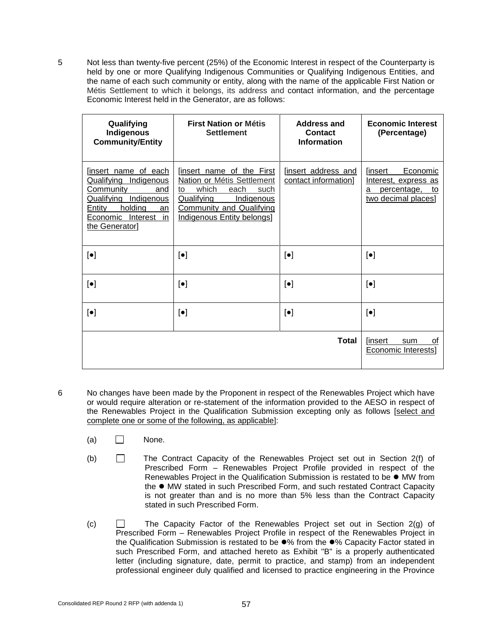5 Not less than twenty-five percent (25%) of the Economic Interest in respect of the Counterparty is held by one or more Qualifying Indigenous Communities or Qualifying Indigenous Entities, and the name of each such community or entity, along with the name of the applicable First Nation or Métis Settlement to which it belongs, its address and contact information, and the percentage Economic Interest held in the Generator, are as follows:

| Qualifying<br>Indigenous<br><b>Community/Entity</b>                                                                                                                             | <b>First Nation or Métis</b><br><b>Settlement</b>                                                                                                                                          | Address and<br><b>Contact</b><br><b>Information</b> | <b>Economic Interest</b><br>(Percentage)                                                            |
|---------------------------------------------------------------------------------------------------------------------------------------------------------------------------------|--------------------------------------------------------------------------------------------------------------------------------------------------------------------------------------------|-----------------------------------------------------|-----------------------------------------------------------------------------------------------------|
| [insert name of each<br>Qualifying<br>Indigenous<br>Community<br>and<br><b>Qualifying Indigenous</b><br>holding<br>Entity<br>an<br>Economic<br>Interest<br>in<br>the Generator] | linsert name of the First<br>Nation or Métis Settlement<br>which<br>each<br>such<br>to<br>Qualifying<br><b>Indigenous</b><br><b>Community and Qualifying</b><br>Indigenous Entity belongs] | [insert address and<br>contact information]         | <b>linsert</b><br>Economic<br>Interest, express as<br>percentage,<br>to<br>a<br>two decimal places] |
| $\left[\bullet\right]$                                                                                                                                                          | $\lbrack \bullet \rbrack$                                                                                                                                                                  | $\lbrack \bullet \rbrack$                           | $\left[\bullet\right]$                                                                              |
| $\left[\bullet\right]$                                                                                                                                                          | $\left[\bullet\right]$                                                                                                                                                                     | $\lbrack \bullet \rbrack$                           | $\left[\bullet\right]$                                                                              |
| $\left[\bullet\right]$                                                                                                                                                          | $\left[\bullet\right]$                                                                                                                                                                     | $\left[\bullet\right]$                              | $\left[\bullet\right]$                                                                              |
|                                                                                                                                                                                 |                                                                                                                                                                                            | <b>Total</b>                                        | <b>linsert</b><br>οf<br>sum<br><b>Economic Interests]</b>                                           |

- 6 No changes have been made by the Proponent in respect of the Renewables Project which have or would require alteration or re-statement of the information provided to the AESO in respect of the Renewables Project in the Qualification Submission excepting only as follows [select and complete one or some of the following, as applicable]:
	- $(a)$  None.
	- (b) The Contract Capacity of the Renewables Project set out in Section 2(f) of Prescribed Form – Renewables Project Profile provided in respect of the Renewables Project in the Qualification Submission is restated to be ● MW from the ● MW stated in such Prescribed Form, and such restated Contract Capacity is not greater than and is no more than 5% less than the Contract Capacity stated in such Prescribed Form.
	- (c)  $\Box$  The Capacity Factor of the Renewables Project set out in Section 2(g) of Prescribed Form – Renewables Project Profile in respect of the Renewables Project in the Qualification Submission is restated to be  $\bullet\%$  from the  $\bullet\%$  Capacity Factor stated in such Prescribed Form, and attached hereto as Exhibit "B" is a properly authenticated letter (including signature, date, permit to practice, and stamp) from an independent professional engineer duly qualified and licensed to practice engineering in the Province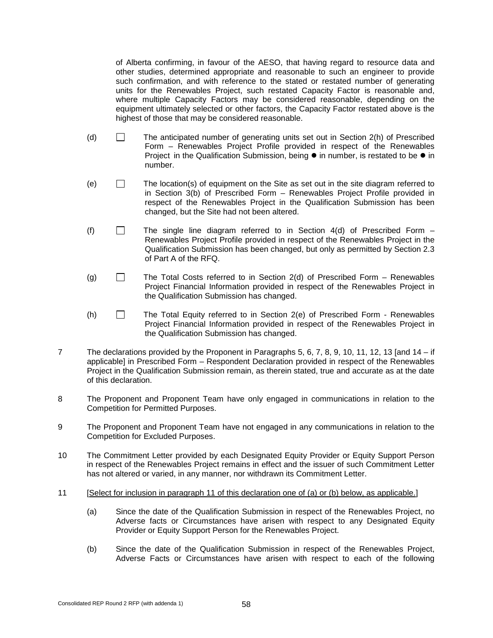of Alberta confirming, in favour of the AESO, that having regard to resource data and other studies, determined appropriate and reasonable to such an engineer to provide such confirmation, and with reference to the stated or restated number of generating units for the Renewables Project, such restated Capacity Factor is reasonable and, where multiple Capacity Factors may be considered reasonable, depending on the equipment ultimately selected or other factors, the Capacity Factor restated above is the highest of those that may be considered reasonable.

- (d)  $\Box$  The anticipated number of generating units set out in Section 2(h) of Prescribed Form – Renewables Project Profile provided in respect of the Renewables Project in the Qualification Submission, being  $\bullet$  in number, is restated to be  $\bullet$  in number.
- $(e)$  The location(s) of equipment on the Site as set out in the site diagram referred to in Section 3(b) of Prescribed Form – Renewables Project Profile provided in respect of the Renewables Project in the Qualification Submission has been changed, but the Site had not been altered.
- (f)  $\Box$  The single line diagram referred to in Section 4(d) of Prescribed Form Renewables Project Profile provided in respect of the Renewables Project in the Qualification Submission has been changed, but only as permitted by Section 2.3 of Part A of the RFQ.
- (g)  $\Box$  The Total Costs referred to in Section 2(d) of Prescribed Form Renewables Project Financial Information provided in respect of the Renewables Project in the Qualification Submission has changed.
- (h) The Total Equity referred to in Section 2(e) of Prescribed Form Renewables Project Financial Information provided in respect of the Renewables Project in the Qualification Submission has changed.
- 7 The declarations provided by the Proponent in Paragraphs 5, 6, 7, 8, 9, 10, 11, 12, 13 [and 14 if applicable] in Prescribed Form – Respondent Declaration provided in respect of the Renewables Project in the Qualification Submission remain, as therein stated, true and accurate as at the date of this declaration.
- 8 The Proponent and Proponent Team have only engaged in communications in relation to the Competition for Permitted Purposes.
- 9 The Proponent and Proponent Team have not engaged in any communications in relation to the Competition for Excluded Purposes.
- 10 The Commitment Letter provided by each Designated Equity Provider or Equity Support Person in respect of the Renewables Project remains in effect and the issuer of such Commitment Letter has not altered or varied, in any manner, nor withdrawn its Commitment Letter.
- 11 [Select for inclusion in paragraph 11 of this declaration one of (a) or (b) below, as applicable.]
	- (a) Since the date of the Qualification Submission in respect of the Renewables Project, no Adverse facts or Circumstances have arisen with respect to any Designated Equity Provider or Equity Support Person for the Renewables Project.
	- (b) Since the date of the Qualification Submission in respect of the Renewables Project, Adverse Facts or Circumstances have arisen with respect to each of the following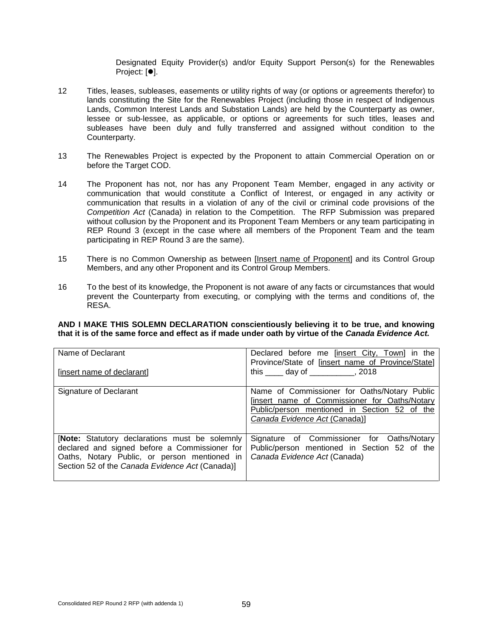Designated Equity Provider(s) and/or Equity Support Person(s) for the Renewables Project: [ $\bullet$ ].

- 12 Titles, leases, subleases, easements or utility rights of way (or options or agreements therefor) to lands constituting the Site for the Renewables Project (including those in respect of Indigenous Lands, Common Interest Lands and Substation Lands) are held by the Counterparty as owner, lessee or sub-lessee, as applicable, or options or agreements for such titles, leases and subleases have been duly and fully transferred and assigned without condition to the Counterparty.
- 13 The Renewables Project is expected by the Proponent to attain Commercial Operation on or before the Target COD.
- 14 The Proponent has not, nor has any Proponent Team Member, engaged in any activity or communication that would constitute a Conflict of Interest, or engaged in any activity or communication that results in a violation of any of the civil or criminal code provisions of the *Competition Act* (Canada) in relation to the Competition. The RFP Submission was prepared without collusion by the Proponent and its Proponent Team Members or any team participating in REP Round 3 (except in the case where all members of the Proponent Team and the team participating in REP Round 3 are the same).
- 15 There is no Common Ownership as between [Insert name of Proponent] and its Control Group Members, and any other Proponent and its Control Group Members.
- 16 To the best of its knowledge, the Proponent is not aware of any facts or circumstances that would prevent the Counterparty from executing, or complying with the terms and conditions of, the RESA.

#### **AND I MAKE THIS SOLEMN DECLARATION conscientiously believing it to be true, and knowing that it is of the same force and effect as if made under oath by virtue of the** *Canada Evidence Act.*

| Name of Declarant<br>[insert name of declarant]                                                                                                                                                          | Declared before me finsert City, Town in the<br>Province/State of [insert name of Province/State]<br>this $\_\_\_$ day of $\_\_\_\_\_$ , 2018                                  |
|----------------------------------------------------------------------------------------------------------------------------------------------------------------------------------------------------------|--------------------------------------------------------------------------------------------------------------------------------------------------------------------------------|
| Signature of Declarant                                                                                                                                                                                   | Name of Commissioner for Oaths/Notary Public<br>[insert name of Commissioner for Oaths/Notary<br>Public/person mentioned in Section 52 of the<br>Canada Evidence Act (Canada)] |
| <b>Note:</b> Statutory declarations must be solemnly<br>declared and signed before a Commissioner for<br>Oaths, Notary Public, or person mentioned in<br>Section 52 of the Canada Evidence Act (Canada)] | Signature of Commissioner for Oaths/Notary<br>Public/person mentioned in Section 52 of the<br>Canada Evidence Act (Canada)                                                     |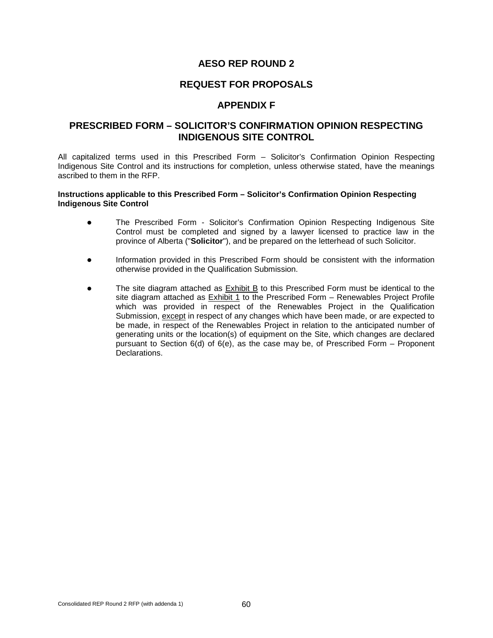### **REQUEST FOR PROPOSALS**

### **APPENDIX F**

### **PRESCRIBED FORM – SOLICITOR'S CONFIRMATION OPINION RESPECTING INDIGENOUS SITE CONTROL**

All capitalized terms used in this Prescribed Form – Solicitor's Confirmation Opinion Respecting Indigenous Site Control and its instructions for completion, unless otherwise stated, have the meanings ascribed to them in the RFP.

#### **Instructions applicable to this Prescribed Form – Solicitor's Confirmation Opinion Respecting Indigenous Site Control**

- The Prescribed Form Solicitor's Confirmation Opinion Respecting Indigenous Site Control must be completed and signed by a lawyer licensed to practice law in the province of Alberta ("**Solicitor**"), and be prepared on the letterhead of such Solicitor.
- Information provided in this Prescribed Form should be consistent with the information otherwise provided in the Qualification Submission.
- The site diagram attached as **Exhibit B** to this Prescribed Form must be identical to the site diagram attached as Exhibit 1 to the Prescribed Form – Renewables Project Profile which was provided in respect of the Renewables Project in the Qualification Submission, except in respect of any changes which have been made, or are expected to be made, in respect of the Renewables Project in relation to the anticipated number of generating units or the location(s) of equipment on the Site, which changes are declared pursuant to Section 6(d) of 6(e), as the case may be, of Prescribed Form – Proponent Declarations.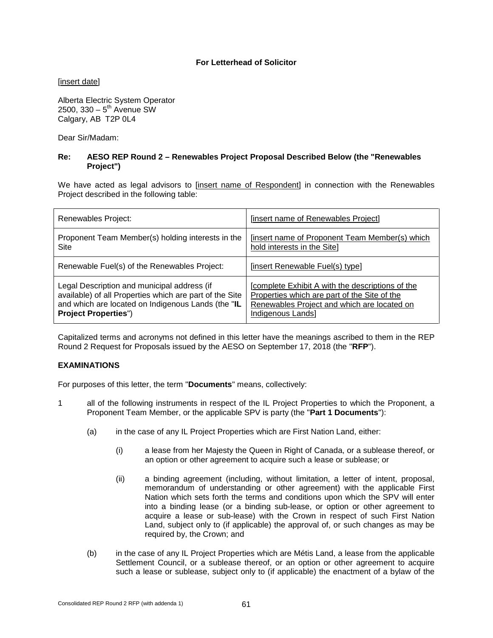### **For Letterhead of Solicitor**

[insert date]

Alberta Electric System Operator 2500,  $330 - 5^{th}$  Avenue SW Calgary, AB T2P 0L4

Dear Sir/Madam:

#### **Re: AESO REP Round 2 – Renewables Project Proposal Described Below (the "Renewables Project")**

We have acted as legal advisors to [insert name of Respondent] in connection with the Renewables Project described in the following table:

| Renewables Project:                                     | [insert name of Renewables Project]              |
|---------------------------------------------------------|--------------------------------------------------|
| Proponent Team Member(s) holding interests in the       | (insert name of Proponent Team Member(s) which   |
| <b>Site</b>                                             | hold interests in the Site]                      |
| Renewable Fuel(s) of the Renewables Project:            | [insert Renewable Fuel(s) type]                  |
| Legal Description and municipal address (if             | [complete Exhibit A with the descriptions of the |
| available) of all Properties which are part of the Site | Properties which are part of the Site of the     |
| and which are located on Indigenous Lands (the "IL      | Renewables Project and which are located on      |
| <b>Project Properties")</b>                             | Indigenous Lands]                                |

Capitalized terms and acronyms not defined in this letter have the meanings ascribed to them in the REP Round 2 Request for Proposals issued by the AESO on September 17, 2018 (the "**RFP**").

#### **EXAMINATIONS**

For purposes of this letter, the term "**Documents**" means, collectively:

- 1 all of the following instruments in respect of the IL Project Properties to which the Proponent, a Proponent Team Member, or the applicable SPV is party (the "**Part 1 Documents**"):
	- (a) in the case of any IL Project Properties which are First Nation Land, either:
		- (i) a lease from her Majesty the Queen in Right of Canada, or a sublease thereof, or an option or other agreement to acquire such a lease or sublease; or
		- (ii) a binding agreement (including, without limitation, a letter of intent, proposal, memorandum of understanding or other agreement) with the applicable First Nation which sets forth the terms and conditions upon which the SPV will enter into a binding lease (or a binding sub-lease, or option or other agreement to acquire a lease or sub-lease) with the Crown in respect of such First Nation Land, subject only to (if applicable) the approval of, or such changes as may be required by, the Crown; and
	- (b) in the case of any IL Project Properties which are Métis Land, a lease from the applicable Settlement Council, or a sublease thereof, or an option or other agreement to acquire such a lease or sublease, subject only to (if applicable) the enactment of a bylaw of the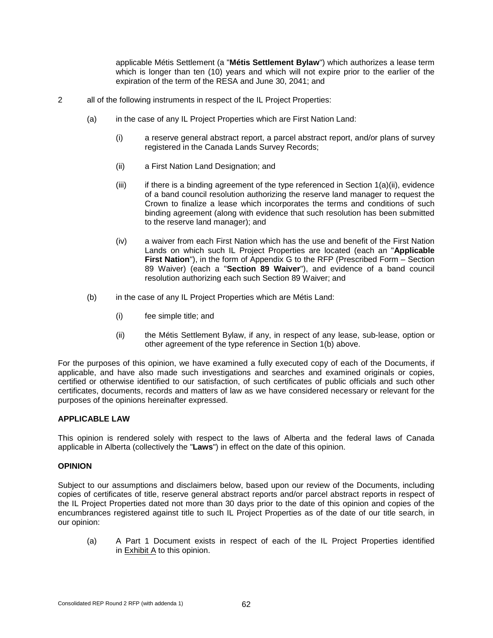applicable Métis Settlement (a "**Métis Settlement Bylaw**") which authorizes a lease term which is longer than ten (10) years and which will not expire prior to the earlier of the expiration of the term of the RESA and June 30, 2041; and

- 2 all of the following instruments in respect of the IL Project Properties:
	- (a) in the case of any IL Project Properties which are First Nation Land:
		- (i) a reserve general abstract report, a parcel abstract report, and/or plans of survey registered in the Canada Lands Survey Records;
		- (ii) a First Nation Land Designation; and
		- $(iii)$  if there is a binding agreement of the type referenced in Section 1(a)(ii), evidence of a band council resolution authorizing the reserve land manager to request the Crown to finalize a lease which incorporates the terms and conditions of such binding agreement (along with evidence that such resolution has been submitted to the reserve land manager); and
		- (iv) a waiver from each First Nation which has the use and benefit of the First Nation Lands on which such IL Project Properties are located (each an "**Applicable**  First Nation"), in the form of Appendix G to the RFP (Prescribed Form – Section 89 Waiver) (each a "**Section 89 Waiver**"), and evidence of a band council resolution authorizing each such Section 89 Waiver; and
	- (b) in the case of any IL Project Properties which are Métis Land:
		- (i) fee simple title; and
		- (ii) the Métis Settlement Bylaw, if any, in respect of any lease, sub-lease, option or other agreement of the type reference in Section 1(b) above.

For the purposes of this opinion, we have examined a fully executed copy of each of the Documents, if applicable, and have also made such investigations and searches and examined originals or copies, certified or otherwise identified to our satisfaction, of such certificates of public officials and such other certificates, documents, records and matters of law as we have considered necessary or relevant for the purposes of the opinions hereinafter expressed.

#### **APPLICABLE LAW**

This opinion is rendered solely with respect to the laws of Alberta and the federal laws of Canada applicable in Alberta (collectively the "**Laws**") in effect on the date of this opinion.

#### **OPINION**

Subject to our assumptions and disclaimers below, based upon our review of the Documents, including copies of certificates of title, reserve general abstract reports and/or parcel abstract reports in respect of the IL Project Properties dated not more than 30 days prior to the date of this opinion and copies of the encumbrances registered against title to such IL Project Properties as of the date of our title search, in our opinion:

(a) A Part 1 Document exists in respect of each of the IL Project Properties identified in Exhibit A to this opinion.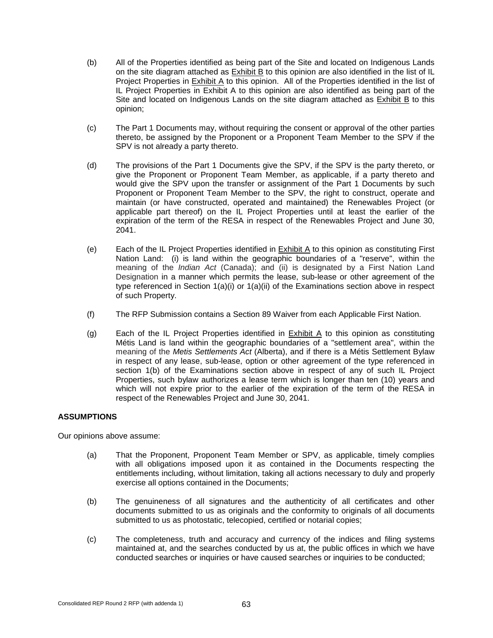- (b) All of the Properties identified as being part of the Site and located on Indigenous Lands on the site diagram attached as Exhibit B to this opinion are also identified in the list of IL Project Properties in Exhibit A to this opinion. All of the Properties identified in the list of IL Project Properties in Exhibit A to this opinion are also identified as being part of the Site and located on Indigenous Lands on the site diagram attached as Exhibit B to this opinion;
- (c) The Part 1 Documents may, without requiring the consent or approval of the other parties thereto, be assigned by the Proponent or a Proponent Team Member to the SPV if the SPV is not already a party thereto.
- (d) The provisions of the Part 1 Documents give the SPV, if the SPV is the party thereto, or give the Proponent or Proponent Team Member, as applicable, if a party thereto and would give the SPV upon the transfer or assignment of the Part 1 Documents by such Proponent or Proponent Team Member to the SPV, the right to construct, operate and maintain (or have constructed, operated and maintained) the Renewables Project (or applicable part thereof) on the IL Project Properties until at least the earlier of the expiration of the term of the RESA in respect of the Renewables Project and June 30, 2041.
- (e) Each of the IL Project Properties identified in Exhibit A to this opinion as constituting First Nation Land: (i) is land within the geographic boundaries of a "reserve", within the meaning of the *Indian Act* (Canada); and (ii) is designated by a First Nation Land Designation in a manner which permits the lease, sub-lease or other agreement of the type referenced in Section  $1(a)(i)$  or  $1(a)(ii)$  of the Examinations section above in respect of such Property.
- (f) The RFP Submission contains a Section 89 Waiver from each Applicable First Nation.
- (g) Each of the IL Project Properties identified in Exhibit A to this opinion as constituting Métis Land is land within the geographic boundaries of a "settlement area", within the meaning of the *Metis Settlements Act* (Alberta), and if there is a Métis Settlement Bylaw in respect of any lease, sub-lease, option or other agreement of the type referenced in section 1(b) of the Examinations section above in respect of any of such IL Project Properties, such bylaw authorizes a lease term which is longer than ten (10) years and which will not expire prior to the earlier of the expiration of the term of the RESA in respect of the Renewables Project and June 30, 2041.

### **ASSUMPTIONS**

Our opinions above assume:

- (a) That the Proponent, Proponent Team Member or SPV, as applicable, timely complies with all obligations imposed upon it as contained in the Documents respecting the entitlements including, without limitation, taking all actions necessary to duly and properly exercise all options contained in the Documents;
- (b) The genuineness of all signatures and the authenticity of all certificates and other documents submitted to us as originals and the conformity to originals of all documents submitted to us as photostatic, telecopied, certified or notarial copies;
- (c) The completeness, truth and accuracy and currency of the indices and filing systems maintained at, and the searches conducted by us at, the public offices in which we have conducted searches or inquiries or have caused searches or inquiries to be conducted;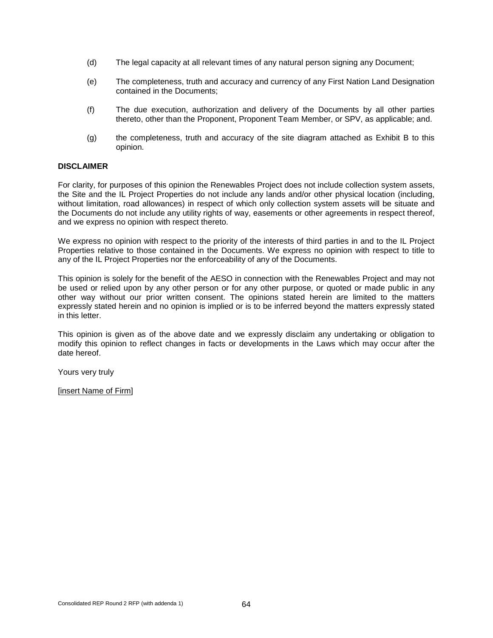- (d) The legal capacity at all relevant times of any natural person signing any Document;
- (e) The completeness, truth and accuracy and currency of any First Nation Land Designation contained in the Documents;
- (f) The due execution, authorization and delivery of the Documents by all other parties thereto, other than the Proponent, Proponent Team Member, or SPV, as applicable; and.
- (g) the completeness, truth and accuracy of the site diagram attached as Exhibit B to this opinion.

#### **DISCLAIMER**

For clarity, for purposes of this opinion the Renewables Project does not include collection system assets, the Site and the IL Project Properties do not include any lands and/or other physical location (including, without limitation, road allowances) in respect of which only collection system assets will be situate and the Documents do not include any utility rights of way, easements or other agreements in respect thereof, and we express no opinion with respect thereto.

We express no opinion with respect to the priority of the interests of third parties in and to the IL Project Properties relative to those contained in the Documents. We express no opinion with respect to title to any of the IL Project Properties nor the enforceability of any of the Documents.

This opinion is solely for the benefit of the AESO in connection with the Renewables Project and may not be used or relied upon by any other person or for any other purpose, or quoted or made public in any other way without our prior written consent. The opinions stated herein are limited to the matters expressly stated herein and no opinion is implied or is to be inferred beyond the matters expressly stated in this letter.

This opinion is given as of the above date and we expressly disclaim any undertaking or obligation to modify this opinion to reflect changes in facts or developments in the Laws which may occur after the date hereof.

Yours very truly

[insert Name of Firm]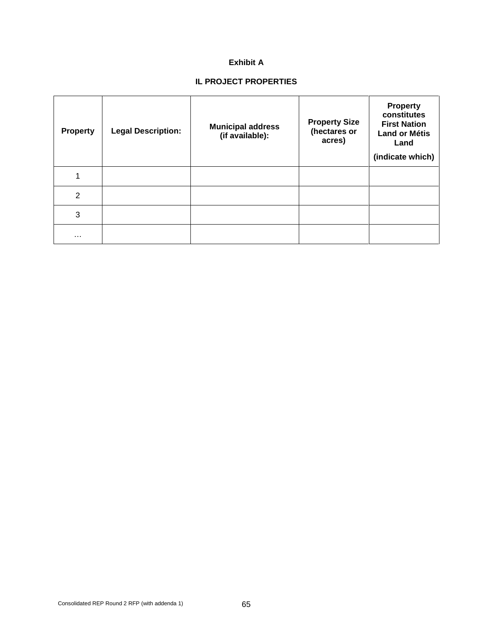### **Exhibit A**

# **IL PROJECT PROPERTIES**

| <b>Property</b> | <b>Legal Description:</b> | <b>Municipal address</b><br>(if available): | <b>Property Size</b><br>(hectares or<br>acres) | <b>Property</b><br>constitutes<br><b>First Nation</b><br><b>Land or Métis</b><br>Land<br>(indicate which) |
|-----------------|---------------------------|---------------------------------------------|------------------------------------------------|-----------------------------------------------------------------------------------------------------------|
| 1               |                           |                                             |                                                |                                                                                                           |
| $\overline{2}$  |                           |                                             |                                                |                                                                                                           |
| 3               |                           |                                             |                                                |                                                                                                           |
| $\cdots$        |                           |                                             |                                                |                                                                                                           |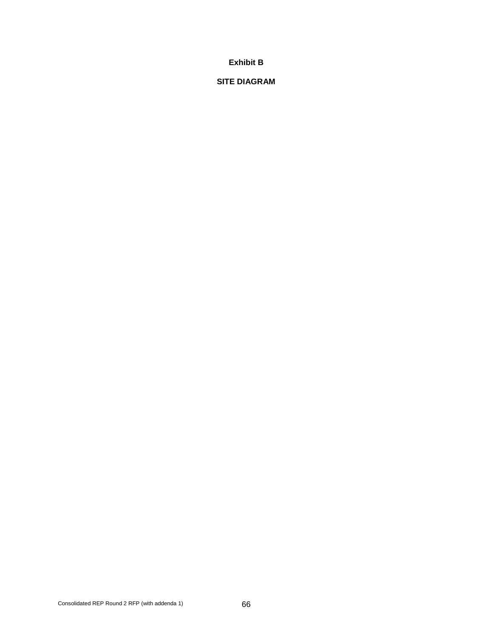### **Exhibit B**

### **SITE DIAGRAM**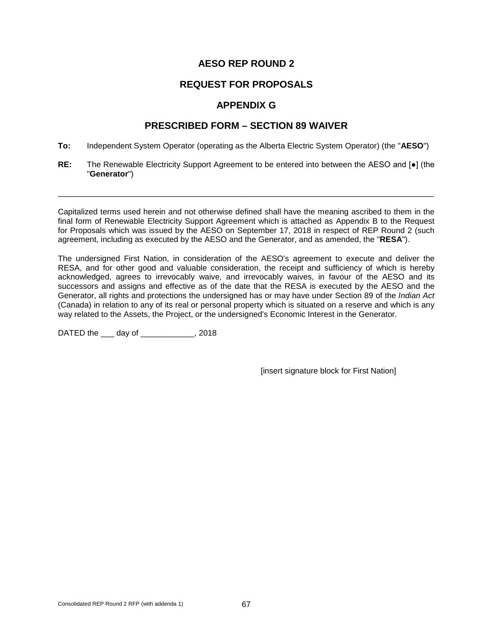# **REQUEST FOR PROPOSALS**

# **APPENDIX G**

# **PRESCRIBED FORM – SECTION 89 WAIVER**

- **To:** Independent System Operator (operating as the Alberta Electric System Operator) (the "**AESO**")
- **RE:** The Renewable Electricity Support Agreement to be entered into between the AESO and [●] (the "**Generator**")

\_\_\_\_\_\_\_\_\_\_\_\_\_\_\_\_\_\_\_\_\_\_\_\_\_\_\_\_\_\_\_\_\_\_\_\_\_\_\_\_\_\_\_\_\_\_\_\_\_\_\_\_\_\_\_\_\_\_\_\_\_\_\_\_\_\_\_\_\_\_\_\_\_\_\_\_\_\_\_\_\_\_\_\_

Capitalized terms used herein and not otherwise defined shall have the meaning ascribed to them in the final form of Renewable Electricity Support Agreement which is attached as Appendix B to the Request for Proposals which was issued by the AESO on September 17, 2018 in respect of REP Round 2 (such agreement, including as executed by the AESO and the Generator, and as amended, the "**RESA**").

The undersigned First Nation, in consideration of the AESO's agreement to execute and deliver the RESA, and for other good and valuable consideration, the receipt and sufficiency of which is hereby acknowledged, agrees to irrevocably waive, and irrevocably waives, in favour of the AESO and its successors and assigns and effective as of the date that the RESA is executed by the AESO and the Generator, all rights and protections the undersigned has or may have under Section 89 of the *Indian Act* (Canada) in relation to any of its real or personal property which is situated on a reserve and which is any way related to the Assets, the Project, or the undersigned's Economic Interest in the Generator.

DATED the \_\_\_ day of \_\_\_\_\_\_\_\_\_\_\_\_, 2018

[insert signature block for First Nation]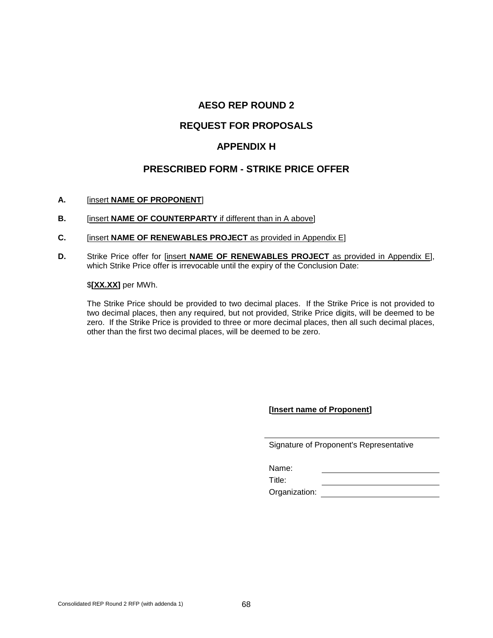## **REQUEST FOR PROPOSALS**

### **APPENDIX H**

### **PRESCRIBED FORM - STRIKE PRICE OFFER**

#### **A.** [insert **NAME OF PROPONENT**]

- **B.** [insert **NAME OF COUNTERPARTY** if different than in A above]
- **C.** [insert **NAME OF RENEWABLES PROJECT** as provided in Appendix E]
- **D.** Strike Price offer for [insert **NAME OF RENEWABLES PROJECT** as provided in Appendix E], which Strike Price offer is irrevocable until the expiry of the Conclusion Date:

#### \$**[XX.XX]** per MWh.

The Strike Price should be provided to two decimal places. If the Strike Price is not provided to two decimal places, then any required, but not provided, Strike Price digits, will be deemed to be zero. If the Strike Price is provided to three or more decimal places, then all such decimal places, other than the first two decimal places, will be deemed to be zero.

**[Insert name of Proponent]**

|  |  | Signature of Proponent's Representative |
|--|--|-----------------------------------------|
|  |  |                                         |

<u> 1980 - Johann Barbara, martin a</u>

Name:

Title:

Organization: <u>\_\_\_\_\_\_\_\_\_\_\_\_\_\_\_\_\_</u>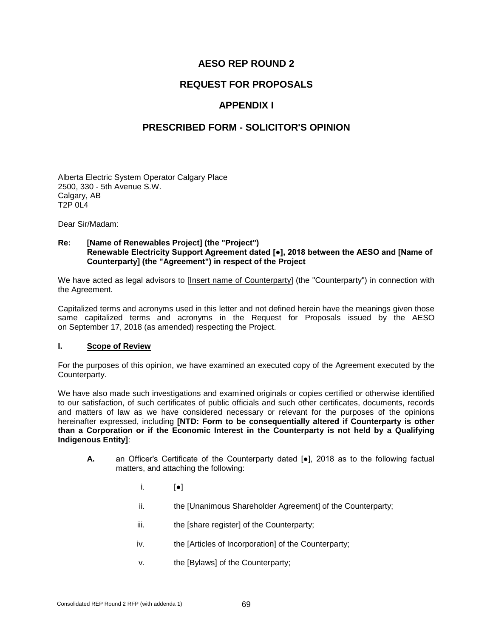# **REQUEST FOR PROPOSALS**

# **APPENDIX I**

### **PRESCRIBED FORM - SOLICITOR'S OPINION**

Alberta Electric System Operator Calgary Place 2500, 330 - 5th Avenue S.W. Calgary, AB T2P 0L4

Dear Sir/Madam:

#### **Re: [Name of Renewables Project] (the "Project") Renewable Electricity Support Agreement dated [●], 2018 between the AESO and [Name of Counterparty] (the "Agreement") in respect of the Project**

We have acted as legal advisors to [Insert name of Counterparty] (the "Counterparty") in connection with the Agreement.

Capitalized terms and acronyms used in this letter and not defined herein have the meanings given those same capitalized terms and acronyms in the Request for Proposals issued by the AESO on September 17, 2018 (as amended) respecting the Project.

#### **I. Scope of Review**

For the purposes of this opinion, we have examined an executed copy of the Agreement executed by the Counterparty.

We have also made such investigations and examined originals or copies certified or otherwise identified to our satisfaction, of such certificates of public officials and such other certificates, documents, records and matters of law as we have considered necessary or relevant for the purposes of the opinions hereinafter expressed, including **[NTD: Form to be consequentially altered if Counterparty is other than a Corporation or if the Economic Interest in the Counterparty is not held by a Qualifying Indigenous Entity]**:

- **A.** an Officer's Certificate of the Counterparty dated [ $\bullet$ ], 2018 as to the following factual matters, and attaching the following:
	- i. [●]
	- ii. the [Unanimous Shareholder Agreement] of the Counterparty;
	- iii. the [share register] of the Counterparty;
	- iv. the [Articles of Incorporation] of the Counterparty;
	- v. the [Bylaws] of the Counterparty;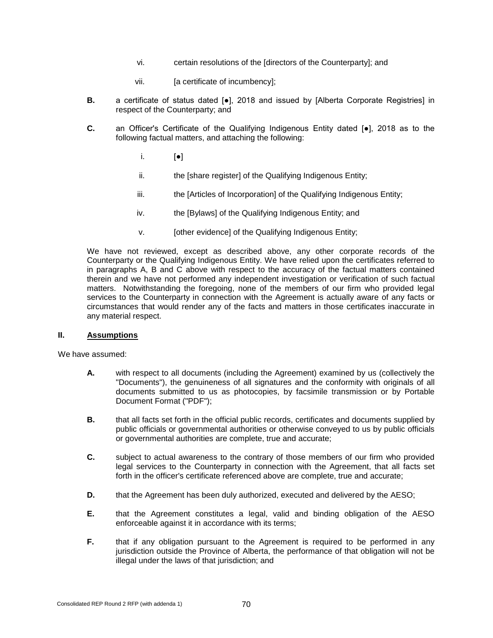- vi. certain resolutions of the [directors of the Counterparty]; and
- vii. **[a certificate of incumbency]**;
- **B.** a certificate of status dated [●], 2018 and issued by [Alberta Corporate Registries] in respect of the Counterparty; and
- **C.** an Officer's Certificate of the Qualifying Indigenous Entity dated [●], 2018 as to the following factual matters, and attaching the following:
	- i. [●]
	- ii. the [share register] of the Qualifying Indigenous Entity;
	- iii. the [Articles of Incorporation] of the Qualifying Indigenous Entity;
	- iv. the [Bylaws] of the Qualifying Indigenous Entity; and
	- v. [other evidence] of the Qualifying Indigenous Entity;

We have not reviewed, except as described above, any other corporate records of the Counterparty or the Qualifying Indigenous Entity. We have relied upon the certificates referred to in paragraphs A, B and C above with respect to the accuracy of the factual matters contained therein and we have not performed any independent investigation or verification of such factual matters. Notwithstanding the foregoing, none of the members of our firm who provided legal services to the Counterparty in connection with the Agreement is actually aware of any facts or circumstances that would render any of the facts and matters in those certificates inaccurate in any material respect.

#### **II. Assumptions**

We have assumed:

- **A.** with respect to all documents (including the Agreement) examined by us (collectively the "Documents"), the genuineness of all signatures and the conformity with originals of all documents submitted to us as photocopies, by facsimile transmission or by Portable Document Format ("PDF");
- **B.** that all facts set forth in the official public records, certificates and documents supplied by public officials or governmental authorities or otherwise conveyed to us by public officials or governmental authorities are complete, true and accurate;
- **C.** subject to actual awareness to the contrary of those members of our firm who provided legal services to the Counterparty in connection with the Agreement, that all facts set forth in the officer's certificate referenced above are complete, true and accurate;
- **D.** that the Agreement has been duly authorized, executed and delivered by the AESO;
- **E.** that the Agreement constitutes a legal, valid and binding obligation of the AESO enforceable against it in accordance with its terms;
- **F.** that if any obligation pursuant to the Agreement is required to be performed in any jurisdiction outside the Province of Alberta, the performance of that obligation will not be illegal under the laws of that jurisdiction; and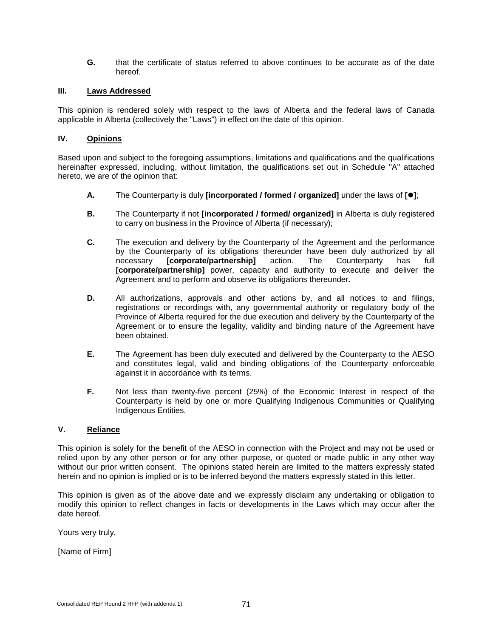**G.** that the certificate of status referred to above continues to be accurate as of the date hereof.

#### **III. Laws Addressed**

This opinion is rendered solely with respect to the laws of Alberta and the federal laws of Canada applicable in Alberta (collectively the "Laws") in effect on the date of this opinion.

#### **IV. Opinions**

Based upon and subject to the foregoing assumptions, limitations and qualifications and the qualifications hereinafter expressed, including, without limitation, the qualifications set out in Schedule "A" attached hereto, we are of the opinion that:

- **A.** The Counterparty is duly **[incorporated / formed / organized]** under the laws of **[]**;
- **B.** The Counterparty if not **[incorporated / formed/ organized]** in Alberta is duly registered to carry on business in the Province of Alberta (if necessary);
- **C.** The execution and delivery by the Counterparty of the Agreement and the performance by the Counterparty of its obligations thereunder have been duly authorized by all necessary [corporate/partnership] action. The Counterparty has full [corporate/partnership] **[corporate/partnership]** power, capacity and authority to execute and deliver the Agreement and to perform and observe its obligations thereunder.
- **D.** All authorizations, approvals and other actions by, and all notices to and filings, registrations or recordings with, any governmental authority or regulatory body of the Province of Alberta required for the due execution and delivery by the Counterparty of the Agreement or to ensure the legality, validity and binding nature of the Agreement have been obtained.
- **E.** The Agreement has been duly executed and delivered by the Counterparty to the AESO and constitutes legal, valid and binding obligations of the Counterparty enforceable against it in accordance with its terms.
- **F.** Not less than twenty-five percent (25%) of the Economic Interest in respect of the Counterparty is held by one or more Qualifying Indigenous Communities or Qualifying Indigenous Entities.

#### **V. Reliance**

This opinion is solely for the benefit of the AESO in connection with the Project and may not be used or relied upon by any other person or for any other purpose, or quoted or made public in any other way without our prior written consent. The opinions stated herein are limited to the matters expressly stated herein and no opinion is implied or is to be inferred beyond the matters expressly stated in this letter.

This opinion is given as of the above date and we expressly disclaim any undertaking or obligation to modify this opinion to reflect changes in facts or developments in the Laws which may occur after the date hereof.

Yours very truly,

[Name of Firm]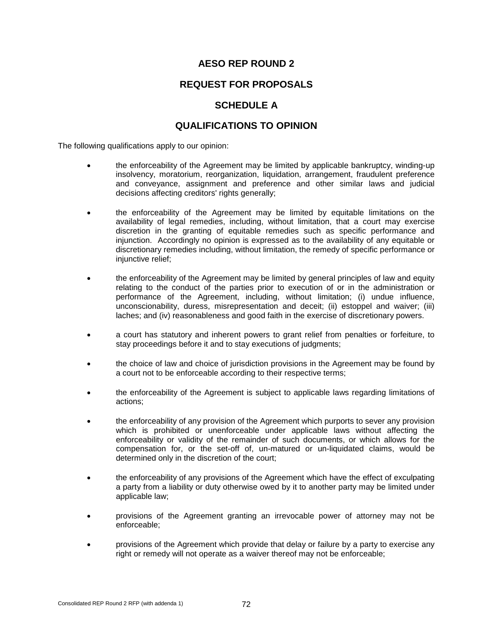## **REQUEST FOR PROPOSALS**

## **SCHEDULE A**

### **QUALIFICATIONS TO OPINION**

The following qualifications apply to our opinion:

- the enforceability of the Agreement may be limited by applicable bankruptcy, winding-up insolvency, moratorium, reorganization, liquidation, arrangement, fraudulent preference and conveyance, assignment and preference and other similar laws and judicial decisions affecting creditors' rights generally;
- the enforceability of the Agreement may be limited by equitable limitations on the availability of legal remedies, including, without limitation, that a court may exercise discretion in the granting of equitable remedies such as specific performance and injunction. Accordingly no opinion is expressed as to the availability of any equitable or discretionary remedies including, without limitation, the remedy of specific performance or injunctive relief;
- the enforceability of the Agreement may be limited by general principles of law and equity relating to the conduct of the parties prior to execution of or in the administration or performance of the Agreement, including, without limitation; (i) undue influence, unconscionability, duress, misrepresentation and deceit; (ii) estoppel and waiver; (iii) laches; and (iv) reasonableness and good faith in the exercise of discretionary powers.
- a court has statutory and inherent powers to grant relief from penalties or forfeiture, to stay proceedings before it and to stay executions of judgments;
- the choice of law and choice of jurisdiction provisions in the Agreement may be found by a court not to be enforceable according to their respective terms;
- the enforceability of the Agreement is subject to applicable laws regarding limitations of actions;
- the enforceability of any provision of the Agreement which purports to sever any provision which is prohibited or unenforceable under applicable laws without affecting the enforceability or validity of the remainder of such documents, or which allows for the compensation for, or the set-off of, un-matured or un-liquidated claims, would be determined only in the discretion of the court;
- the enforceability of any provisions of the Agreement which have the effect of exculpating a party from a liability or duty otherwise owed by it to another party may be limited under applicable law;
- provisions of the Agreement granting an irrevocable power of attorney may not be enforceable;
- provisions of the Agreement which provide that delay or failure by a party to exercise any right or remedy will not operate as a waiver thereof may not be enforceable;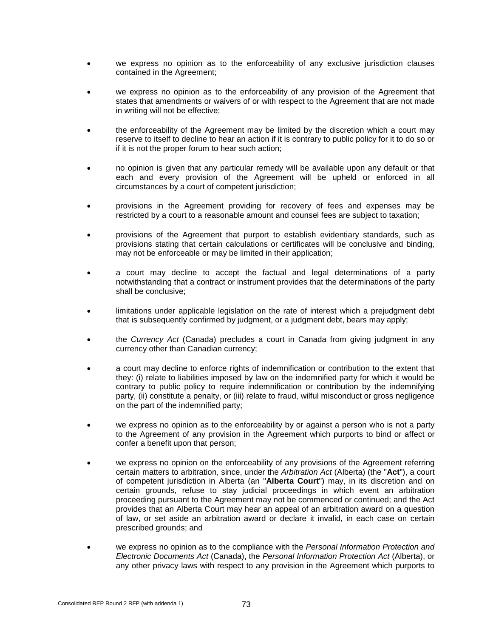- we express no opinion as to the enforceability of any exclusive jurisdiction clauses contained in the Agreement;
- we express no opinion as to the enforceability of any provision of the Agreement that states that amendments or waivers of or with respect to the Agreement that are not made in writing will not be effective;
- the enforceability of the Agreement may be limited by the discretion which a court may reserve to itself to decline to hear an action if it is contrary to public policy for it to do so or if it is not the proper forum to hear such action;
- no opinion is given that any particular remedy will be available upon any default or that each and every provision of the Agreement will be upheld or enforced in all circumstances by a court of competent jurisdiction;
- provisions in the Agreement providing for recovery of fees and expenses may be restricted by a court to a reasonable amount and counsel fees are subject to taxation;
- provisions of the Agreement that purport to establish evidentiary standards, such as provisions stating that certain calculations or certificates will be conclusive and binding, may not be enforceable or may be limited in their application;
- a court may decline to accept the factual and legal determinations of a party notwithstanding that a contract or instrument provides that the determinations of the party shall be conclusive;
- limitations under applicable legislation on the rate of interest which a prejudgment debt that is subsequently confirmed by judgment, or a judgment debt, bears may apply;
- the *Currency Act* (Canada) precludes a court in Canada from giving judgment in any currency other than Canadian currency;
- a court may decline to enforce rights of indemnification or contribution to the extent that they: (i) relate to liabilities imposed by law on the indemnified party for which it would be contrary to public policy to require indemnification or contribution by the indemnifying party, (ii) constitute a penalty, or (iii) relate to fraud, wilful misconduct or gross negligence on the part of the indemnified party;
- we express no opinion as to the enforceability by or against a person who is not a party to the Agreement of any provision in the Agreement which purports to bind or affect or confer a benefit upon that person;
- we express no opinion on the enforceability of any provisions of the Agreement referring certain matters to arbitration, since, under the *Arbitration Act* (Alberta) (the "**Act**"), a court of competent jurisdiction in Alberta (an "**Alberta Court**") may, in its discretion and on certain grounds, refuse to stay judicial proceedings in which event an arbitration proceeding pursuant to the Agreement may not be commenced or continued; and the Act provides that an Alberta Court may hear an appeal of an arbitration award on a question of law, or set aside an arbitration award or declare it invalid, in each case on certain prescribed grounds; and
- we express no opinion as to the compliance with the *Personal Information Protection and Electronic Documents Act* (Canada), the *Personal Information Protection Act* (Alberta), or any other privacy laws with respect to any provision in the Agreement which purports to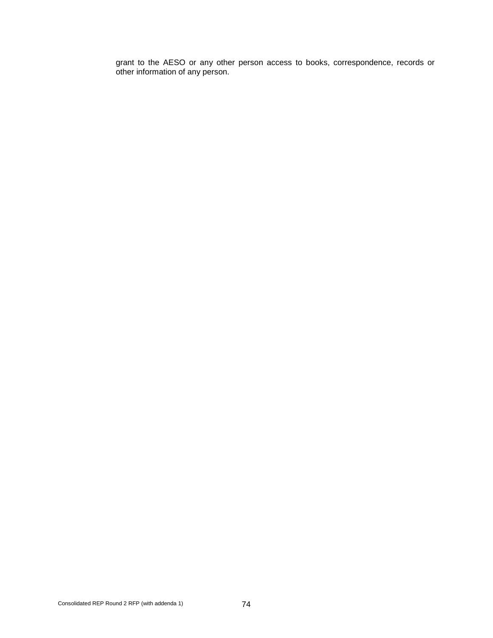grant to the AESO or any other person access to books, correspondence, records or other information of any person.